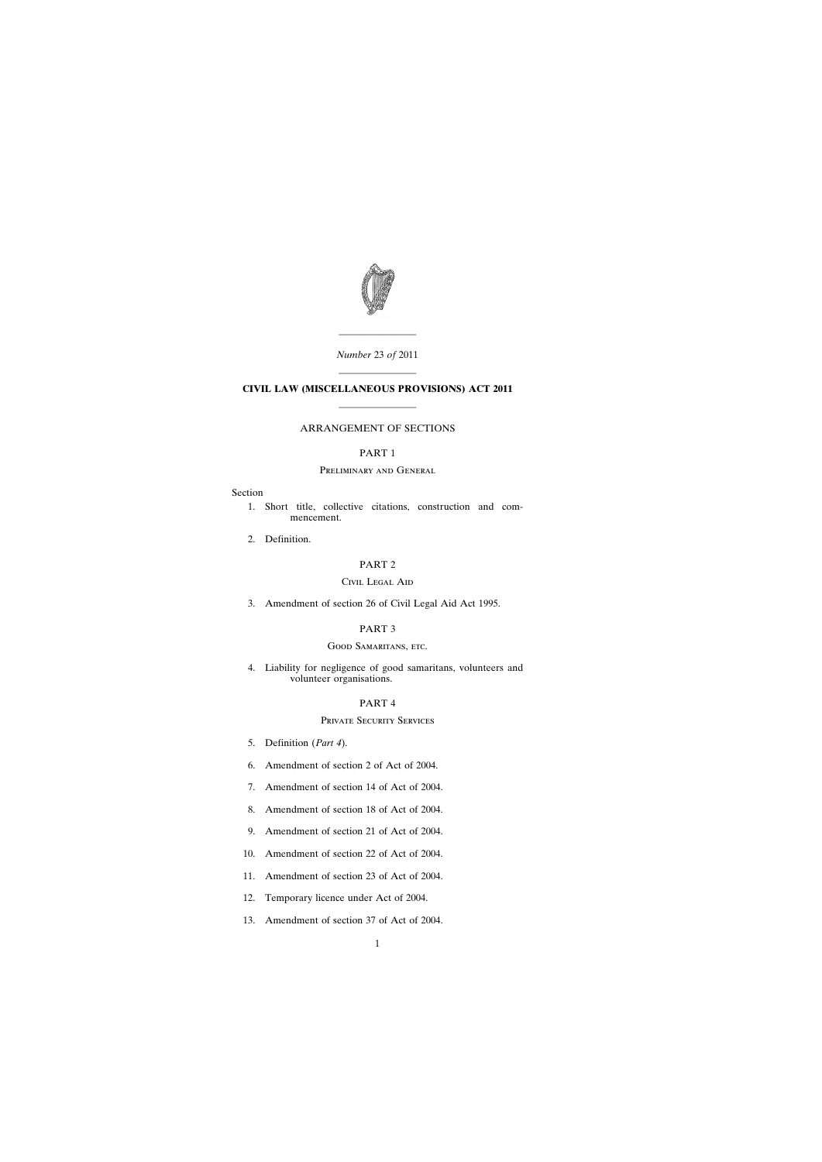

*Number* 23 *of* 2011

————————

# ———————— **CIVIL LAW (MISCELLANEOUS PROVISIONS) ACT 2011** ————————

# ARRANGEMENT OF SECTIONS

# PART 1

# Preliminary and General

### Section

- [1. Short title, collective citations, construction and com](#page-6-0)mencement.
- [2. Definition.](#page-7-0)

### PART 2

### Civil Legal Aid

[3. Amendment of section 26 of Civil Legal Aid Act 1995.](#page-7-0)

# PART 3

### GOOD SAMARITANS, ETC.

[4. Liability for negligence of good samaritans, volunteers and](#page-8-0) volunteer organisations.

# PART 4

# Private Security Services

- [5. Definition \(](#page-11-0)*Part 4*).
- [6. Amendment of section 2 of Act of 2004.](#page-11-0)
- [7. Amendment of section 14 of Act of 2004.](#page-12-0)
- [8. Amendment of section 18 of Act of 2004.](#page-12-0)
- [9. Amendment of section 21 of Act of 2004.](#page-12-0)
- [10. Amendment of section 22 of Act of 2004.](#page-13-0)
- [11. Amendment of section 23 of Act of 2004.](#page-13-0)
- [12. Temporary licence under Act of 2004.](#page-13-0)
- [13. Amendment of section 37 of Act of 2004.](#page-14-0)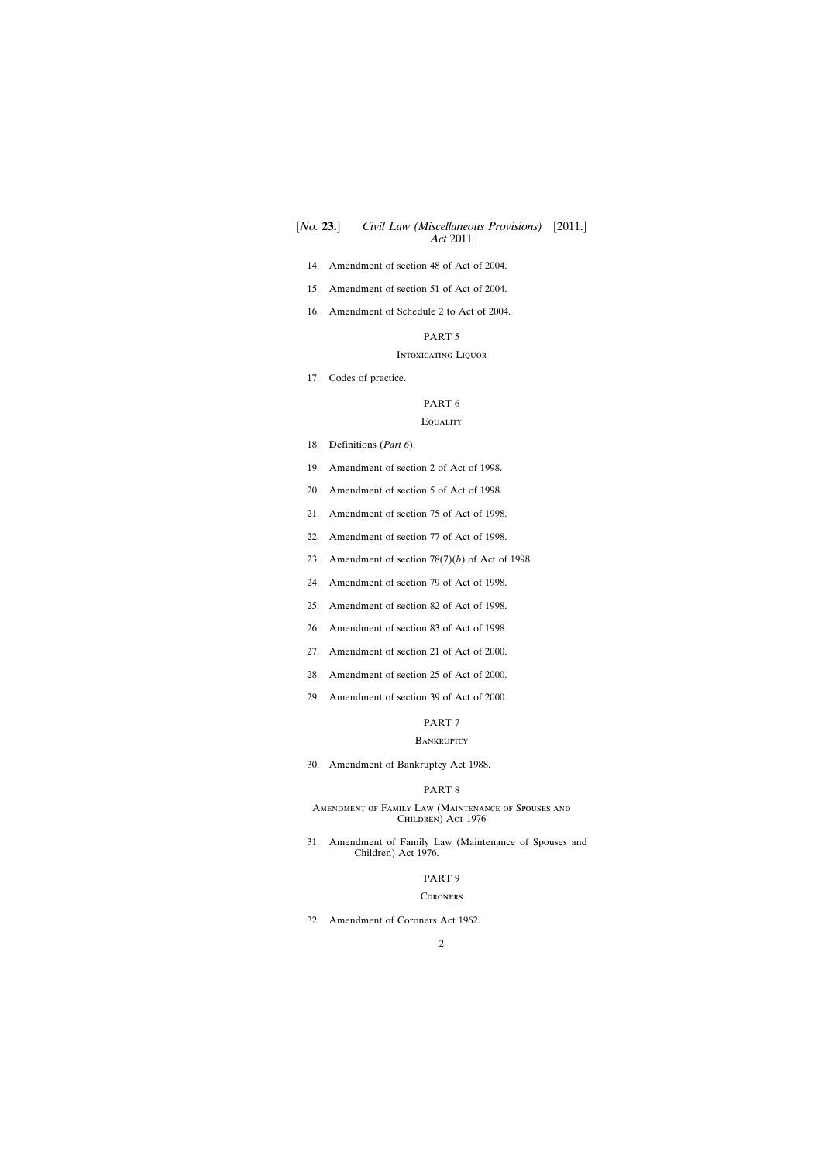- [14. Amendment of section 48 of Act of 2004.](#page-14-0)
- [15. Amendment of section 51 of Act of 2004.](#page-14-0)
- [16. Amendment of Schedule 2 to Act of 2004.](#page-15-0)

#### Intoxicating Liquor

[17. Codes of practice.](#page-17-0)

# PART 6

# **EQUALITY**

- [18. Definitions \(](#page-20-0)*Part 6*).
- [19. Amendment of section 2 of Act of 1998.](#page-20-0)
- [20. Amendment of section 5 of Act of 1998.](#page-20-0)
- [21. Amendment of section 75 of Act of 1998.](#page-20-0)
- [22. Amendment of section 77 of Act of 1998.](#page-20-0)
- [23. Amendment of section 78\(7\)\(](#page-20-0)*b*) of Act of 1998.
- [24. Amendment of section 79 of Act of 1998.](#page-21-0)
- [25. Amendment of section 82 of Act of 1998.](#page-22-0)
- [26. Amendment of section 83 of Act of 1998.](#page-22-0)
- [27. Amendment of section 21 of Act of 2000.](#page-22-0)
- [28. Amendment of section 25 of Act of 2000.](#page-22-0)
- [29. Amendment of section 39 of Act of 2000.](#page-23-0)

#### PART 7

#### **BANKRUPTCY**

[30. Amendment of Bankruptcy Act 1988.](#page-23-0)

# PART 8

### Amendment of Family Law (Maintenance of Spouses and CHILDREN) ACT 1976

[31. Amendment of Family Law \(Maintenance of Spouses and](#page-26-0) Children) Act 1976.

# PART 9

#### **CORONERS**

[32. Amendment of Coroners Act 1962.](#page-30-0)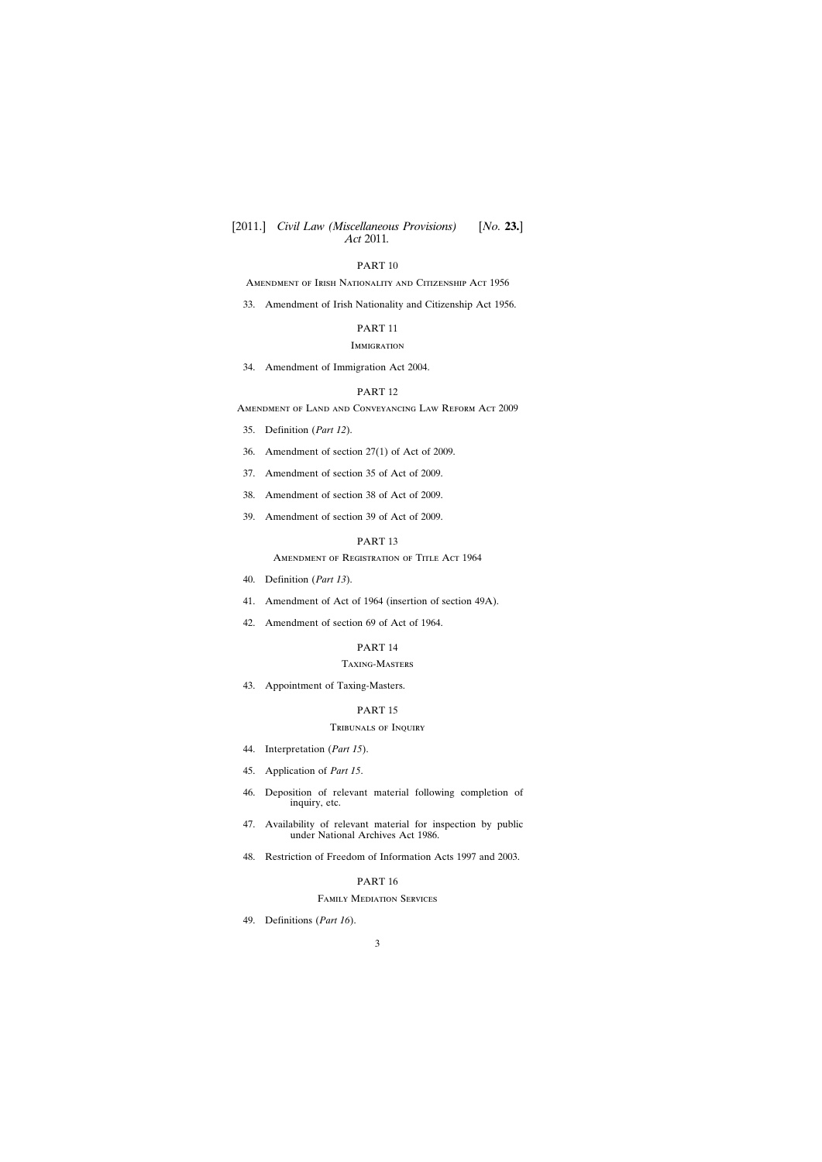Amendment of Irish Nationality and Citizenship Act 1956

[33. Amendment of Irish Nationality and Citizenship Act 1956.](#page-35-0)

## PART 11

#### **IMMIGRATION**

[34. Amendment of Immigration Act 2004.](#page-38-0)

### PART 12

Amendment of Land and Conveyancing Law Reform Act 2009

- [35. Definition \(](#page-41-0)*Part 12*).
- [36. Amendment of section 27\(1\) of Act of 2009.](#page-41-0)
- [37. Amendment of section 35 of Act of 2009.](#page-42-0)
- [38. Amendment of section 38 of Act of 2009.](#page-42-0)
- [39. Amendment of section 39 of Act of 2009.](#page-42-0)

#### PART 13

AMENDMENT OF REGISTRATION OF TITLE ACT 1964

- [40. Definition \(](#page-42-0)*Part 13*).
- [41. Amendment of Act of 1964 \(insertion of section 49A\).](#page-42-0)
- [42. Amendment of section 69 of Act of 1964.](#page-43-0)

# PART 14

### Taxing-Masters

[43. Appointment of Taxing-Masters.](#page-43-0)

### PART 15

## Tribunals of Inquiry

- [44. Interpretation \(](#page-44-0)*Part 15*).
- [45. Application of](#page-44-0) *Part 15*.
- [46. Deposition of relevant material following completion of](#page-45-0) inquiry, etc.
- [47. Availability of relevant material for inspection by public](#page-47-0) under National Archives Act 1986.
- [48. Restriction of Freedom of Information Acts 1997 and 2003.](#page-47-0)

# PART 16

### Family Mediation Services

[49. Definitions \(](#page-47-0)*Part 16*).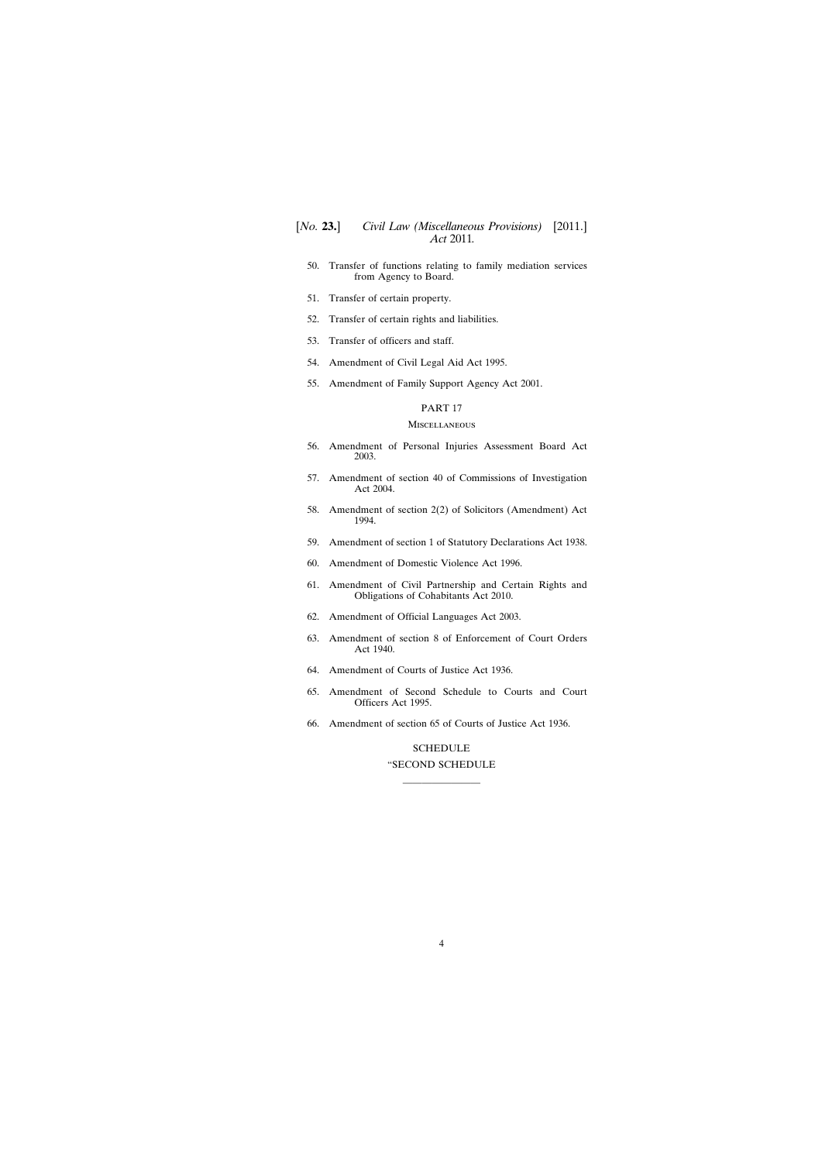- [50. Transfer of functions relating to family mediation services](#page-48-0) from Agency to Board.
- [51. Transfer of certain property.](#page-48-0)
- [52. Transfer of certain rights and liabilities.](#page-48-0)
- [53. Transfer of officers and staff.](#page-48-0)
- [54. Amendment of Civil Legal Aid Act 1995.](#page-49-0)
- [55. Amendment of Family Support Agency Act 2001.](#page-52-0)

#### **MISCELLANEOUS**

- [56. Amendment of Personal Injuries Assessment Board Act](#page-53-0) 2003.
- [57. Amendment of section 40 of Commissions of Investigation](#page-54-0) Act 2004.
- [58. Amendment of section 2\(2\) of Solicitors \(Amendment\) Act](#page-55-0) 1994.
- [59. Amendment of section 1 of Statutory Declarations Act 1938.](#page-55-0)
- [60. Amendment of Domestic Violence Act 1996.](#page-55-0)
- [61. Amendment of Civil Partnership and Certain Rights and](#page-55-0) Obligations of Cohabitants Act 2010.
- [62. Amendment of Official Languages Act 2003.](#page-56-0)
- [63. Amendment of section 8 of Enforcement of Court Orders](#page-57-0) Act 1940.
- [64. Amendment of Courts of Justice Act 1936.](#page-58-0)
- [65. Amendment of Second Schedule to Courts and Court](#page-61-0) Officers Act 1995.
- [66. Amendment of section 65 of Courts of Justice Act 1936.](#page-61-0)

#### [SCHEDULE](#page-63-0)

# "SECOND SCHEDULE ————————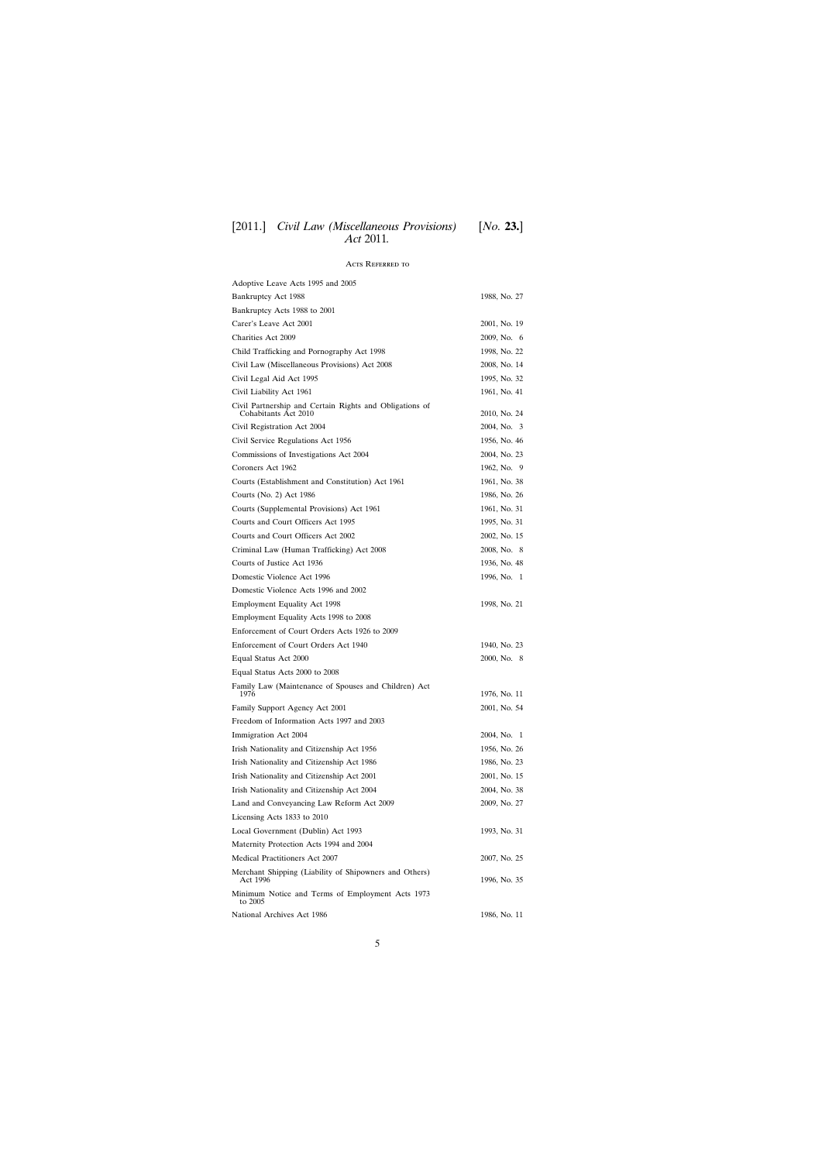# Acts Referred to

| Adoptive Leave Acts 1995 and 2005                                               |              |
|---------------------------------------------------------------------------------|--------------|
| Bankruptcy Act 1988                                                             | 1988, No. 27 |
| Bankruptcy Acts 1988 to 2001                                                    |              |
| Carer's Leave Act 2001                                                          | 2001, No. 19 |
| <b>Charities Act 2009</b>                                                       | 2009, No. 6  |
| Child Trafficking and Pornography Act 1998                                      | 1998, No. 22 |
| Civil Law (Miscellaneous Provisions) Act 2008                                   | 2008, No. 14 |
| Civil Legal Aid Act 1995                                                        | 1995, No. 32 |
| Civil Liability Act 1961                                                        | 1961, No. 41 |
| Civil Partnership and Certain Rights and Obligations of<br>Cohabitants Act 2010 | 2010, No. 24 |
| Civil Registration Act 2004                                                     | 2004, No. 3  |
| Civil Service Regulations Act 1956                                              | 1956, No. 46 |
| Commissions of Investigations Act 2004                                          | 2004, No. 23 |
| Coroners Act 1962                                                               | 1962, No. 9  |
| Courts (Establishment and Constitution) Act 1961                                | 1961, No. 38 |
| Courts (No. 2) Act 1986                                                         | 1986, No. 26 |
| Courts (Supplemental Provisions) Act 1961                                       | 1961, No. 31 |
| Courts and Court Officers Act 1995                                              | 1995, No. 31 |
| Courts and Court Officers Act 2002                                              | 2002, No. 15 |
| Criminal Law (Human Trafficking) Act 2008                                       | 2008, No. 8  |
| Courts of Justice Act 1936                                                      | 1936, No. 48 |
| Domestic Violence Act 1996                                                      | 1996, No. 1  |
| Domestic Violence Acts 1996 and 2002                                            |              |
| <b>Employment Equality Act 1998</b>                                             | 1998, No. 21 |
| Employment Equality Acts 1998 to 2008                                           |              |
| Enforcement of Court Orders Acts 1926 to 2009                                   |              |
| Enforcement of Court Orders Act 1940                                            | 1940, No. 23 |
| Equal Status Act 2000                                                           | 2000, No. 8  |
| Equal Status Acts 2000 to 2008                                                  |              |
| Family Law (Maintenance of Spouses and Children) Act<br>1976                    | 1976, No. 11 |
| Family Support Agency Act 2001                                                  | 2001, No. 54 |
| Freedom of Information Acts 1997 and 2003                                       |              |
| Immigration Act 2004                                                            | 2004, No. 1  |
| Irish Nationality and Citizenship Act 1956                                      | 1956, No. 26 |
| Irish Nationality and Citizenship Act 1986                                      | 1986, No. 23 |
| Irish Nationality and Citizenship Act 2001                                      | 2001, No. 15 |
| Irish Nationality and Citizenship Act 2004                                      | 2004, No. 38 |
| Land and Conveyancing Law Reform Act 2009                                       | 2009, No. 27 |
| Licensing Acts 1833 to 2010                                                     |              |
| Local Government (Dublin) Act 1993                                              | 1993, No. 31 |
| Maternity Protection Acts 1994 and 2004                                         |              |
| Medical Practitioners Act 2007                                                  | 2007, No. 25 |
| Merchant Shipping (Liability of Shipowners and Others)<br>Act 1996              | 1996, No. 35 |
| Minimum Notice and Terms of Employment Acts 1973<br>to 2005                     |              |
| National Archives Act 1986                                                      | 1986, No. 11 |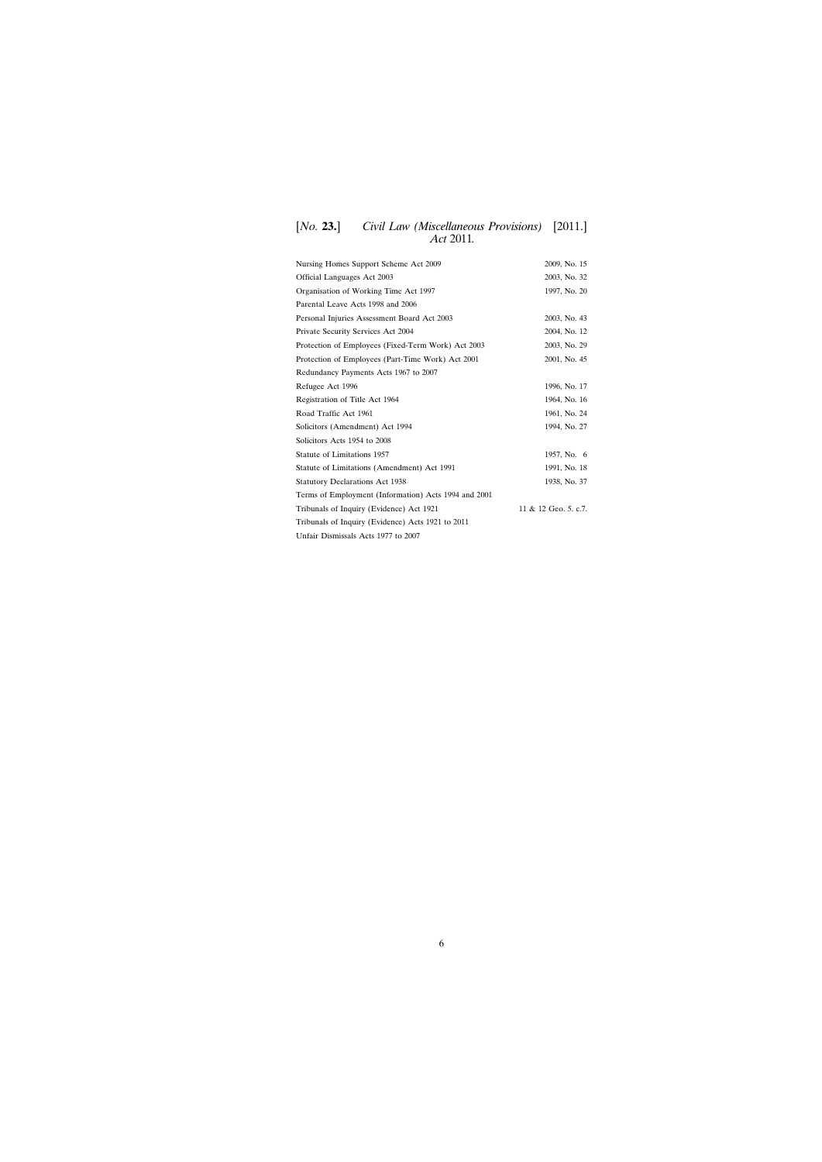# [*No.* **23.**] *Civil Law (Miscellaneous Provisions)* [2011.] *Act* 2011*.*

| Nursing Homes Support Scheme Act 2009                | 2009, No. 15         |
|------------------------------------------------------|----------------------|
| Official Languages Act 2003                          | 2003, No. 32         |
| Organisation of Working Time Act 1997                | 1997, No. 20         |
| Parental Leave Acts 1998 and 2006                    |                      |
| Personal Injuries Assessment Board Act 2003          | 2003, No. 43         |
| Private Security Services Act 2004                   | 2004, No. 12         |
| Protection of Employees (Fixed-Term Work) Act 2003   | 2003, No. 29         |
| Protection of Employees (Part-Time Work) Act 2001    | 2001, No. 45         |
| Redundancy Payments Acts 1967 to 2007                |                      |
| Refugee Act 1996                                     | 1996, No. 17         |
| Registration of Title Act 1964                       | 1964, No. 16         |
| Road Traffic Act 1961                                | 1961, No. 24         |
| Solicitors (Amendment) Act 1994<br>1994, No. 27      |                      |
| Solicitors Acts 1954 to 2008                         |                      |
| Statute of Limitations 1957                          | 1957, No. 6          |
| Statute of Limitations (Amendment) Act 1991          | 1991, No. 18         |
| <b>Statutory Declarations Act 1938</b>               | 1938, No. 37         |
| Terms of Employment (Information) Acts 1994 and 2001 |                      |
| Tribunals of Inquiry (Evidence) Act 1921             | 11 & 12 Geo. 5. c.7. |
| Tribunals of Inquiry (Evidence) Acts 1921 to 2011    |                      |
| Unfair Dismissals Acts 1977 to 2007                  |                      |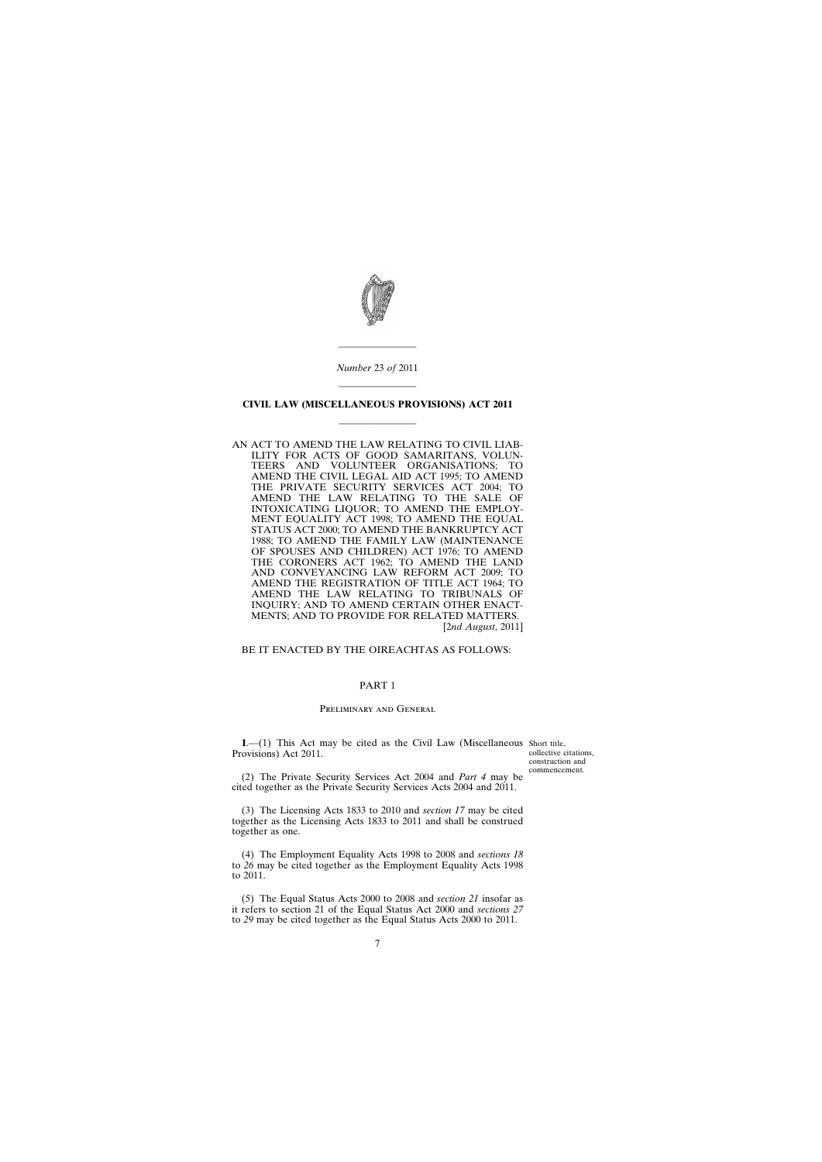

*Number* 23 *of* 2011

————————

# <span id="page-6-0"></span>———————— **CIVIL LAW (MISCELLANEOUS PROVISIONS) ACT 2011** ————————

AN ACT TO AMEND THE LAW RELATING TO CIVIL LIAB-ILITY FOR ACTS OF GOOD SAMARITANS, VOLUN-TEERS AND VOLUNTEER ORGANISATIONS; TO AMEND THE CIVIL LEGAL AID ACT 1995; TO AMEND THE PRIVATE SECURITY SERVICES ACT 2004; TO AMEND THE LAW RELATING TO THE SALE OF INTOXICATING LIQUOR; TO AMEND THE EMPLOY-MENT EQUALITY ACT 1998; TO AMEND THE EQUAL STATUS ACT 2000; TO AMEND THE BANKRUPTCY ACT 1988; TO AMEND THE FAMILY LAW (MAINTENANCE OF SPOUSES AND CHILDREN) ACT 1976; TO AMEND THE CORONERS ACT 1962; TO AMEND THE LAND AND CONVEYANCING LAW REFORM ACT 2009; TO AMEND THE REGISTRATION OF TITLE ACT 1964; TO AMEND THE LAW RELATING TO TRIBUNALS OF INQUIRY; AND TO AMEND CERTAIN OTHER ENACT-MENTS; AND TO PROVIDE FOR RELATED MATTERS. [2*nd August*, 2011]

BE IT ENACTED BY THE OIREACHTAS AS FOLLOWS:

### PART 1

### Preliminary and General

**1.**—(1) This Act may be cited as the Civil Law (Miscellaneous Short title, Provisions) Act 2011.

collective citations, construction and commencement.

(2) The Private Security Services Act 2004 and *Part 4* may be cited together as the Private Security Services Acts 2004 and 2011.

(3) The Licensing Acts 1833 to 2010 and *section 17* may be cited together as the Licensing Acts 1833 to 2011 and shall be construed together as one.

(4) The Employment Equality Acts 1998 to 2008 and *sections 18* to *26* may be cited together as the Employment Equality Acts 1998 to 2011.

(5) The Equal Status Acts 2000 to 2008 and *section 21* insofar as it refers to section 21 of the Equal Status Act 2000 and *sections 27* to *29* may be cited together as the Equal Status Acts 2000 to 2011.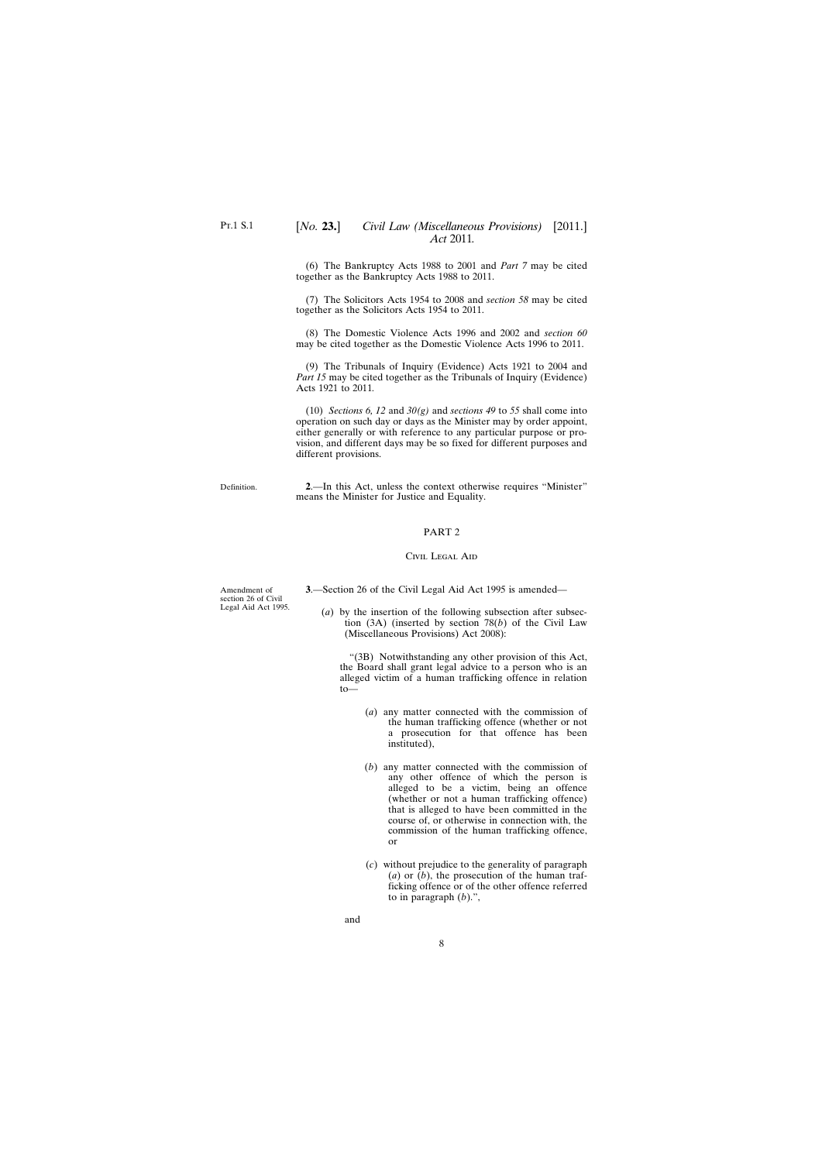# <span id="page-7-0"></span>[*No.* **23.**] *Civil Law (Miscellaneous Provisions)* [2011.] *Act* 2011*.*

(6) The Bankruptcy Acts 1988 to 2001 and *Part 7* may be cited together as the Bankruptcy Acts 1988 to 2011.

(7) The Solicitors Acts 1954 to 2008 and *section 58* may be cited together as the Solicitors Acts 1954 to 2011.

(8) The Domestic Violence Acts 1996 and 2002 and *section 60* may be cited together as the Domestic Violence Acts 1996 to 2011.

(9) The Tribunals of Inquiry (Evidence) Acts 1921 to 2004 and *Part 15* may be cited together as the Tribunals of Inquiry (Evidence) Acts 1921 to 2011*.*

(10) *Sections 6, 12* and *30(g)* and *sections 49* to *55* shall come into operation on such day or days as the Minister may by order appoint, either generally or with reference to any particular purpose or provision, and different days may be so fixed for different purposes and different provisions.

**2**.—In this Act, unless the context otherwise requires "Minister" means the Minister for Justice and Equality.

# PART 2

#### Civil Legal Aid

**3**.—Section 26 of the Civil Legal Aid Act 1995 is amended—

(*a*) by the insertion of the following subsection after subsection (3A) (inserted by section 78(*b*) of the Civil Law (Miscellaneous Provisions) Act 2008):

"(3B) Notwithstanding any other provision of this Act, the Board shall grant legal advice to a person who is an alleged victim of a human trafficking offence in relation to—

- (*a*) any matter connected with the commission of the human trafficking offence (whether or not a prosecution for that offence has been instituted),
- (*b*) any matter connected with the commission of any other offence of which the person is alleged to be a victim, being an offence (whether or not a human trafficking offence) that is alleged to have been committed in the course of, or otherwise in connection with, the commission of the human trafficking offence, or
- (*c*) without prejudice to the generality of paragraph (*a*) or (*b*), the prosecution of the human trafficking offence or of the other offence referred to in paragraph (*b*).",

Amendment of section 26 of Civil Legal Aid Act 1995.

Definition.

and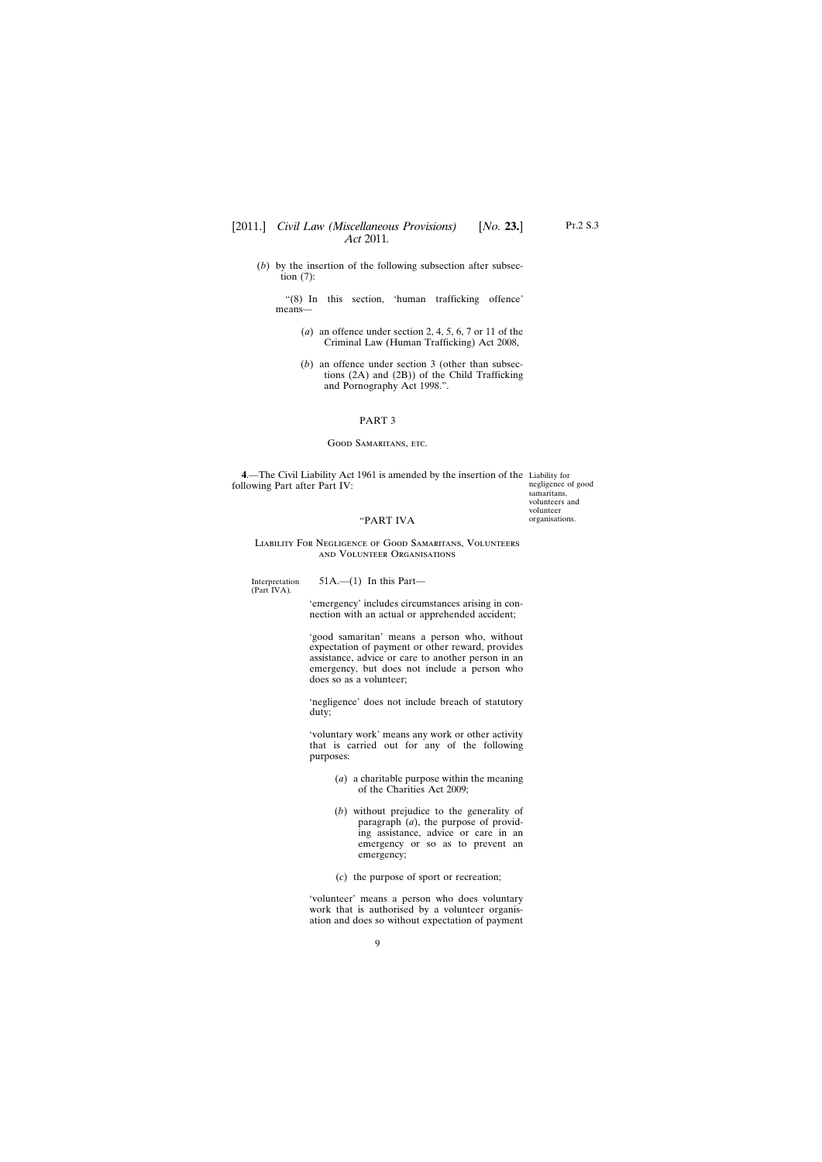# <span id="page-8-0"></span>[2011.] [ *Civil Law (Miscellaneous Provisions) No.* **23.**] *Act* 2011*.*

(*b*) by the insertion of the following subsection after subsection (7):

"(8) In this section, 'human trafficking offence' means—

- (*a*) an offence under section 2, 4, 5, 6, 7 or 11 of the Criminal Law (Human Trafficking) Act 2008,
- (*b*) an offence under section 3 (other than subsections (2A) and (2B)) of the Child Trafficking and Pornography Act 1998.".

### PART 3

#### Good Samaritans, etc.

**4**.—The Civil Liability Act 1961 is amended by the insertion of the Liability for following Part after Part IV:

negligence of good samaritans, volunteers and volunteer organisations.

### "PART IVA

### Liability For Negligence of Good Samaritans, Volunteers and Volunteer Organisations

Interpretation (Part IVA)*.*

 $51A$ .— $(1)$  In this Part—

'emergency' includes circumstances arising in connection with an actual or apprehended accident;

'good samaritan' means a person who, without expectation of payment or other reward, provides assistance, advice or care to another person in an emergency, but does not include a person who does so as a volunteer;

'negligence' does not include breach of statutory duty;

'voluntary work' means any work or other activity that is carried out for any of the following purposes:

- (*a*) a charitable purpose within the meaning of the Charities Act 2009;
- (*b*) without prejudice to the generality of paragraph (*a*), the purpose of providing assistance, advice or care in an emergency or so as to prevent an emergency;
- (*c*) the purpose of sport or recreation;

'volunteer' means a person who does voluntary work that is authorised by a volunteer organisation and does so without expectation of payment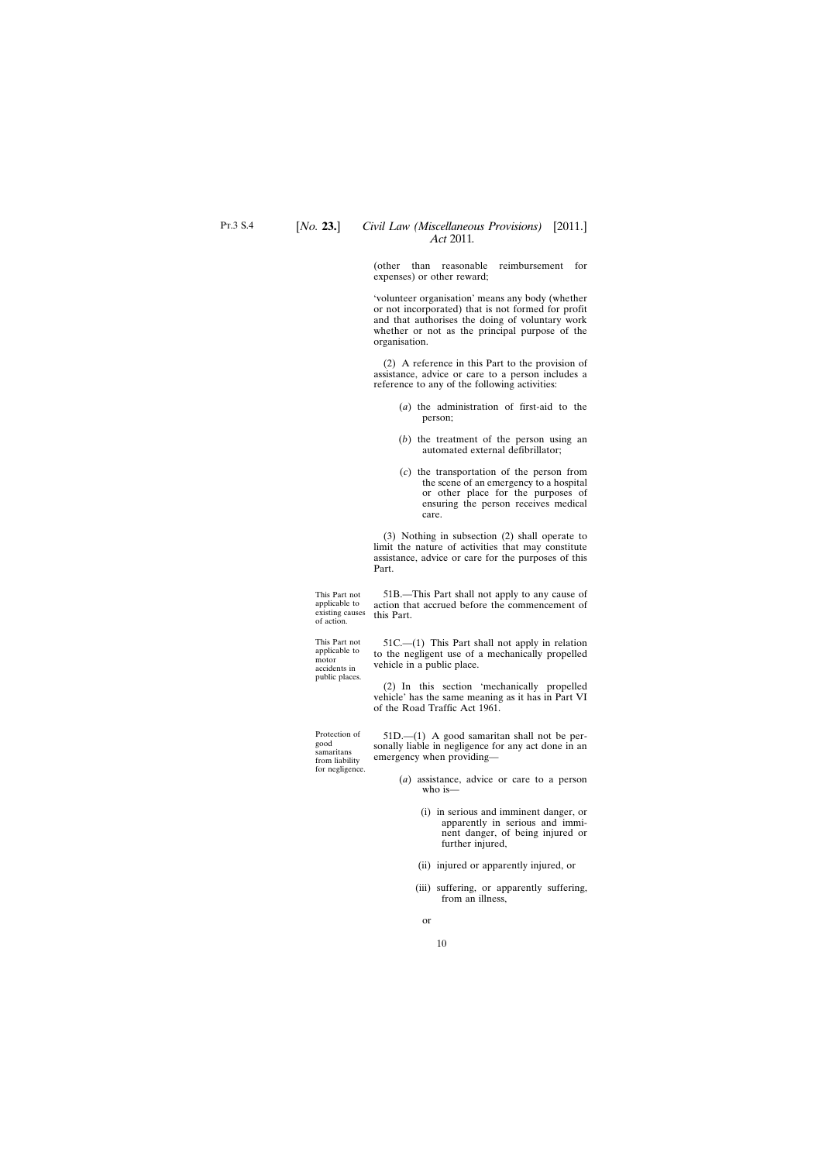(other than reasonable reimbursement for expenses) or other reward;

'volunteer organisation' means any body (whether or not incorporated) that is not formed for profit and that authorises the doing of voluntary work whether or not as the principal purpose of the organisation.

(2) A reference in this Part to the provision of assistance, advice or care to a person includes a reference to any of the following activities:

- (*a*) the administration of first-aid to the person;
- (*b*) the treatment of the person using an automated external defibrillator;
- (*c*) the transportation of the person from the scene of an emergency to a hospital or other place for the purposes of ensuring the person receives medical care.

(3) Nothing in subsection (2) shall operate to limit the nature of activities that may constitute assistance, advice or care for the purposes of this Part.

This Part not applicable to existing causes of action.

This Part not applicable to motor accidents in public places.

Protection of good samaritans from liability for negligence.

51B.—This Part shall not apply to any cause of action that accrued before the commencement of this Part.

51C.—(1) This Part shall not apply in relation to the negligent use of a mechanically propelled vehicle in a public place.

(2) In this section 'mechanically propelled vehicle' has the same meaning as it has in Part VI of the Road Traffic Act 1961.

51D.—(1) A good samaritan shall not be personally liable in negligence for any act done in an emergency when providing—

- (*a*) assistance, advice or care to a person who is—
	- (i) in serious and imminent danger, or apparently in serious and imminent danger, of being injured or further injured,
	- (ii) injured or apparently injured, or
	- (iii) suffering, or apparently suffering, from an illness,
		- or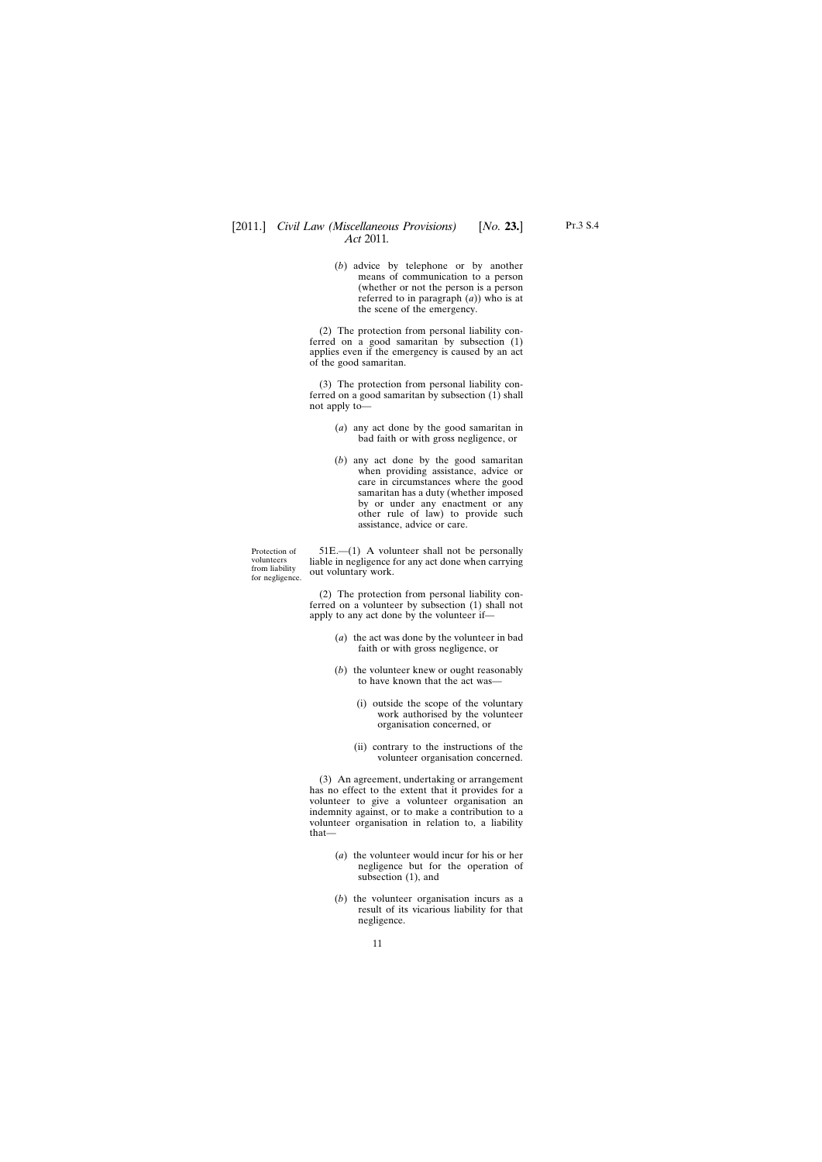(*b*) advice by telephone or by another means of communication to a person (whether or not the person is a person referred to in paragraph (*a*)) who is at the scene of the emergency.

(2) The protection from personal liability conferred on a good samaritan by subsection (1) applies even if the emergency is caused by an act of the good samaritan.

(3) The protection from personal liability conferred on a good samaritan by subsection (1) shall not apply to—

- (*a*) any act done by the good samaritan in bad faith or with gross negligence, or
- (*b*) any act done by the good samaritan when providing assistance, advice or care in circumstances where the good samaritan has a duty (whether imposed by or under any enactment or any other rule of law) to provide such assistance, advice or care.

Protection of volunteers from liability for negligence.

51E.—(1) A volunteer shall not be personally liable in negligence for any act done when carrying out voluntary work.

(2) The protection from personal liability conferred on a volunteer by subsection (1) shall not apply to any act done by the volunteer if—

- (*a*) the act was done by the volunteer in bad faith or with gross negligence, or
- (*b*) the volunteer knew or ought reasonably to have known that the act was—
	- (i) outside the scope of the voluntary work authorised by the volunteer organisation concerned, or
	- (ii) contrary to the instructions of the volunteer organisation concerned.

(3) An agreement, undertaking or arrangement has no effect to the extent that it provides for a volunteer to give a volunteer organisation an indemnity against, or to make a contribution to a volunteer organisation in relation to, a liability that—

- (*a*) the volunteer would incur for his or her negligence but for the operation of subsection (1), and
- (*b*) the volunteer organisation incurs as a result of its vicarious liability for that negligence.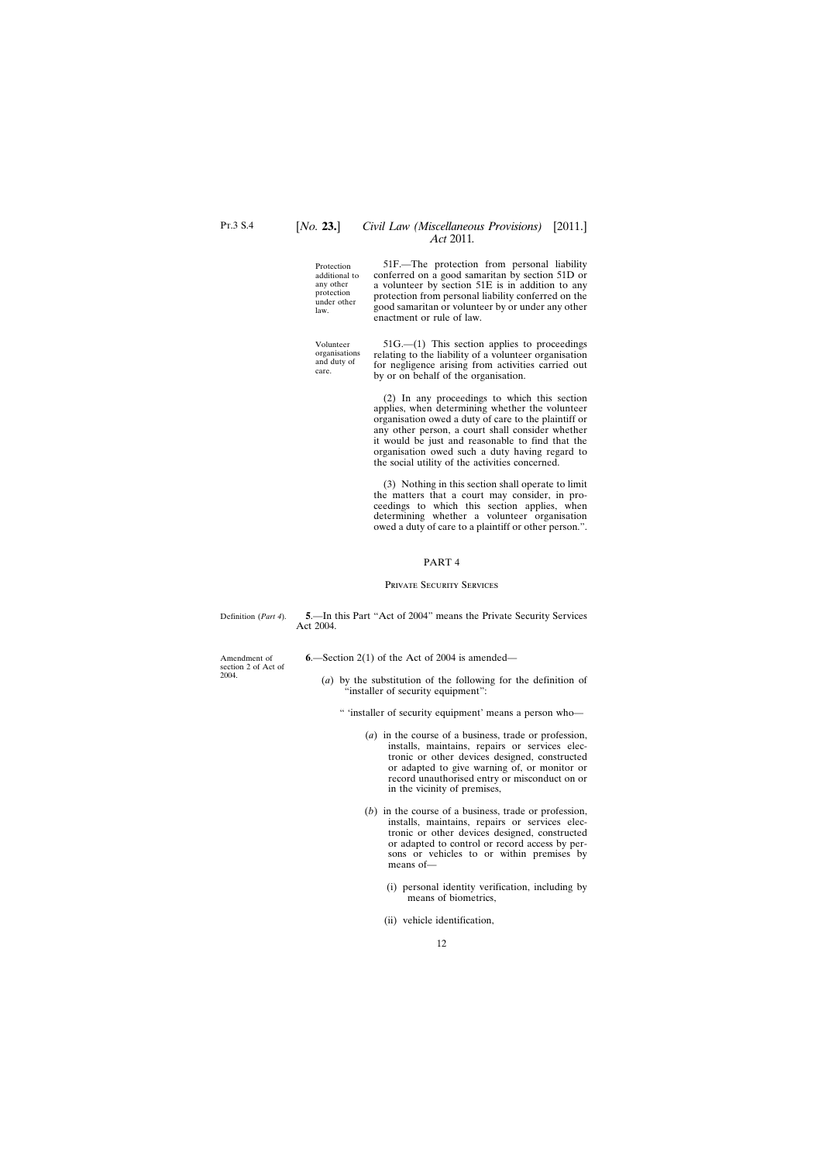# <span id="page-11-0"></span>[*No.* **23.**] *Civil Law (Miscellaneous Provisions)* [2011.] *Act* 2011*.*

Protection additional to any other protection under other law.

Volunteer organisations and duty of care.

51F.—The protection from personal liability conferred on a good samaritan by section 51D or a volunteer by section 51E is in addition to any protection from personal liability conferred on the good samaritan or volunteer by or under any other enactment or rule of law.

51G.—(1) This section applies to proceedings relating to the liability of a volunteer organisation for negligence arising from activities carried out by or on behalf of the organisation.

(2) In any proceedings to which this section applies, when determining whether the volunteer organisation owed a duty of care to the plaintiff or any other person, a court shall consider whether it would be just and reasonable to find that the organisation owed such a duty having regard to the social utility of the activities concerned.

(3) Nothing in this section shall operate to limit the matters that a court may consider, in proceedings to which this section applies, when determining whether a volunteer organisation owed a duty of care to a plaintiff or other person.".

#### PART 4

#### Private Security Services

Definition (*Part 4*).

Amendment of section 2 of Act of 2004.

**5**.—In this Part "Act of 2004" means the Private Security Services Act 2004.

- **6**.—Section 2(1) of the Act of 2004 is amended—
	- (*a*) by the substitution of the following for the definition of "installer of security equipment":
		- " 'installer of security equipment' means a person who—
			- (*a*) in the course of a business, trade or profession, installs, maintains, repairs or services electronic or other devices designed, constructed or adapted to give warning of, or monitor or record unauthorised entry or misconduct on or in the vicinity of premises,
			- (*b*) in the course of a business, trade or profession, installs, maintains, repairs or services electronic or other devices designed, constructed or adapted to control or record access by persons or vehicles to or within premises by means of—
				- (i) personal identity verification, including by means of biometrics,
				- (ii) vehicle identification,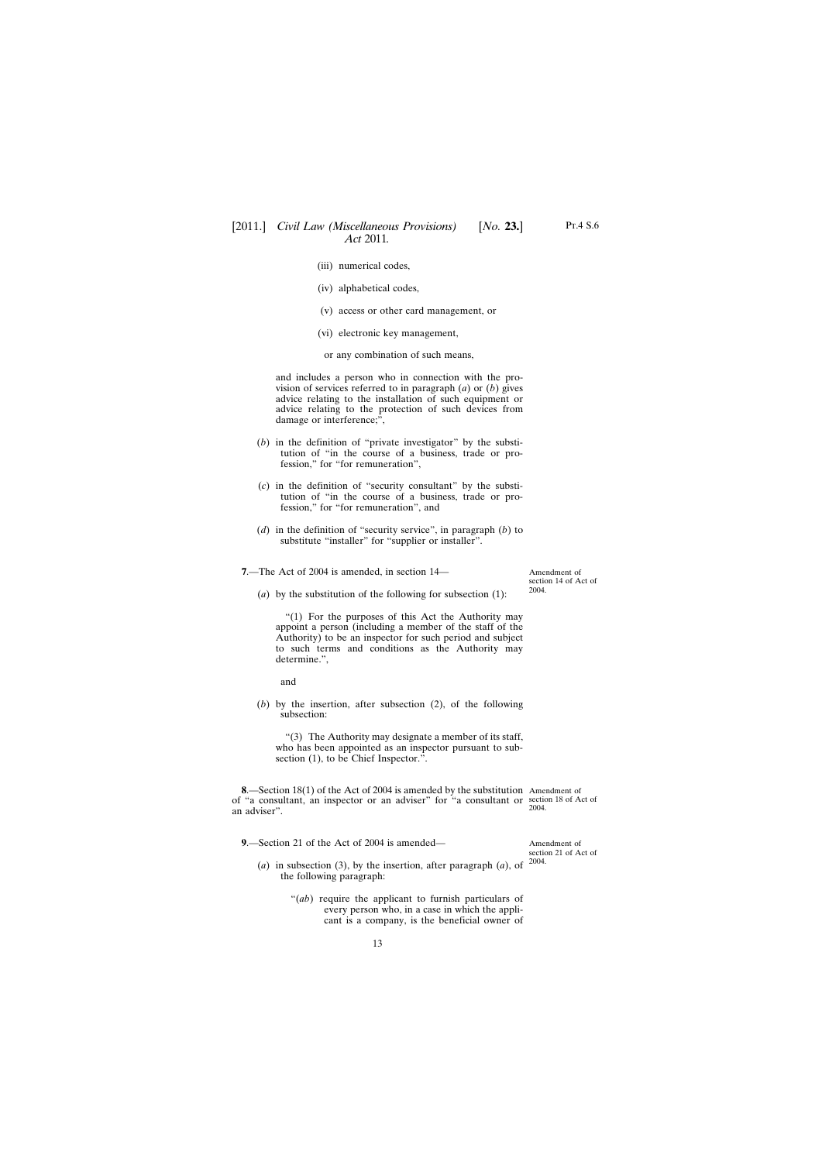- <span id="page-12-0"></span>(iii) numerical codes,
- (iv) alphabetical codes,
- (v) access or other card management, or
- (vi) electronic key management,

or any combination of such means,

and includes a person who in connection with the provision of services referred to in paragraph (*a*) or (*b*) gives advice relating to the installation of such equipment or advice relating to the protection of such devices from damage or interference;",

- (*b*) in the definition of "private investigator" by the substitution of "in the course of a business, trade or profession," for "for remuneration",
- (*c*) in the definition of "security consultant" by the substitution of "in the course of a business, trade or profession," for "for remuneration", and
- (*d*) in the definition of "security service", in paragraph (*b*) to substitute "installer" for "supplier or installer".

**7**.—The Act of 2004 is amended, in section 14—

Amendment of section 14 of Act of 2004.

(*a*) by the substitution of the following for subsection (1):

"(1) For the purposes of this Act the Authority may appoint a person (including a member of the staff of the Authority) to be an inspector for such period and subject to such terms and conditions as the Authority may determine.",

and

(*b*) by the insertion, after subsection (2), of the following subsection:

"(3) The Authority may designate a member of its staff, who has been appointed as an inspector pursuant to subsection (1), to be Chief Inspector.".

**8**.—Section 18(1) of the Act of 2004 is amended by the substitution Amendment of of "a consultant, an inspector or an adviser" for "a consultant or section 18 of Act of an adviser".

**9**.—Section 21 of the Act of 2004 is amended—

2004.

Amendment of section 21 of Act of 2004.

- (*a*) in subsection (3), by the insertion, after paragraph (*a*), of the following paragraph:
	- "(*ab*) require the applicant to furnish particulars of every person who, in a case in which the applicant is a company, is the beneficial owner of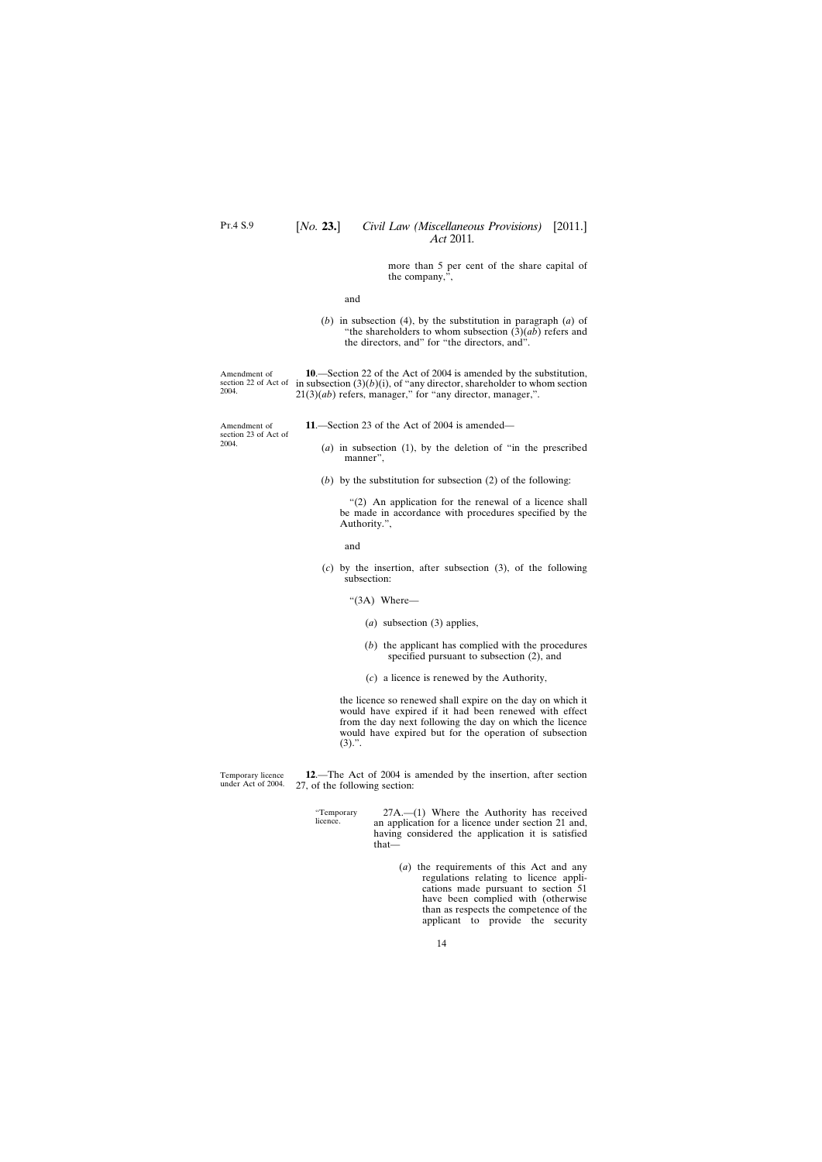more than 5 per cent of the share capital of the company,",

and

(*b*) in subsection (4), by the substitution in paragraph (*a*) of "the shareholders to whom subsection (3)(*ab*) refers and the directors, and" for "the directors, and".

<span id="page-13-0"></span>section 22 of Act of in subsection  $(3)(b)(i)$ , of "any director, shareholder to whom section **10**.—Section 22 of the Act of 2004 is amended by the substitution, 21(3)(*ab*) refers, manager," for "any director, manager,".

- **11**.—Section 23 of the Act of 2004 is amended—
	- (*a*) in subsection (1), by the deletion of "in the prescribed manner",
	- (*b*) by the substitution for subsection (2) of the following:

"(2) An application for the renewal of a licence shall be made in accordance with procedures specified by the Authority.",

and

- (*c*) by the insertion, after subsection (3), of the following subsection:
	- "(3A) Where—
		- (*a*) subsection (3) applies,
		- (*b*) the applicant has complied with the procedures specified pursuant to subsection (2), and
		- (*c*) a licence is renewed by the Authority,

the licence so renewed shall expire on the day on which it would have expired if it had been renewed with effect from the day next following the day on which the licence would have expired but for the operation of subsection  $(3)$ .".

Temporary licence under Act of 2004. **12**.—The Act of 2004 is amended by the insertion, after section 27, of the following section:

> "Temporary licence. 27A.—(1) Where the Authority has received an application for a licence under section 21 and, having considered the application it is satisfied that—

> > (*a*) the requirements of this Act and any regulations relating to licence applications made pursuant to section 51 have been complied with (otherwise than as respects the competence of the applicant to provide the security

Amendment of 2004.

Amendment of section 23 of Act of 2004.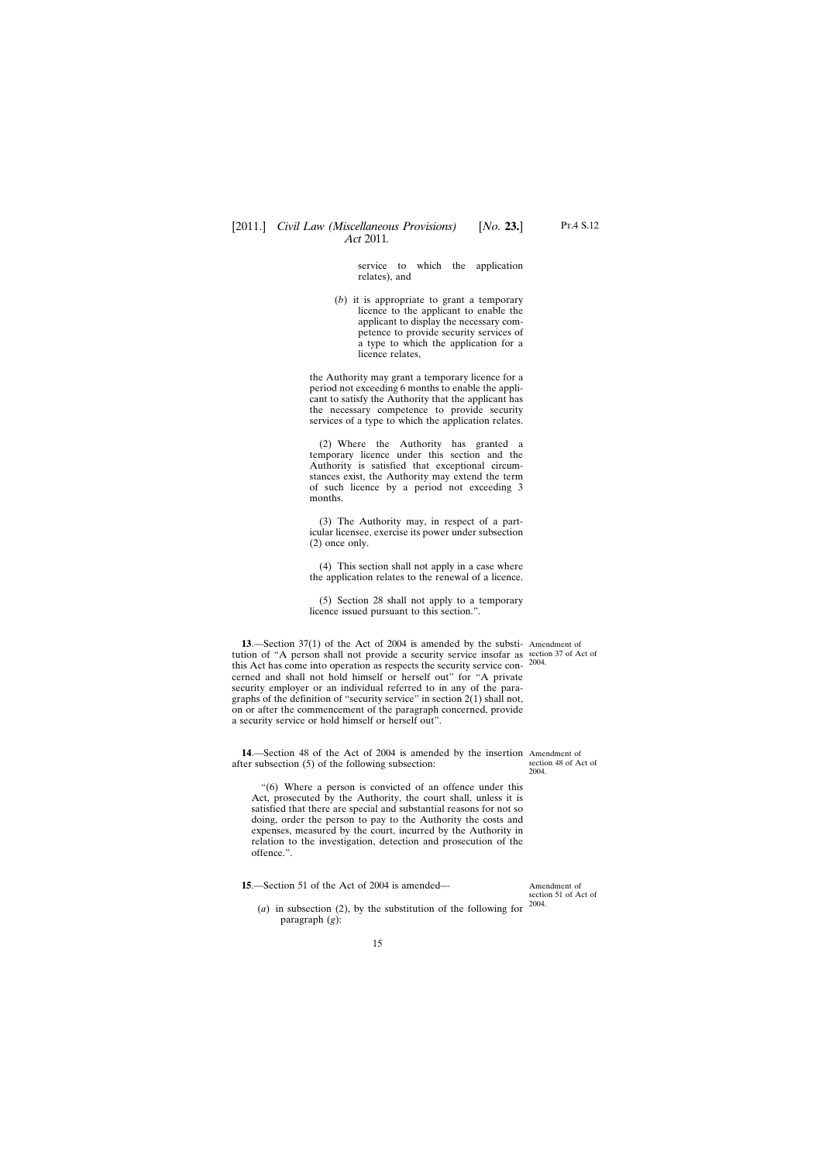service to which the application relates), and

<span id="page-14-0"></span>(*b*) it is appropriate to grant a temporary licence to the applicant to enable the applicant to display the necessary competence to provide security services of a type to which the application for a licence relates,

the Authority may grant a temporary licence for a period not exceeding 6 months to enable the applicant to satisfy the Authority that the applicant has the necessary competence to provide security services of a type to which the application relates.

(2) Where the Authority has granted a temporary licence under this section and the Authority is satisfied that exceptional circumstances exist, the Authority may extend the term of such licence by a period not exceeding 3 months.

(3) The Authority may, in respect of a particular licensee, exercise its power under subsection (2) once only.

(4) This section shall not apply in a case where the application relates to the renewal of a licence.

(5) Section 28 shall not apply to a temporary licence issued pursuant to this section.".

**13.**—Section 37(1) of the Act of 2004 is amended by the substi- Amendment of tution of "A person shall not provide a security service insofar as section 37 of Act of this Act has come into operation as respects the security service concerned and shall not hold himself or herself out" for "A private security employer or an individual referred to in any of the paragraphs of the definition of "security service" in section 2(1) shall not, on or after the commencement of the paragraph concerned, provide a security service or hold himself or herself out".

2004.

**14**.—Section 48 of the Act of 2004 is amended by the insertion Amendment of after subsection (5) of the following subsection:

section 48 of Act of 2004.

"(6) Where a person is convicted of an offence under this Act, prosecuted by the Authority, the court shall, unless it is satisfied that there are special and substantial reasons for not so doing, order the person to pay to the Authority the costs and expenses, measured by the court, incurred by the Authority in relation to the investigation, detection and prosecution of the offence.".

**15**.—Section 51 of the Act of 2004 is amended—

(*a*) in subsection (2), by the substitution of the following for paragraph (*g*):

Amendment of section 51 of Act of 2004.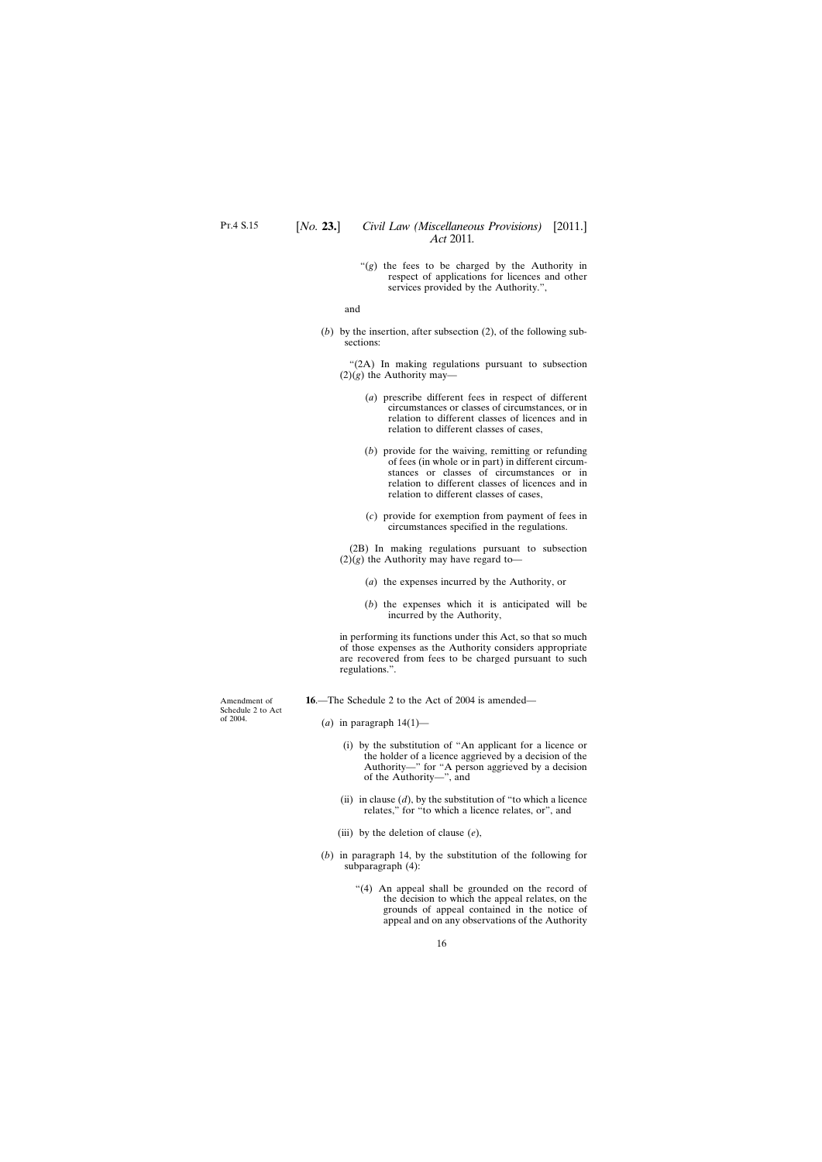"(*g*) the fees to be charged by the Authority in respect of applications for licences and other services provided by the Authority.",

and

<span id="page-15-0"></span>(*b*) by the insertion, after subsection (2), of the following subsections:

"(2A) In making regulations pursuant to subsection  $(2)(g)$  the Authority may—

- (*a*) prescribe different fees in respect of different circumstances or classes of circumstances, or in relation to different classes of licences and in relation to different classes of cases,
- (*b*) provide for the waiving, remitting or refunding of fees (in whole or in part) in different circumstances or classes of circumstances or in relation to different classes of licences and in relation to different classes of cases,
- (*c*) provide for exemption from payment of fees in circumstances specified in the regulations.

(2B) In making regulations pursuant to subsection  $(2)(g)$  the Authority may have regard to—

- (*a*) the expenses incurred by the Authority, or
- (*b*) the expenses which it is anticipated will be incurred by the Authority,

in performing its functions under this Act, so that so much of those expenses as the Authority considers appropriate are recovered from fees to be charged pursuant to such regulations.".

- **16**.—The Schedule 2 to the Act of 2004 is amended—
	- $(a)$  in paragraph  $14(1)$ 
		- (i) by the substitution of "An applicant for a licence or the holder of a licence aggrieved by a decision of the Authority—" for "A person aggrieved by a decision of the Authority—", and
		- (ii) in clause  $(d)$ , by the substitution of "to which a licence" relates," for "to which a licence relates, or", and
		- (iii) by the deletion of clause (*e*),
	- (*b*) in paragraph 14, by the substitution of the following for subparagraph (4):
		- "(4) An appeal shall be grounded on the record of the decision to which the appeal relates, on the grounds of appeal contained in the notice of appeal and on any observations of the Authority

Amendment of Schedule 2 to Act of 2004.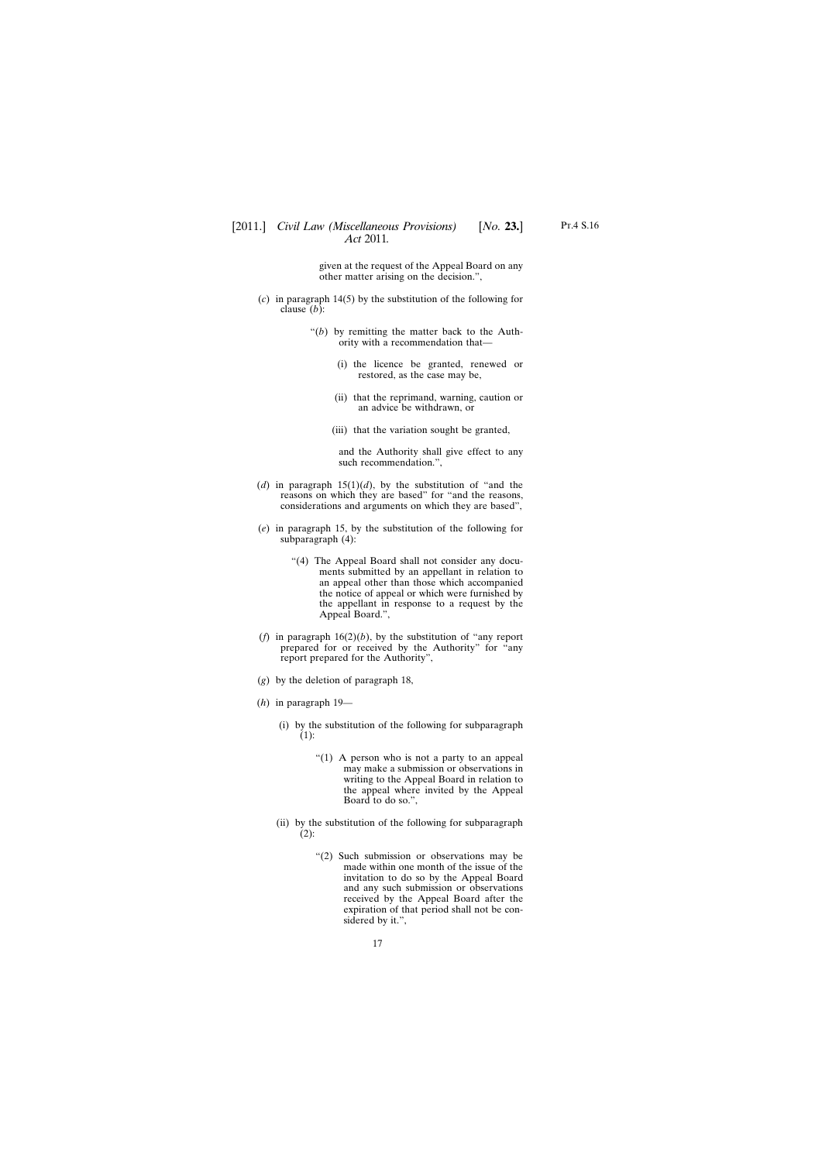given at the request of the Appeal Board on any other matter arising on the decision.",

- (*c*) in paragraph 14(5) by the substitution of the following for clause (*b*):
	- "(*b*) by remitting the matter back to the Authority with a recommendation that—
		- (i) the licence be granted, renewed or restored, as the case may be,
		- (ii) that the reprimand, warning, caution or an advice be withdrawn, or
		- (iii) that the variation sought be granted,

and the Authority shall give effect to any such recommendation.",

- (*d*) in paragraph  $15(1)(d)$ , by the substitution of "and the reasons on which they are based" for "and the reasons, considerations and arguments on which they are based",
- (*e*) in paragraph 15, by the substitution of the following for subparagraph (4):
	- "(4) The Appeal Board shall not consider any documents submitted by an appellant in relation to an appeal other than those which accompanied the notice of appeal or which were furnished by the appellant in response to a request by the Appeal Board.",
- (*f*) in paragraph 16(2)(*b*), by the substitution of "any report prepared for or received by the Authority" for "any report prepared for the Authority",
- (*g*) by the deletion of paragraph 18,
- (*h*) in paragraph 19—
	- (i) by the substitution of the following for subparagraph (1):
		- "(1) A person who is not a party to an appeal may make a submission or observations in writing to the Appeal Board in relation to the appeal where invited by the Appeal Board to do so.",
	- (ii) by the substitution of the following for subparagraph  $(2)$ :
		- "(2) Such submission or observations may be made within one month of the issue of the invitation to do so by the Appeal Board and any such submission or observations received by the Appeal Board after the expiration of that period shall not be considered by it.",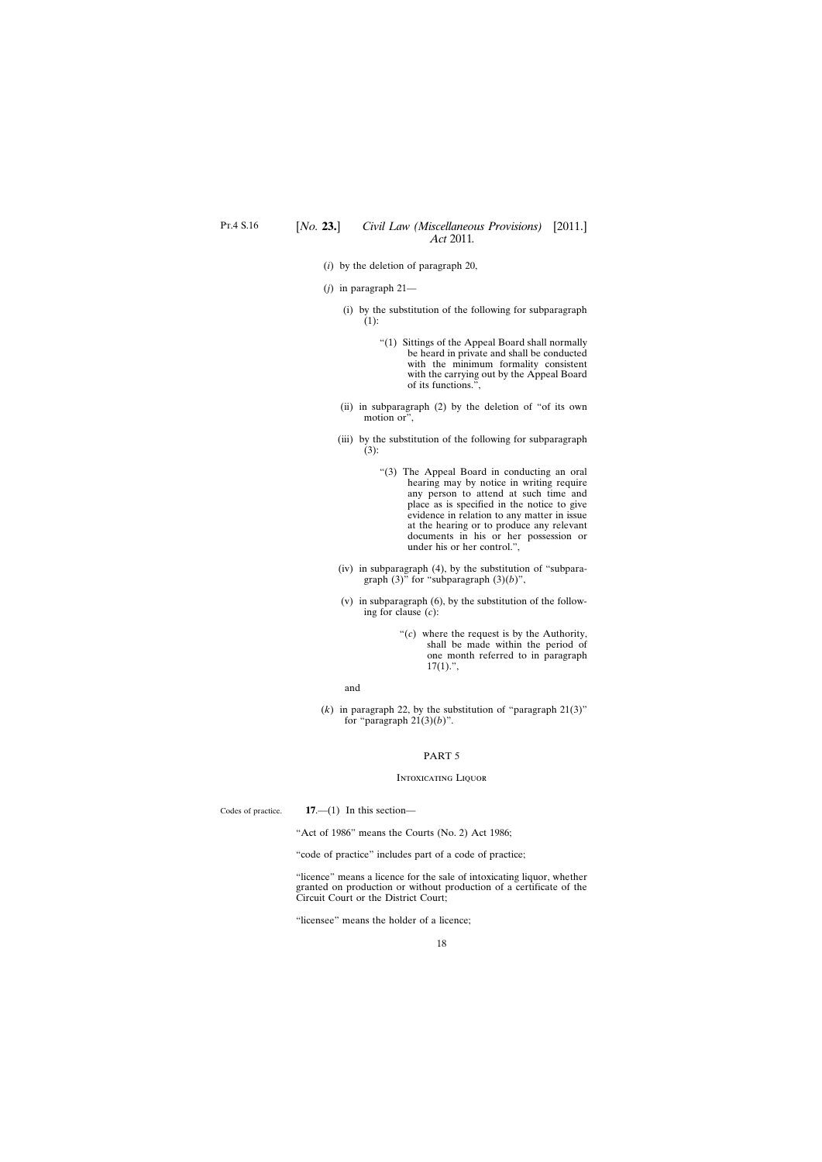- <span id="page-17-0"></span>(*i*) by the deletion of paragraph 20,
- (*j*) in paragraph 21—
	- (i) by the substitution of the following for subparagraph (1):
		- "(1) Sittings of the Appeal Board shall normally be heard in private and shall be conducted with the minimum formality consistent with the carrying out by the Appeal Board of its functions.",
	- (ii) in subparagraph (2) by the deletion of "of its own motion or",
	- (iii) by the substitution of the following for subparagraph (3):
		- "(3) The Appeal Board in conducting an oral hearing may by notice in writing require any person to attend at such time and place as is specified in the notice to give evidence in relation to any matter in issue at the hearing or to produce any relevant documents in his or her possession or under his or her control.",
	- (iv) in subparagraph (4), by the substitution of "subparagraph (3)" for "subparagraph (3)(*b*)",
	- (v) in subparagraph (6), by the substitution of the following for clause (*c*):
		- "(*c*) where the request is by the Authority, shall be made within the period of one month referred to in paragraph  $17(1)$ .",

#### and

(*k*) in paragraph 22, by the substitution of "paragraph 21(3)" for "paragraph  $21(3)(b)$ ".

#### PART 5

#### Intoxicating Liquor

Codes of practice.

**17**.—(1) In this section—

"Act of 1986" means the Courts (No. 2) Act 1986;

"code of practice" includes part of a code of practice;

"licence" means a licence for the sale of intoxicating liquor, whether granted on production or without production of a certificate of the Circuit Court or the District Court;

"licensee" means the holder of a licence;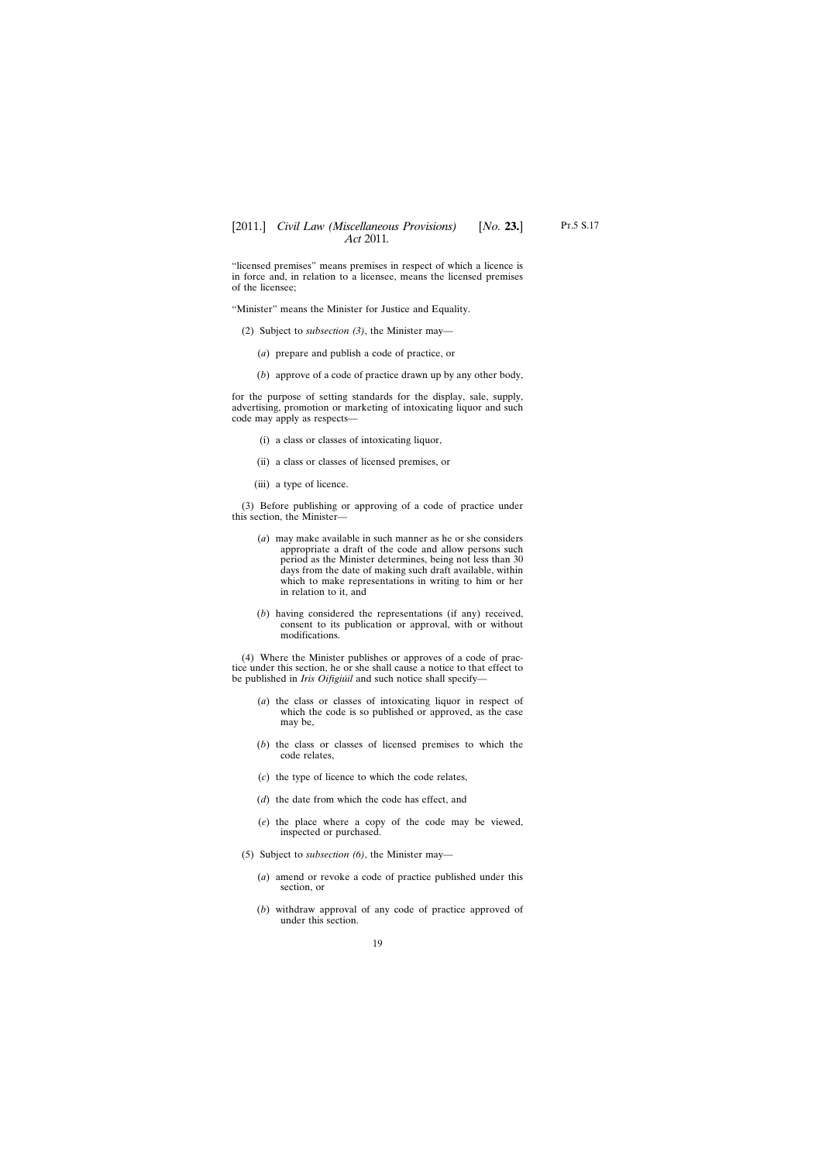"licensed premises" means premises in respect of which a licence is in force and, in relation to a licensee, means the licensed premises of the licensee;

"Minister" means the Minister for Justice and Equality.

- (2) Subject to *subsection (3)*, the Minister may—
	- (*a*) prepare and publish a code of practice, or
	- (*b*) approve of a code of practice drawn up by any other body,

for the purpose of setting standards for the display, sale, supply, advertising, promotion or marketing of intoxicating liquor and such code may apply as respects—

- (i) a class or classes of intoxicating liquor,
- (ii) a class or classes of licensed premises, or
- (iii) a type of licence.

(3) Before publishing or approving of a code of practice under this section, the Minister—

- (*a*) may make available in such manner as he or she considers appropriate a draft of the code and allow persons such period as the Minister determines, being not less than 30 days from the date of making such draft available, within which to make representations in writing to him or her in relation to it, and
- (*b*) having considered the representations (if any) received, consent to its publication or approval, with or without modifications.

(4) Where the Minister publishes or approves of a code of practice under this section, he or she shall cause a notice to that effect to be published in *Iris Oifigiúil* and such notice shall specify—

- (*a*) the class or classes of intoxicating liquor in respect of which the code is so published or approved, as the case may be,
- (*b*) the class or classes of licensed premises to which the code relates,
- (*c*) the type of licence to which the code relates,
- (*d*) the date from which the code has effect, and
- (*e*) the place where a copy of the code may be viewed, inspected or purchased.
- (5) Subject to *subsection (6)*, the Minister may—
	- (*a*) amend or revoke a code of practice published under this section, or
	- (*b*) withdraw approval of any code of practice approved of under this section.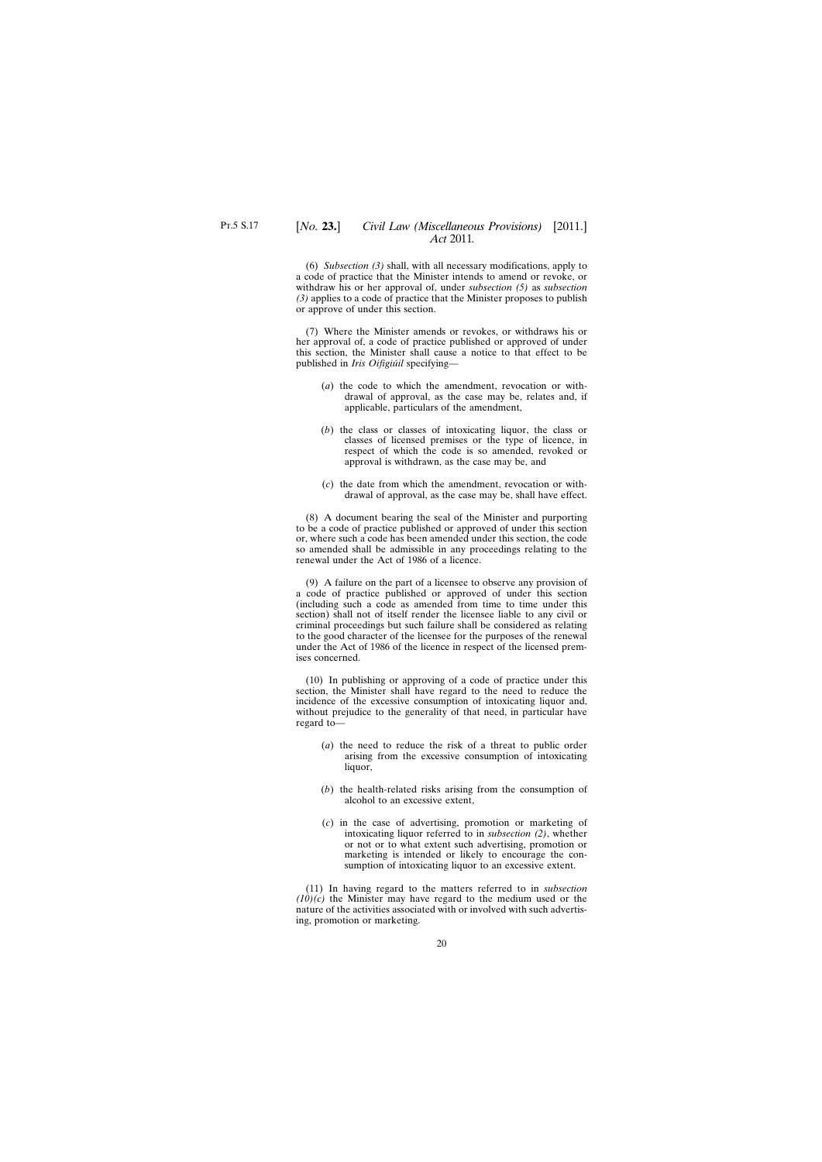(7) Where the Minister amends or revokes, or withdraws his or her approval of, a code of practice published or approved of under this section, the Minister shall cause a notice to that effect to be published in *Iris Oifigiúil* specifying—

- (*a*) the code to which the amendment, revocation or withdrawal of approval, as the case may be, relates and, if applicable, particulars of the amendment,
- (*b*) the class or classes of intoxicating liquor, the class or classes of licensed premises or the type of licence, in respect of which the code is so amended, revoked or approval is withdrawn, as the case may be, and
- (*c*) the date from which the amendment, revocation or withdrawal of approval, as the case may be, shall have effect.

(8) A document bearing the seal of the Minister and purporting to be a code of practice published or approved of under this section or, where such a code has been amended under this section, the code so amended shall be admissible in any proceedings relating to the renewal under the Act of 1986 of a licence.

(9) A failure on the part of a licensee to observe any provision of a code of practice published or approved of under this section (including such a code as amended from time to time under this section) shall not of itself render the licensee liable to any civil or criminal proceedings but such failure shall be considered as relating to the good character of the licensee for the purposes of the renewal under the Act of 1986 of the licence in respect of the licensed premises concerned.

(10) In publishing or approving of a code of practice under this section, the Minister shall have regard to the need to reduce the incidence of the excessive consumption of intoxicating liquor and, without prejudice to the generality of that need, in particular have regard to—

- (*a*) the need to reduce the risk of a threat to public order arising from the excessive consumption of intoxicating liquor,
- (*b*) the health-related risks arising from the consumption of alcohol to an excessive extent,
- (*c*) in the case of advertising, promotion or marketing of intoxicating liquor referred to in *subsection (2)*, whether or not or to what extent such advertising, promotion or marketing is intended or likely to encourage the consumption of intoxicating liquor to an excessive extent.

(11) In having regard to the matters referred to in *subsection (10)(c)* the Minister may have regard to the medium used or the nature of the activities associated with or involved with such advertising, promotion or marketing.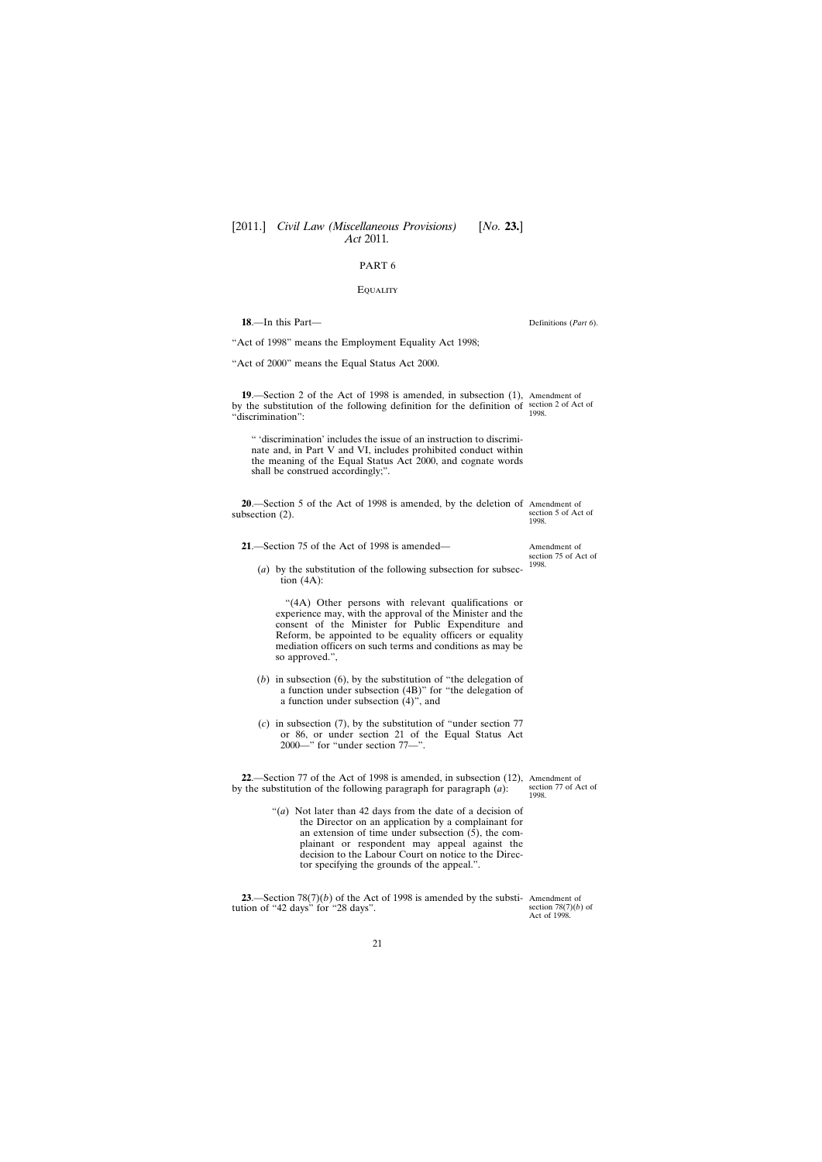#### **EQUALITY**

<span id="page-20-0"></span>**18**.—In this Part—

"Act of 1998" means the Employment Equality Act 1998;

"Act of 2000" means the Equal Status Act 2000.

**19**.—Section 2 of the Act of 1998 is amended, in subsection (1), Amendment of by the substitution of the following definition for the definition of section 2 of Act of "discrimination": 1998.

" 'discrimination' includes the issue of an instruction to discriminate and, in Part V and VI, includes prohibited conduct within the meaning of the Equal Status Act 2000, and cognate words shall be construed accordingly;".

**20**.—Section 5 of the Act of 1998 is amended, by the deletion of Amendment of subsection (2). section 5 of Act of 1998.

**21**.—Section 75 of the Act of 1998 is amended—

(*a*) by the substitution of the following subsection for subsection  $(4A)$ :

"(4A) Other persons with relevant qualifications or experience may, with the approval of the Minister and the consent of the Minister for Public Expenditure and Reform, be appointed to be equality officers or equality mediation officers on such terms and conditions as may be so approved.",

- (*b*) in subsection (6), by the substitution of "the delegation of a function under subsection (4B)" for "the delegation of a function under subsection (4)", and
- (*c*) in subsection (7), by the substitution of "under section 77 or 86, or under section 21 of the Equal Status Act 2000—" for "under section 77—".

**22**.—Section 77 of the Act of 1998 is amended, in subsection (12), Amendment of by the substitution of the following paragraph for paragraph (*a*): section 77 of Act of 1998.

> "(*a*) Not later than 42 days from the date of a decision of the Director on an application by a complainant for an extension of time under subsection  $(5)$ , the complainant or respondent may appeal against the decision to the Labour Court on notice to the Director specifying the grounds of the appeal.".

**23**.—Section 78(7)(*b*) of the Act of 1998 is amended by the substi-Amendment of tution of "42 days" for "28 days".

section  $78(7)(b)$  of Act of 1998.

Amendment of section 75 of Act of 1998.

Definitions (*Part 6*).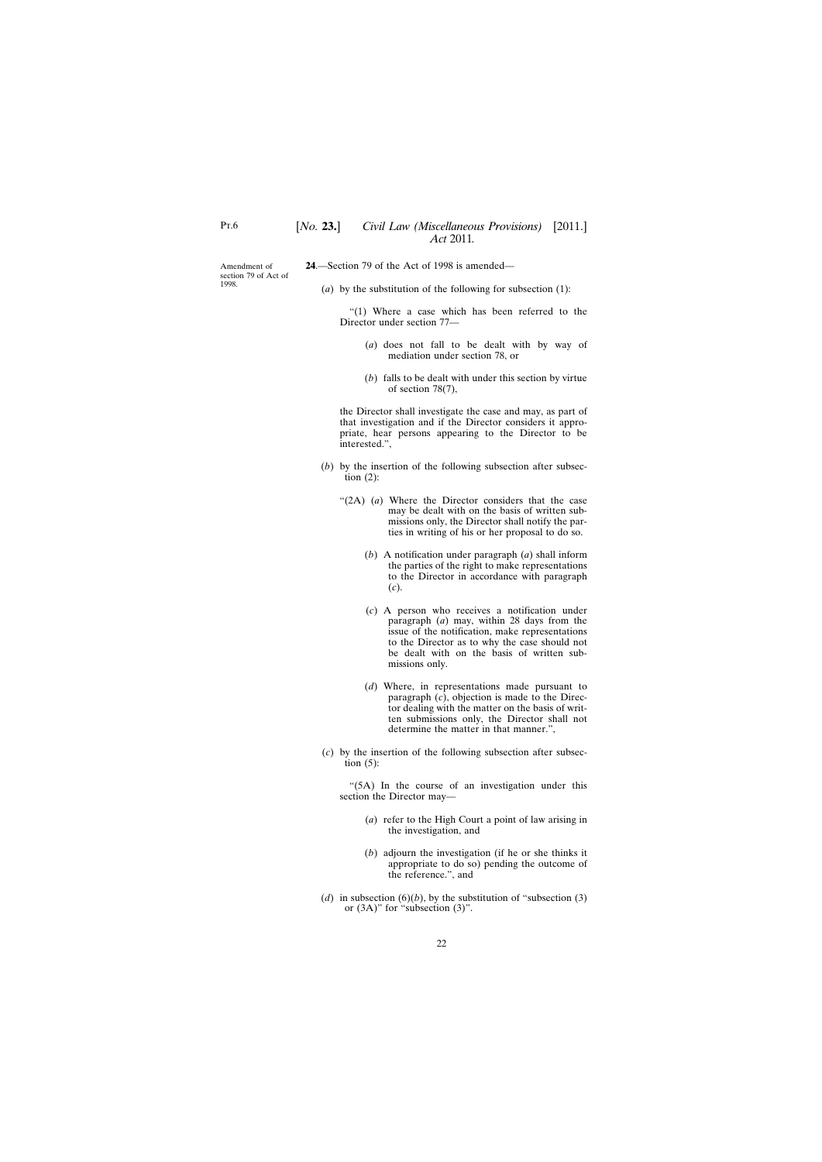<span id="page-21-0"></span>Amendment of section 79 of Act of 1998.

**24**.—Section 79 of the Act of 1998 is amended—

(*a*) by the substitution of the following for subsection (1):

"(1) Where a case which has been referred to the Director under section 77—

- (*a*) does not fall to be dealt with by way of mediation under section 78, or
- (*b*) falls to be dealt with under this section by virtue of section 78(7),

the Director shall investigate the case and may, as part of that investigation and if the Director considers it appropriate, hear persons appearing to the Director to be interested.",

- (*b*) by the insertion of the following subsection after subsection  $(2)$ :
	- "(2A) (*a*) Where the Director considers that the case may be dealt with on the basis of written submissions only, the Director shall notify the parties in writing of his or her proposal to do so.
		- (*b*) A notification under paragraph (*a*) shall inform the parties of the right to make representations to the Director in accordance with paragraph (*c*).
		- (*c*) A person who receives a notification under paragraph (*a*) may, within 28 days from the issue of the notification, make representations to the Director as to why the case should not be dealt with on the basis of written submissions only.
		- (*d*) Where, in representations made pursuant to paragraph (*c*), objection is made to the Director dealing with the matter on the basis of written submissions only, the Director shall not determine the matter in that manner.",
- (*c*) by the insertion of the following subsection after subsection  $(5)$ :

"(5A) In the course of an investigation under this section the Director may—

- (*a*) refer to the High Court a point of law arising in the investigation, and
- (*b*) adjourn the investigation (if he or she thinks it appropriate to do so) pending the outcome of the reference.", and
- (*d*) in subsection (6)(*b*), by the substitution of "subsection (3) or  $(3A)$ " for "subsection  $(3)$ ".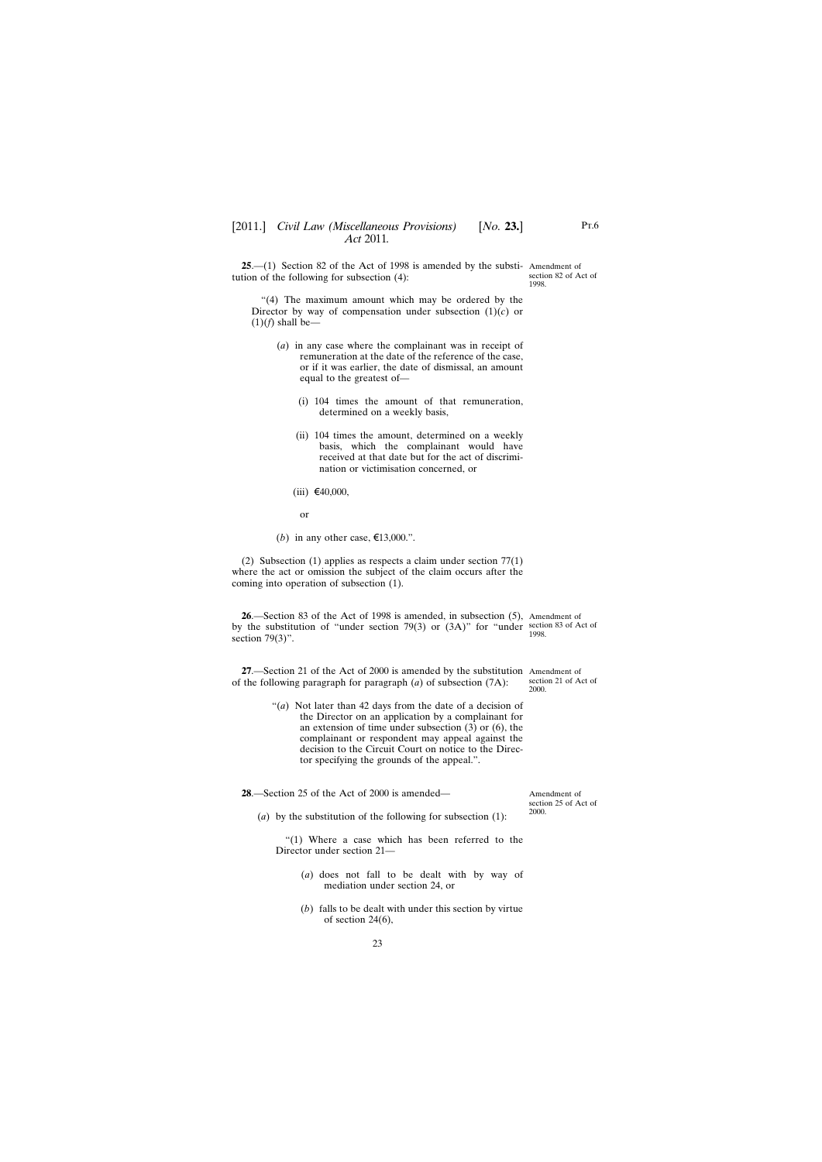<span id="page-22-0"></span>**25**.—(1) Section 82 of the Act of 1998 is amended by the substi-Amendment of tution of the following for subsection (4):

*Act* 2011*.*

section 82 of Act of 1998.

- (*a*) in any case where the complainant was in receipt of remuneration at the date of the reference of the case, or if it was earlier, the date of dismissal, an amount equal to the greatest of—
	- (i) 104 times the amount of that remuneration, determined on a weekly basis,
	- (ii) 104 times the amount, determined on a weekly basis, which the complainant would have received at that date but for the act of discrimination or victimisation concerned, or
	- $(iii)$  €40,000,

or

(*b*) in any other case,  $\epsilon$ 13,000.".

(2) Subsection (1) applies as respects a claim under section 77(1) where the act or omission the subject of the claim occurs after the coming into operation of subsection (1).

**26**.—Section 83 of the Act of 1998 is amended, in subsection (5), Amendment of by the substitution of "under section 79(3) or  $(3A)$ " for "under section 83 of Act of section  $79(3)$ ". 1998.

**27**.—Section 21 of the Act of 2000 is amended by the substitution Amendment of of the following paragraph for paragraph (*a*) of subsection (7A): section 21 of Act of 2000.

> "(*a*) Not later than 42 days from the date of a decision of the Director on an application by a complainant for an extension of time under subsection (3) or (6), the complainant or respondent may appeal against the decision to the Circuit Court on notice to the Director specifying the grounds of the appeal.".

**28**.—Section 25 of the Act of 2000 is amended—

Amendment of section 25 of Act of 2000.

(*a*) by the substitution of the following for subsection (1):

"(1) Where a case which has been referred to the Director under section 21—

- (*a*) does not fall to be dealt with by way of mediation under section 24, or
- (*b*) falls to be dealt with under this section by virtue of section 24(6),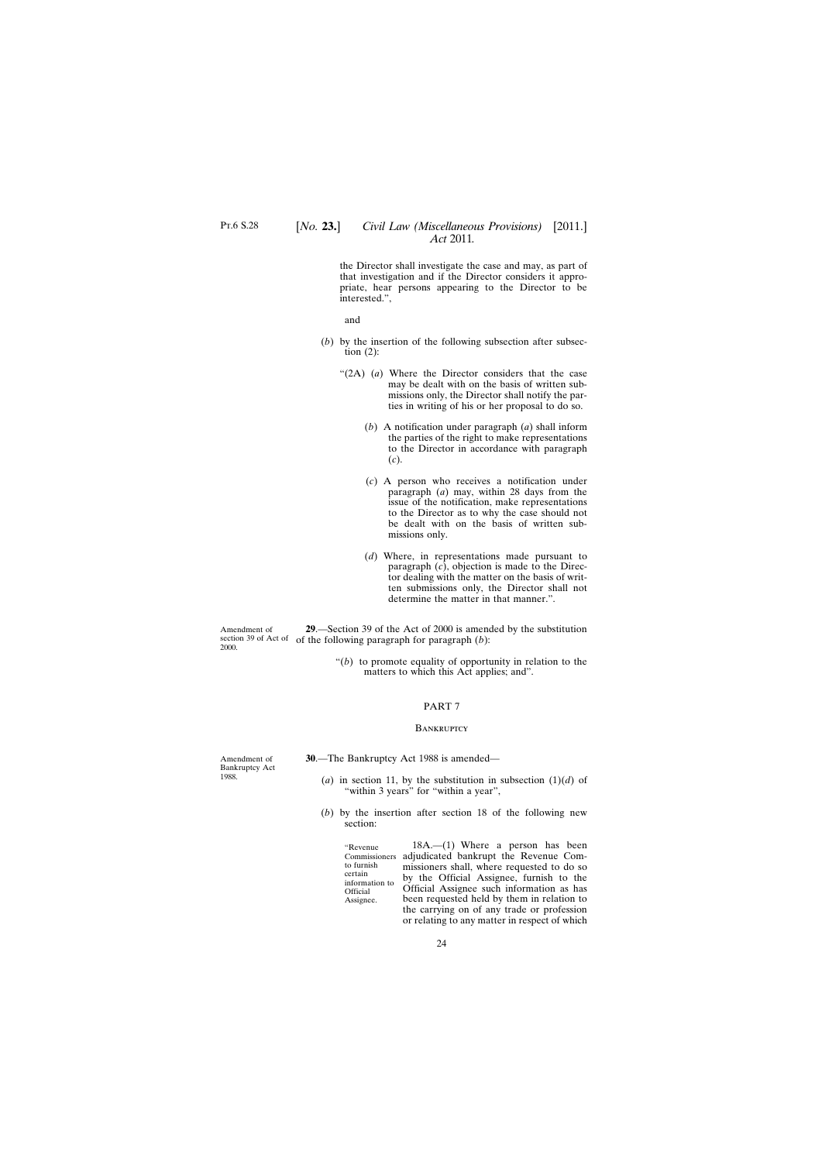<span id="page-23-0"></span>the Director shall investigate the case and may, as part of that investigation and if the Director considers it appropriate, hear persons appearing to the Director to be interested.",

and

- (*b*) by the insertion of the following subsection after subsection  $(2)$ :
	- "(2A) (*a*) Where the Director considers that the case may be dealt with on the basis of written submissions only, the Director shall notify the parties in writing of his or her proposal to do so.
		- (*b*) A notification under paragraph (*a*) shall inform the parties of the right to make representations to the Director in accordance with paragraph (*c*).
		- (*c*) A person who receives a notification under paragraph (*a*) may, within 28 days from the issue of the notification, make representations to the Director as to why the case should not be dealt with on the basis of written submissions only.
		- (*d*) Where, in representations made pursuant to paragraph (*c*), objection is made to the Director dealing with the matter on the basis of written submissions only, the Director shall not determine the matter in that manner.".

Amendment of section 39 of Act of of the following paragraph for paragraph  $(b)$ : 2000. **29**.—Section 39 of the Act of 2000 is amended by the substitution

> "(*b*) to promote equality of opportunity in relation to the matters to which this Act applies; and".

### PART 7

#### **BANKRUPTCY**

**30**.—The Bankruptcy Act 1988 is amended—

"Revenue

to furnish certain

**Official** Assignee.

- (*a*) in section 11, by the substitution in subsection  $(1)(d)$  of "within 3 years" for "within a year",
- (*b*) by the insertion after section 18 of the following new section:

Commissioners adjudicated bankrupt the Revenue Cominformation to 18A.—(1) Where a person has been missioners shall, where requested to do so by the Official Assignee, furnish to the Official Assignee such information as has been requested held by them in relation to the carrying on of any trade or profession or relating to any matter in respect of which

Amendment of Bankruptcy Act 1988.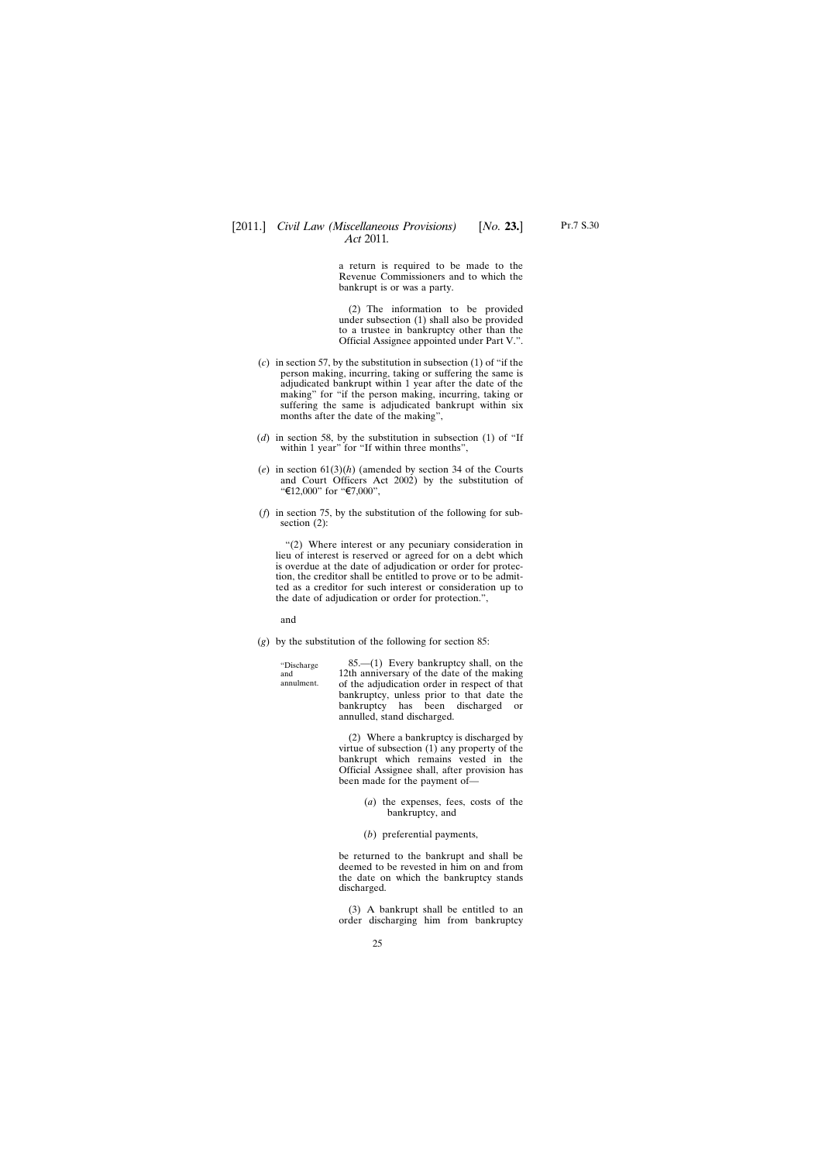a return is required to be made to the Revenue Commissioners and to which the bankrupt is or was a party.

(2) The information to be provided under subsection (1) shall also be provided to a trustee in bankruptcy other than the Official Assignee appointed under Part V.".

- (*c*) in section 57, by the substitution in subsection (1) of "if the person making, incurring, taking or suffering the same is adjudicated bankrupt within 1 year after the date of the making" for "if the person making, incurring, taking or suffering the same is adjudicated bankrupt within six months after the date of the making",
- (*d*) in section 58, by the substitution in subsection (1) of "If within 1 year" for "If within three months",
- (*e*) in section 61(3)(*h*) (amended by section 34 of the Courts and Court Officers Act 2002) by the substitution of "€12,000" for "€7,000",
- (*f*) in section 75, by the substitution of the following for subsection (2):

"(2) Where interest or any pecuniary consideration in lieu of interest is reserved or agreed for on a debt which is overdue at the date of adjudication or order for protection, the creditor shall be entitled to prove or to be admitted as a creditor for such interest or consideration up to the date of adjudication or order for protection.",

and

(*g*) by the substitution of the following for section 85:

"Discharge and annulment. 85.—(1) Every bankruptcy shall, on the 12th anniversary of the date of the making of the adjudication order in respect of that bankruptcy, unless prior to that date the bankruptcy has been discharged or annulled, stand discharged.

> (2) Where a bankruptcy is discharged by virtue of subsection (1) any property of the bankrupt which remains vested in the Official Assignee shall, after provision has been made for the payment of—

- (*a*) the expenses, fees, costs of the bankruptcy, and
- (*b*) preferential payments,

be returned to the bankrupt and shall be deemed to be revested in him on and from the date on which the bankruptcy stands discharged.

(3) A bankrupt shall be entitled to an order discharging him from bankruptcy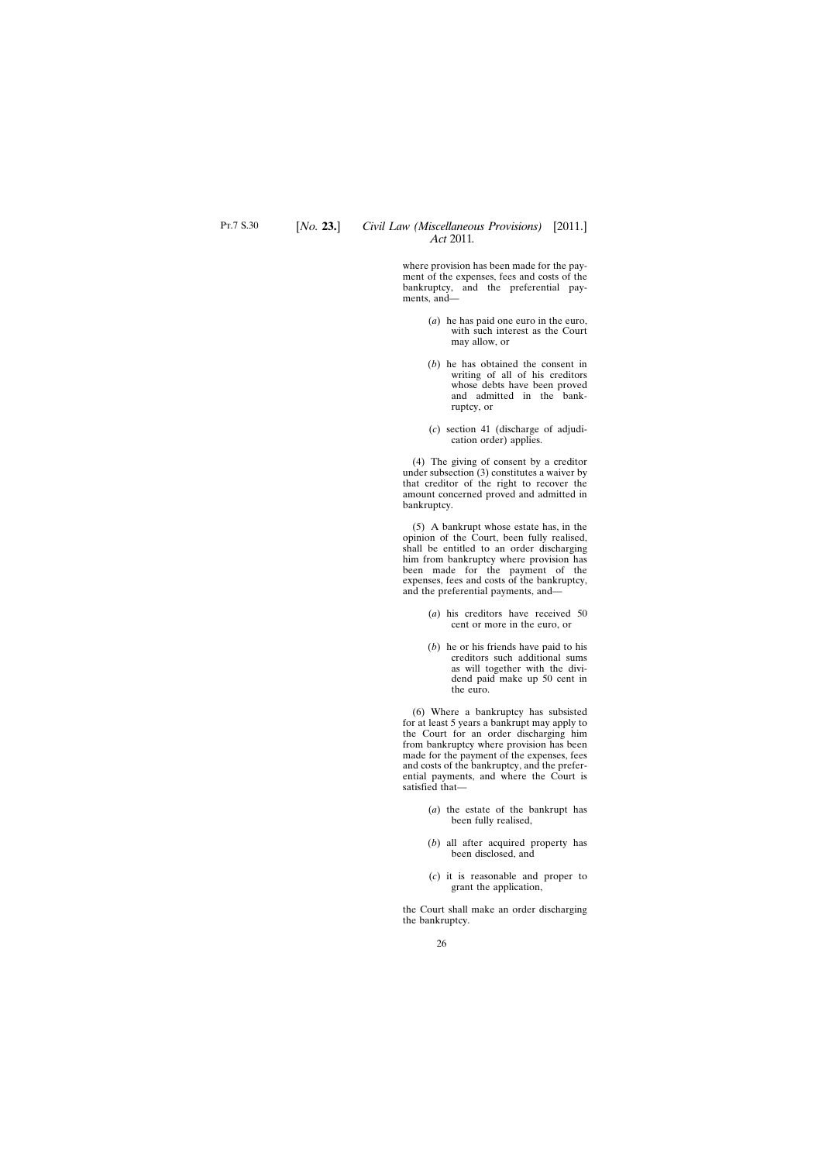where provision has been made for the payment of the expenses, fees and costs of the bankruptcy, and the preferential payments, and—

- (*a*) he has paid one euro in the euro, with such interest as the Court may allow, or
- (*b*) he has obtained the consent in writing of all of his creditors whose debts have been proved and admitted in the bankruptcy, or
- (*c*) section 41 (discharge of adjudication order) applies.

(4) The giving of consent by a creditor under subsection (3) constitutes a waiver by that creditor of the right to recover the amount concerned proved and admitted in bankruptcy.

(5) A bankrupt whose estate has, in the opinion of the Court, been fully realised, shall be entitled to an order discharging him from bankruptcy where provision has been made for the payment of the expenses, fees and costs of the bankruptcy, and the preferential payments, and—

- (*a*) his creditors have received 50 cent or more in the euro, or
- (*b*) he or his friends have paid to his creditors such additional sums as will together with the dividend paid make up 50 cent in the euro.

(6) Where a bankruptcy has subsisted for at least 5 years a bankrupt may apply to the Court for an order discharging him from bankruptcy where provision has been made for the payment of the expenses, fees and costs of the bankruptcy, and the preferential payments, and where the Court is satisfied that—

- (*a*) the estate of the bankrupt has been fully realised,
- (*b*) all after acquired property has been disclosed, and
- (*c*) it is reasonable and proper to grant the application,

the Court shall make an order discharging the bankruptcy.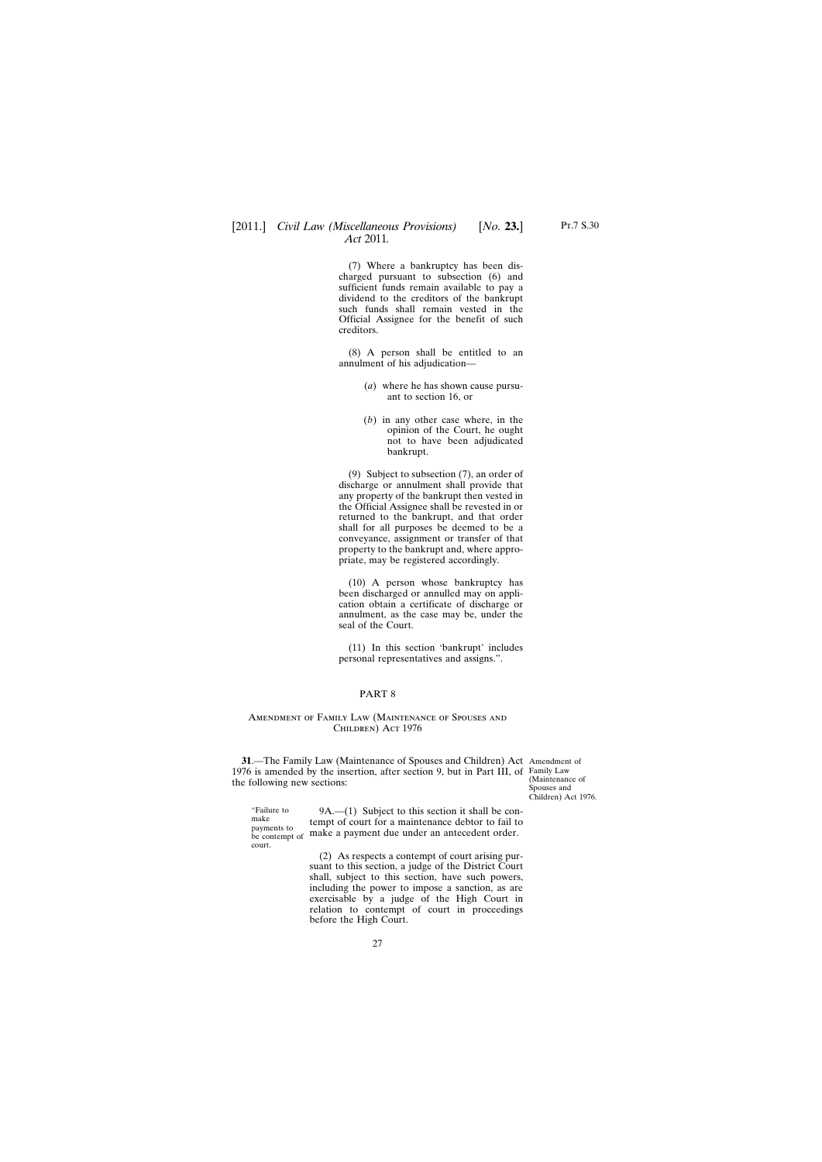<span id="page-26-0"></span>(7) Where a bankruptcy has been discharged pursuant to subsection (6) and sufficient funds remain available to pay a dividend to the creditors of the bankrupt such funds shall remain vested in the Official Assignee for the benefit of such creditors.

(8) A person shall be entitled to an annulment of his adjudication—

- (*a*) where he has shown cause pursuant to section 16, or
- (*b*) in any other case where, in the opinion of the Court, he ought not to have been adjudicated bankrupt.

(9) Subject to subsection (7), an order of discharge or annulment shall provide that any property of the bankrupt then vested in the Official Assignee shall be revested in or returned to the bankrupt, and that order shall for all purposes be deemed to be a conveyance, assignment or transfer of that property to the bankrupt and, where appropriate, may be registered accordingly.

(10) A person whose bankruptcy has been discharged or annulled may on application obtain a certificate of discharge or annulment, as the case may be, under the seal of the Court.

(11) In this section 'bankrupt' includes personal representatives and assigns.".

### PART 8

#### Amendment of Family Law (Maintenance of Spouses and Children) Act 1976

**31**.—The Family Law (Maintenance of Spouses and Children) Act Amendment of 1976 is amended by the insertion, after section 9, but in Part III, of Family Law the following new sections:

(Maintenance of Spouses and Children) Act 1976.

"Failure to make payments to court.

be contempt of make a payment due under an antecedent order. 9A.—(1) Subject to this section it shall be contempt of court for a maintenance debtor to fail to

> (2) As respects a contempt of court arising pursuant to this section, a judge of the District Court shall, subject to this section, have such powers, including the power to impose a sanction, as are exercisable by a judge of the High Court in relation to contempt of court in proceedings before the High Court.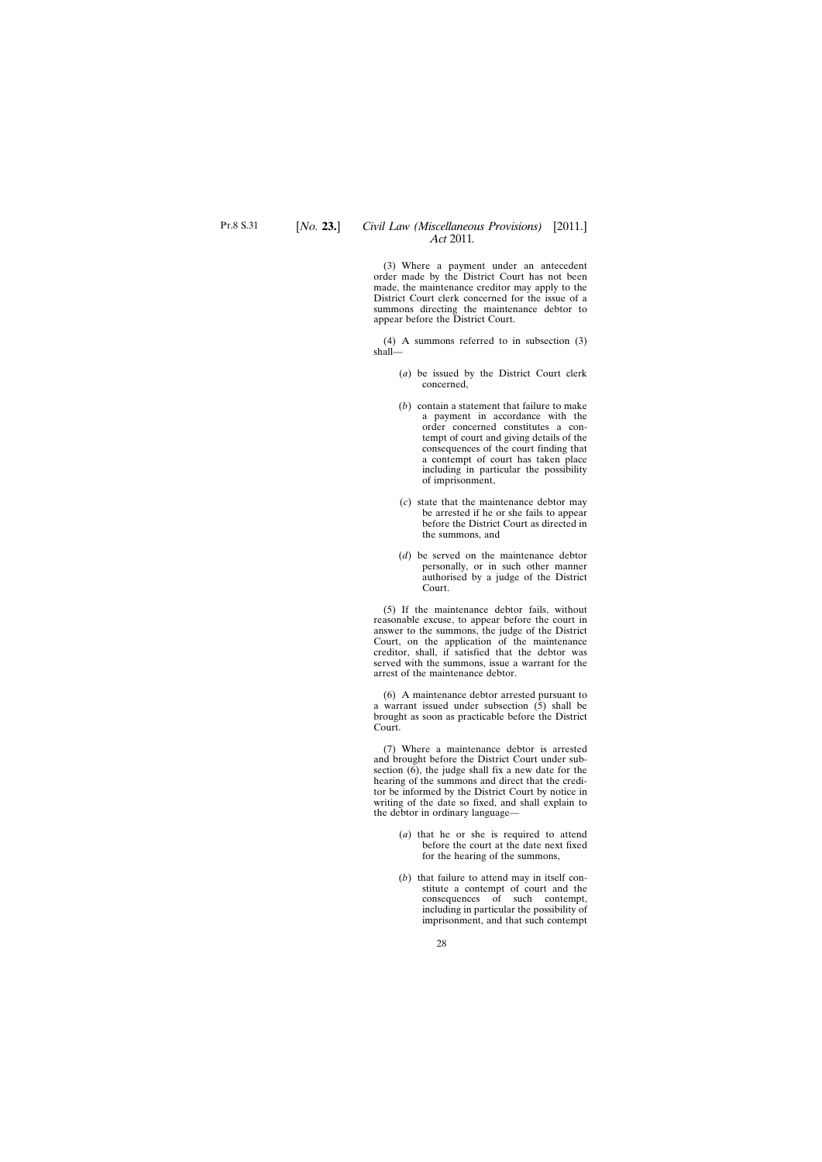(3) Where a payment under an antecedent order made by the District Court has not been made, the maintenance creditor may apply to the District Court clerk concerned for the issue of a summons directing the maintenance debtor to appear before the District Court.

(4) A summons referred to in subsection (3) shall—

- (*a*) be issued by the District Court clerk concerned,
- (*b*) contain a statement that failure to make a payment in accordance with the order concerned constitutes a contempt of court and giving details of the consequences of the court finding that a contempt of court has taken place including in particular the possibility of imprisonment,
- (*c*) state that the maintenance debtor may be arrested if he or she fails to appear before the District Court as directed in the summons, and
- (*d*) be served on the maintenance debtor personally, or in such other manner authorised by a judge of the District Court.

(5) If the maintenance debtor fails, without reasonable excuse, to appear before the court in answer to the summons, the judge of the District Court, on the application of the maintenance creditor, shall, if satisfied that the debtor was served with the summons, issue a warrant for the arrest of the maintenance debtor.

(6) A maintenance debtor arrested pursuant to a warrant issued under subsection  $(5)$  shall be brought as soon as practicable before the District Court.

(7) Where a maintenance debtor is arrested and brought before the District Court under subsection  $(6)$ , the judge shall fix a new date for the hearing of the summons and direct that the creditor be informed by the District Court by notice in writing of the date so fixed, and shall explain to the debtor in ordinary language—

- (*a*) that he or she is required to attend before the court at the date next fixed for the hearing of the summons,
- (*b*) that failure to attend may in itself constitute a contempt of court and the consequences of such contempt, including in particular the possibility of imprisonment, and that such contempt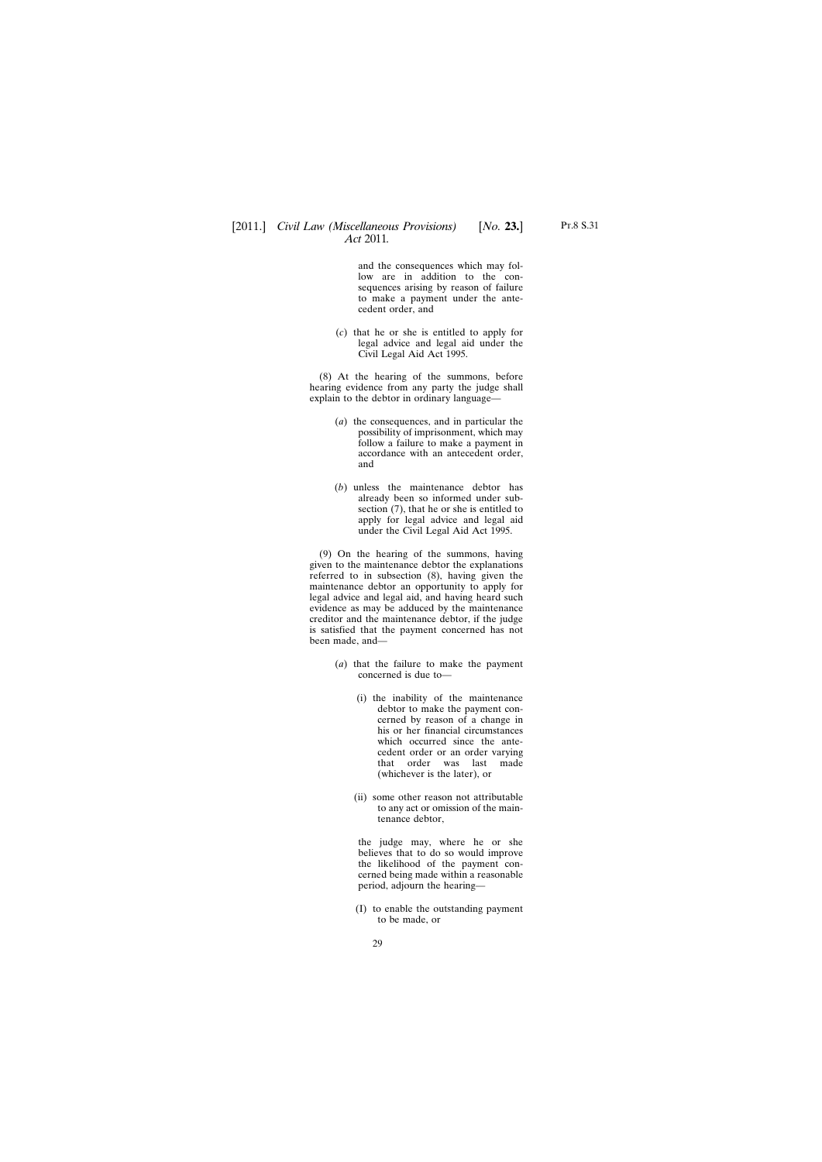and the consequences which may follow are in addition to the consequences arising by reason of failure to make a payment under the antecedent order, and

(*c*) that he or she is entitled to apply for legal advice and legal aid under the Civil Legal Aid Act 1995.

(8) At the hearing of the summons, before hearing evidence from any party the judge shall explain to the debtor in ordinary language—

- (*a*) the consequences, and in particular the possibility of imprisonment, which may follow a failure to make a payment in accordance with an antecedent order, and
- (*b*) unless the maintenance debtor has already been so informed under subsection (7), that he or she is entitled to apply for legal advice and legal aid under the Civil Legal Aid Act 1995.

(9) On the hearing of the summons, having given to the maintenance debtor the explanations referred to in subsection (8), having given the maintenance debtor an opportunity to apply for legal advice and legal aid, and having heard such evidence as may be adduced by the maintenance creditor and the maintenance debtor, if the judge is satisfied that the payment concerned has not been made, and—

- (*a*) that the failure to make the payment concerned is due to—
	- (i) the inability of the maintenance debtor to make the payment concerned by reason of a change in his or her financial circumstances which occurred since the antecedent order or an order varying that order was last made (whichever is the later), or
	- (ii) some other reason not attributable to any act or omission of the maintenance debtor,

the judge may, where he or she believes that to do so would improve the likelihood of the payment concerned being made within a reasonable period, adjourn the hearing—

(I) to enable the outstanding payment to be made, or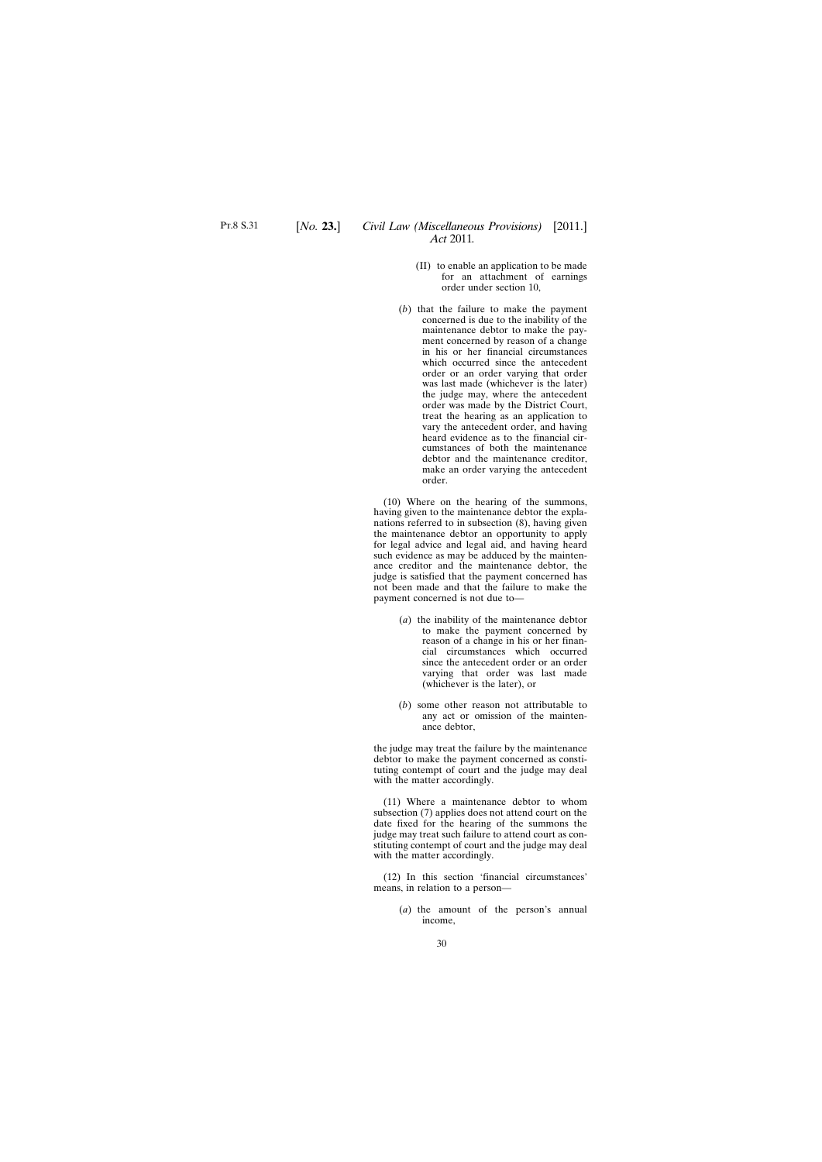- (II) to enable an application to be made for an attachment of earnings order under section 10,
- (*b*) that the failure to make the payment concerned is due to the inability of the maintenance debtor to make the payment concerned by reason of a change in his or her financial circumstances which occurred since the antecedent order or an order varying that order was last made (whichever is the later) the judge may, where the antecedent order was made by the District Court, treat the hearing as an application to vary the antecedent order, and having heard evidence as to the financial circumstances of both the maintenance debtor and the maintenance creditor, make an order varying the antecedent order.

(10) Where on the hearing of the summons, having given to the maintenance debtor the explanations referred to in subsection (8), having given the maintenance debtor an opportunity to apply for legal advice and legal aid, and having heard such evidence as may be adduced by the maintenance creditor and the maintenance debtor, the judge is satisfied that the payment concerned has not been made and that the failure to make the payment concerned is not due to—

- (*a*) the inability of the maintenance debtor to make the payment concerned by reason of a change in his or her financial circumstances which occurred since the antecedent order or an order varying that order was last made (whichever is the later), or
- (*b*) some other reason not attributable to any act or omission of the maintenance debtor,

the judge may treat the failure by the maintenance debtor to make the payment concerned as constituting contempt of court and the judge may deal with the matter accordingly.

(11) Where a maintenance debtor to whom subsection (7) applies does not attend court on the date fixed for the hearing of the summons the judge may treat such failure to attend court as constituting contempt of court and the judge may deal with the matter accordingly.

(12) In this section 'financial circumstances' means, in relation to a person—

> (*a*) the amount of the person's annual income,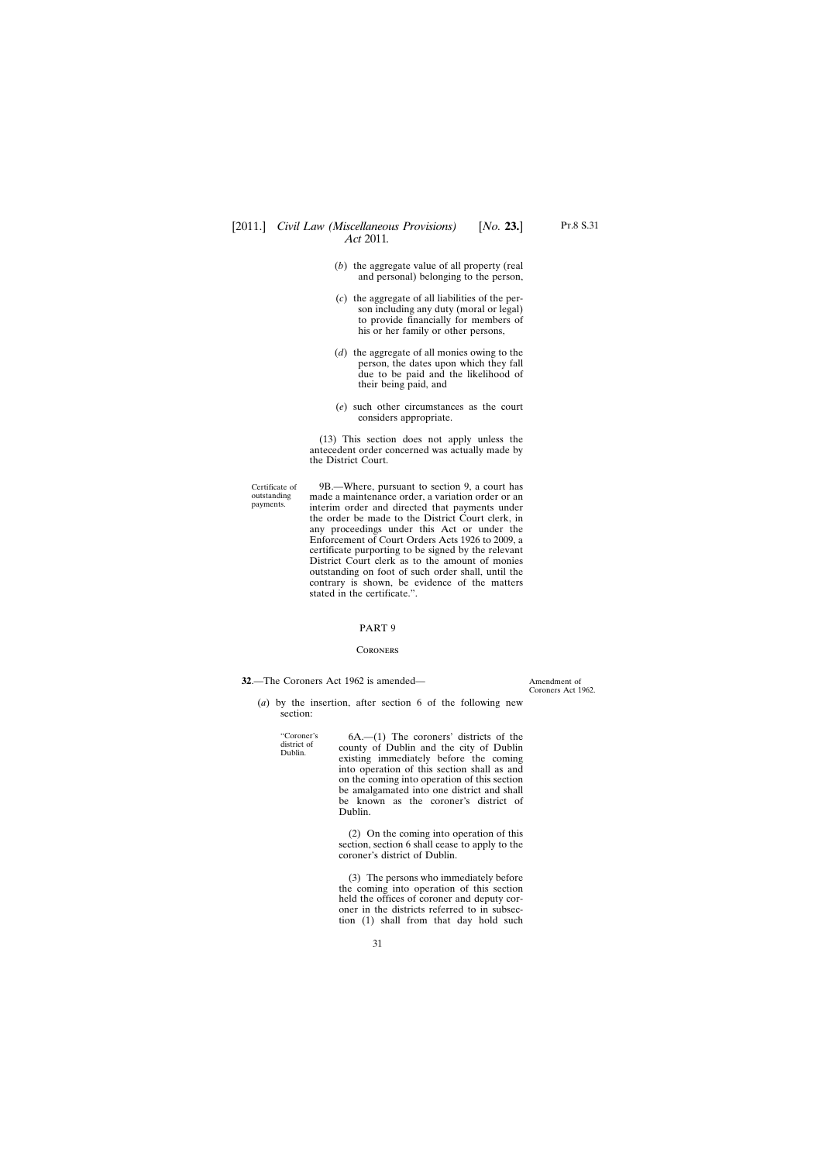- <span id="page-30-0"></span>(*b*) the aggregate value of all property (real and personal) belonging to the person,
- (*c*) the aggregate of all liabilities of the person including any duty (moral or legal) to provide financially for members of his or her family or other persons,
- (*d*) the aggregate of all monies owing to the person, the dates upon which they fall due to be paid and the likelihood of their being paid, and
- (*e*) such other circumstances as the court considers appropriate.

(13) This section does not apply unless the antecedent order concerned was actually made by the District Court.

Certificate of outstanding payments.

9B.—Where, pursuant to section 9, a court has made a maintenance order, a variation order or an interim order and directed that payments under the order be made to the District Court clerk, in any proceedings under this Act or under the Enforcement of Court Orders Acts 1926 to 2009, a certificate purporting to be signed by the relevant District Court clerk as to the amount of monies outstanding on foot of such order shall, until the contrary is shown, be evidence of the matters stated in the certificate.".

#### PART 9

#### **CORONERS**

**32**.—The Coroners Act 1962 is amended—

Amendment of Coroners Act 1962.

(*a*) by the insertion, after section 6 of the following new section:

"Coroner's district of Dublin.

6A.—(1) The coroners' districts of the county of Dublin and the city of Dublin existing immediately before the coming into operation of this section shall as and on the coming into operation of this section be amalgamated into one district and shall be known as the coroner's district of Dublin.

(2) On the coming into operation of this section, section 6 shall cease to apply to the coroner's district of Dublin.

(3) The persons who immediately before the coming into operation of this section held the offices of coroner and deputy coroner in the districts referred to in subsection (1) shall from that day hold such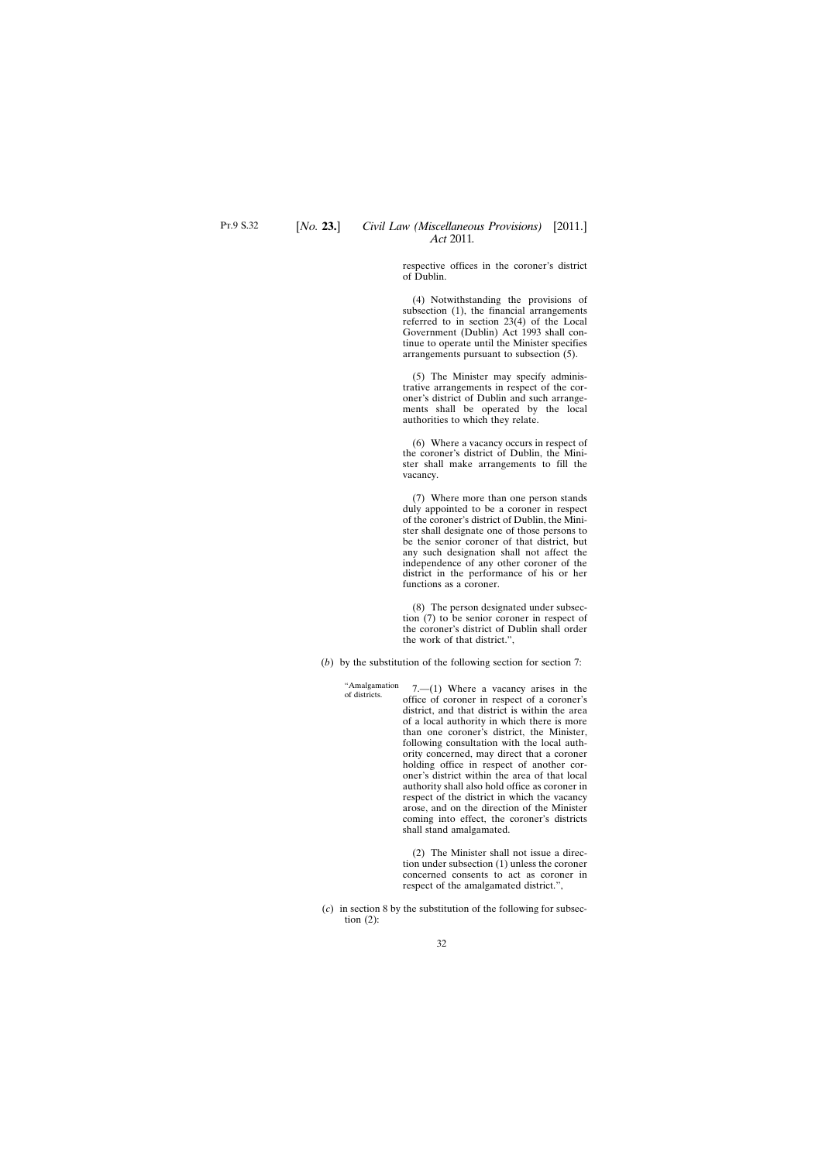respective offices in the coroner's district of Dublin.

(4) Notwithstanding the provisions of subsection (1), the financial arrangements referred to in section 23(4) of the Local Government (Dublin) Act 1993 shall continue to operate until the Minister specifies arrangements pursuant to subsection (5).

(5) The Minister may specify administrative arrangements in respect of the coroner's district of Dublin and such arrangements shall be operated by the local authorities to which they relate.

(6) Where a vacancy occurs in respect of the coroner's district of Dublin, the Minister shall make arrangements to fill the vacancy.

(7) Where more than one person stands duly appointed to be a coroner in respect of the coroner's district of Dublin, the Minister shall designate one of those persons to be the senior coroner of that district, but any such designation shall not affect the independence of any other coroner of the district in the performance of his or her functions as a coroner.

(8) The person designated under subsection (7) to be senior coroner in respect of the coroner's district of Dublin shall order the work of that district.",

(*b*) by the substitution of the following section for section 7:

"Amalgamation 7.— $(1)$  Where a vacancy arises in the office of coroner in respect of a coroner's district, and that district is within the area of a local authority in which there is more than one coroner's district, the Minister, following consultation with the local authority concerned, may direct that a coroner holding office in respect of another coroner's district within the area of that local authority shall also hold office as coroner in respect of the district in which the vacancy arose, and on the direction of the Minister coming into effect, the coroner's districts shall stand amalgamated.

> (2) The Minister shall not issue a direction under subsection (1) unless the coroner concerned consents to act as coroner in respect of the amalgamated district.",

(*c*) in section 8 by the substitution of the following for subsection  $(2)$ :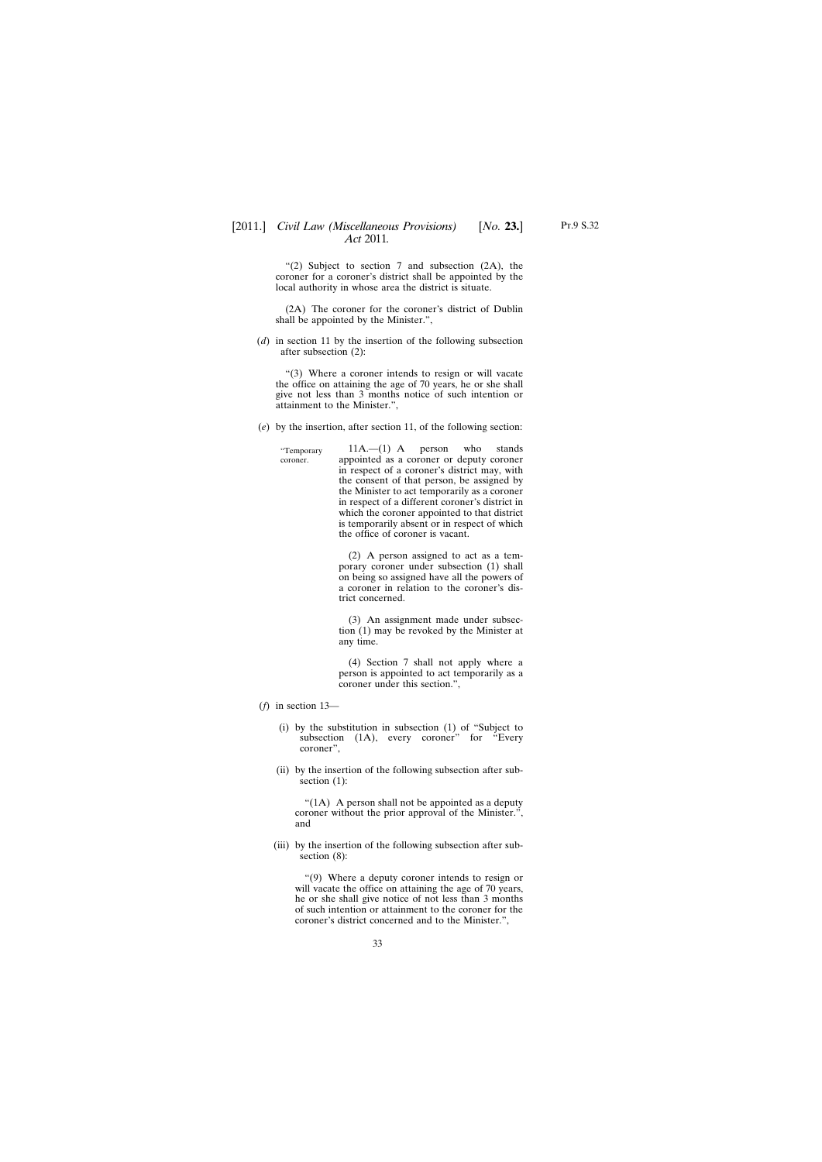"(2) Subject to section 7 and subsection (2A), the coroner for a coroner's district shall be appointed by the local authority in whose area the district is situate.

(2A) The coroner for the coroner's district of Dublin shall be appointed by the Minister.",

(*d*) in section 11 by the insertion of the following subsection after subsection (2):

"(3) Where a coroner intends to resign or will vacate the office on attaining the age of 70 years, he or she shall give not less than 3 months notice of such intention or attainment to the Minister.",

(*e*) by the insertion, after section 11, of the following section:

"Temporary coroner. 11A.—(1) A person who stands appointed as a coroner or deputy coroner in respect of a coroner's district may, with the consent of that person, be assigned by the Minister to act temporarily as a coroner in respect of a different coroner's district in which the coroner appointed to that district is temporarily absent or in respect of which the office of coroner is vacant.

> (2) A person assigned to act as a temporary coroner under subsection (1) shall on being so assigned have all the powers of a coroner in relation to the coroner's district concerned.

> (3) An assignment made under subsection (1) may be revoked by the Minister at any time.

> (4) Section 7 shall not apply where a person is appointed to act temporarily as a coroner under this section.",

- (*f*) in section 13—
	- (i) by the substitution in subsection (1) of "Subject to subsection (1A), every coroner" for "Every coroner",
	- (ii) by the insertion of the following subsection after subsection (1):

" $(1A)$  A person shall not be appointed as a deputy coroner without the prior approval of the Minister.", and

(iii) by the insertion of the following subsection after subsection (8):

"(9) Where a deputy coroner intends to resign or will vacate the office on attaining the age of 70 years, he or she shall give notice of not less than 3 months of such intention or attainment to the coroner for the coroner's district concerned and to the Minister.",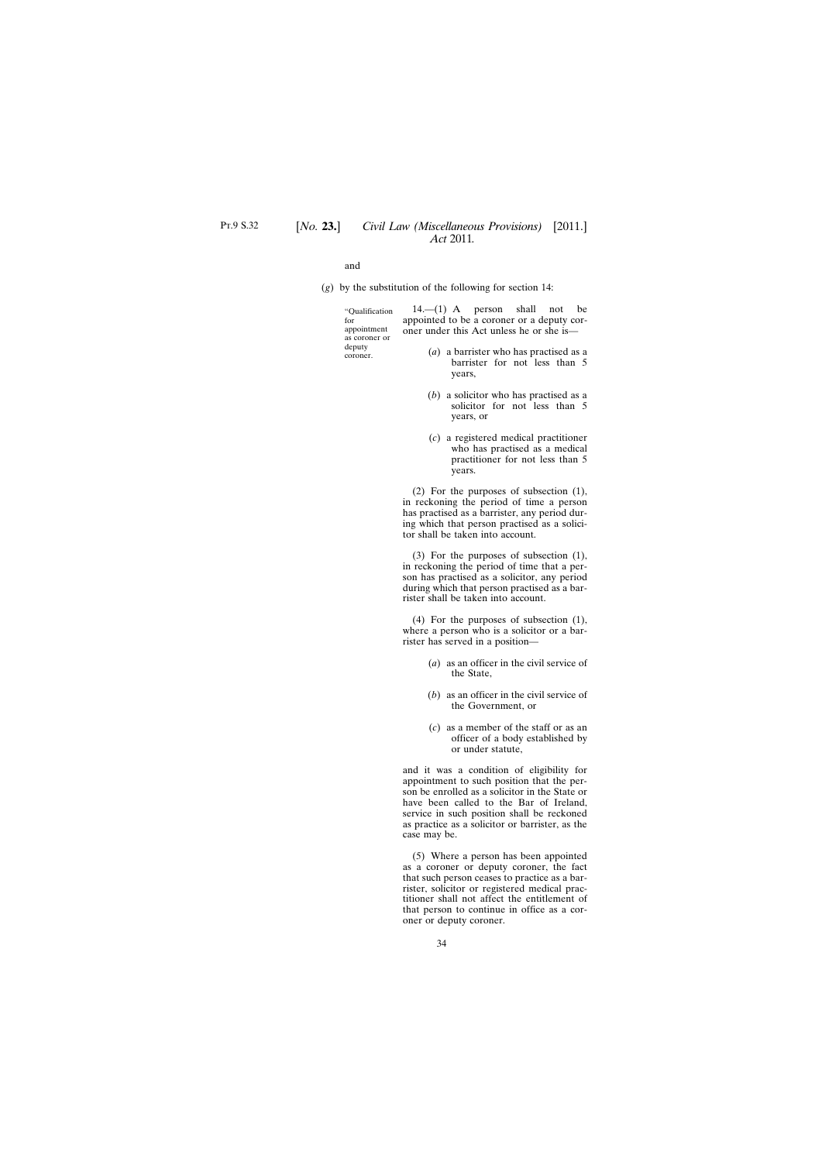and

(*g*) by the substitution of the following for section 14:

| "Oualification          | $14.$ (1) A person shall not be            |
|-------------------------|--------------------------------------------|
| for                     | appointed to be a coroner or a deputy cor- |
| appointment             | oner under this Act unless he or she is—   |
| as coroner or<br>deputy |                                            |
| coroner.                | $(a)$ a barrister who has practised as a   |
|                         | barrister for not less than 5              |

- years, (*b*) a solicitor who has practised as a
- solicitor for not less than 5 years, or
- (*c*) a registered medical practitioner who has practised as a medical practitioner for not less than 5 years.

(2) For the purposes of subsection (1), in reckoning the period of time a person has practised as a barrister, any period during which that person practised as a solicitor shall be taken into account.

(3) For the purposes of subsection (1), in reckoning the period of time that a person has practised as a solicitor, any period during which that person practised as a barrister shall be taken into account.

(4) For the purposes of subsection (1), where a person who is a solicitor or a barrister has served in a position—

- (*a*) as an officer in the civil service of the State,
- (*b*) as an officer in the civil service of the Government, or
- (*c*) as a member of the staff or as an officer of a body established by or under statute,

and it was a condition of eligibility for appointment to such position that the person be enrolled as a solicitor in the State or have been called to the Bar of Ireland, service in such position shall be reckoned as practice as a solicitor or barrister, as the case may be.

(5) Where a person has been appointed as a coroner or deputy coroner, the fact that such person ceases to practice as a barrister, solicitor or registered medical practitioner shall not affect the entitlement of that person to continue in office as a coroner or deputy coroner.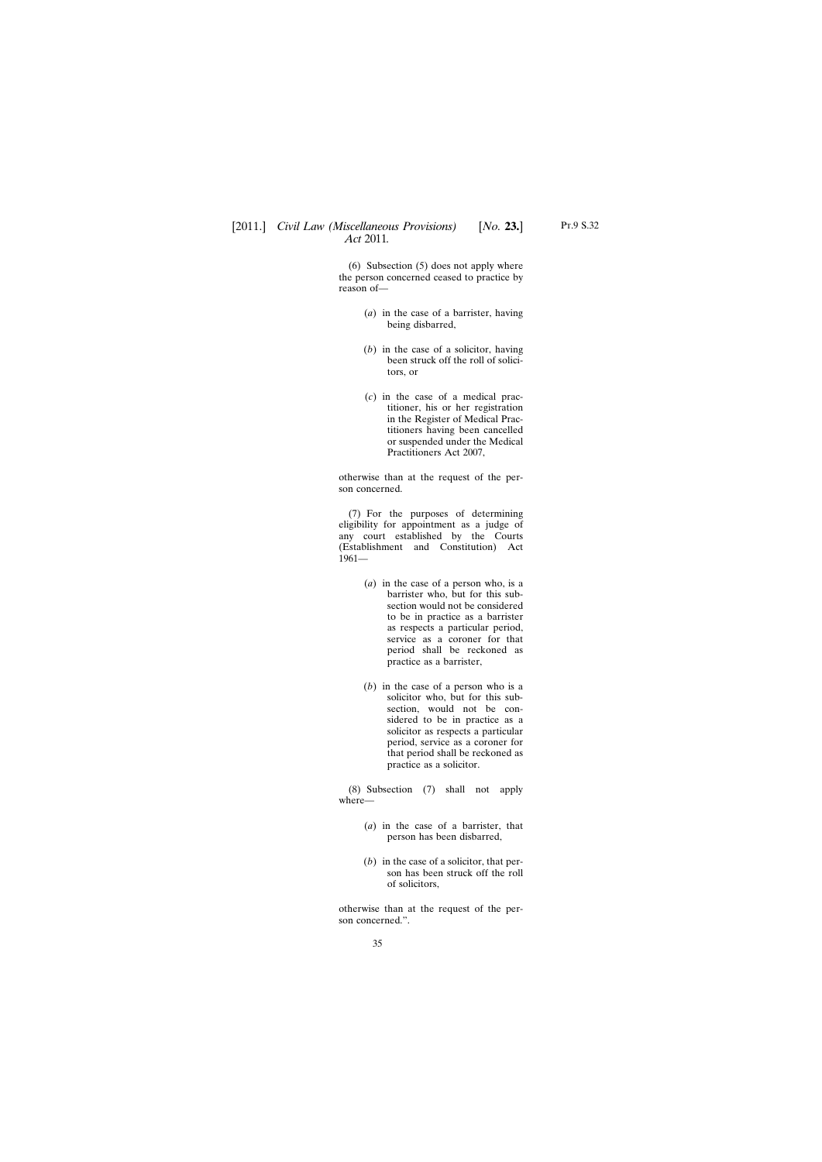(6) Subsection (5) does not apply where the person concerned ceased to practice by reason of—

- (*a*) in the case of a barrister, having being disbarred,
- (*b*) in the case of a solicitor, having been struck off the roll of solicitors, or
- (*c*) in the case of a medical practitioner, his or her registration in the Register of Medical Practitioners having been cancelled or suspended under the Medical Practitioners Act 2007,

otherwise than at the request of the person concerned.

(7) For the purposes of determining eligibility for appointment as a judge of any court established by the Courts (Establishment and Constitution) Act 1961—

- (*a*) in the case of a person who, is a barrister who, but for this subsection would not be considered to be in practice as a barrister as respects a particular period, service as a coroner for that period shall be reckoned as practice as a barrister,
- (*b*) in the case of a person who is a solicitor who, but for this subsection, would not be considered to be in practice as a solicitor as respects a particular period, service as a coroner for that period shall be reckoned as practice as a solicitor.

(8) Subsection (7) shall not apply where—

- (*a*) in the case of a barrister, that person has been disbarred,
- (*b*) in the case of a solicitor, that person has been struck off the roll of solicitors,

otherwise than at the request of the person concerned.".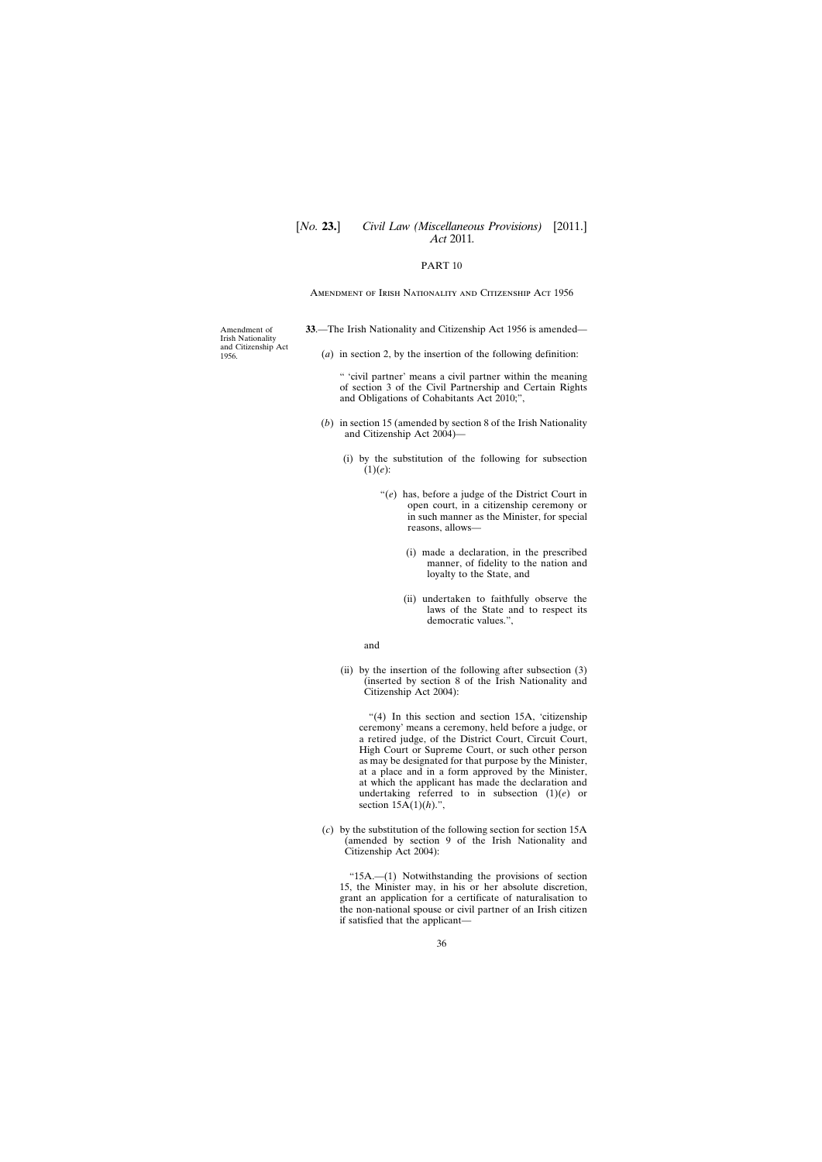# <span id="page-35-0"></span>[*No.* **23.**] *Civil Law (Miscellaneous Provisions)* [2011.] *Act* 2011*.*

# PART 10

#### Amendment of Irish Nationality and Citizenship Act 1956

Amendment of Irish Nationality and Citizenship Act 1956.

- **33**.—The Irish Nationality and Citizenship Act 1956 is amended—
	- (*a*) in section 2, by the insertion of the following definition:

" 'civil partner' means a civil partner within the meaning of section 3 of the Civil Partnership and Certain Rights and Obligations of Cohabitants Act 2010;",

- (*b*) in section 15 (amended by section 8 of the Irish Nationality and Citizenship Act 2004)—
	- (i) by the substitution of the following for subsection (1)(*e*):
		- "(*e*) has, before a judge of the District Court in open court, in a citizenship ceremony or in such manner as the Minister, for special reasons, allows—
			- (i) made a declaration, in the prescribed manner, of fidelity to the nation and loyalty to the State, and
			- (ii) undertaken to faithfully observe the laws of the State and to respect its democratic values.",

#### and

(ii) by the insertion of the following after subsection (3) (inserted by section 8 of the Irish Nationality and Citizenship Act 2004):

"(4) In this section and section 15A, 'citizenship ceremony' means a ceremony, held before a judge, or a retired judge, of the District Court, Circuit Court, High Court or Supreme Court, or such other person as may be designated for that purpose by the Minister, at a place and in a form approved by the Minister, at which the applicant has made the declaration and undertaking referred to in subsection (1)(*e*) or section 15A(1)(*h*).",

(*c*) by the substitution of the following section for section 15A (amended by section 9 of the Irish Nationality and Citizenship Act 2004):

"15A.—(1) Notwithstanding the provisions of section 15, the Minister may, in his or her absolute discretion, grant an application for a certificate of naturalisation to the non-national spouse or civil partner of an Irish citizen if satisfied that the applicant—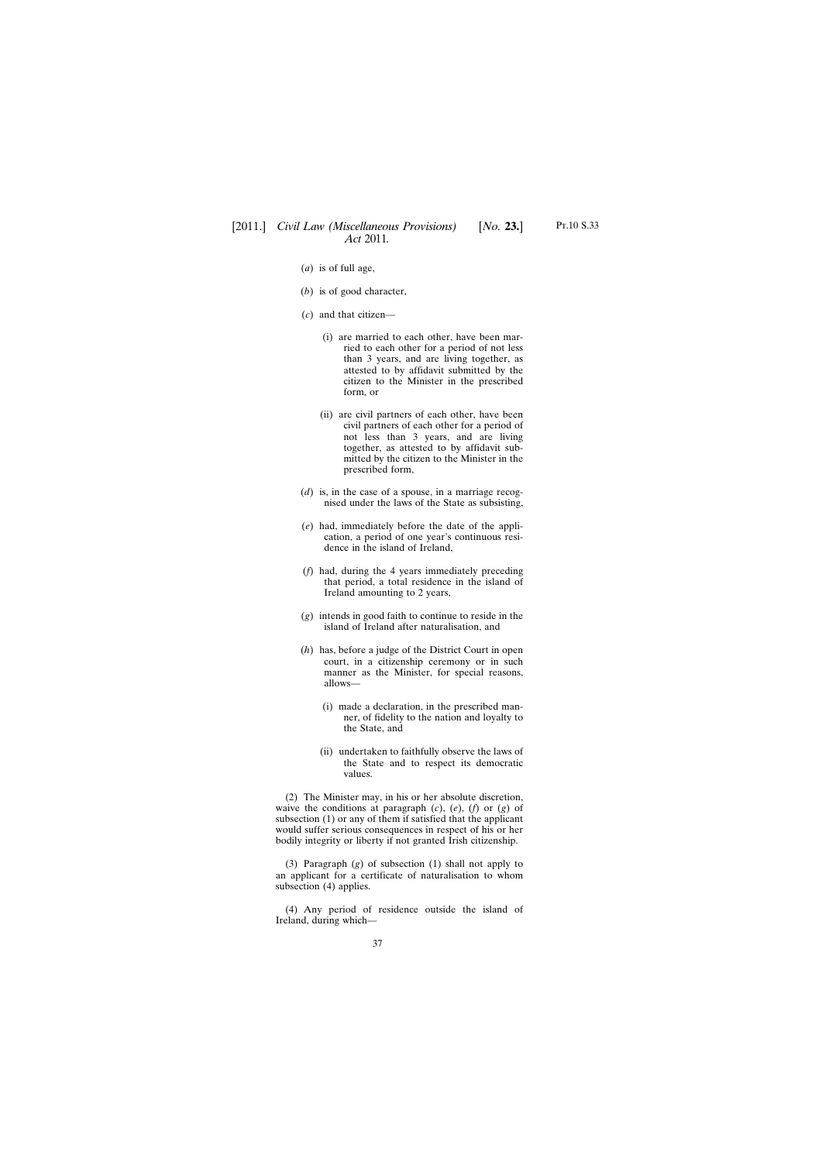- (*a*) is of full age,
- (*b*) is of good character,
- (*c*) and that citizen—
	- (i) are married to each other, have been married to each other for a period of not less than 3 years, and are living together, as attested to by affidavit submitted by the citizen to the Minister in the prescribed form, or
	- (ii) are civil partners of each other, have been civil partners of each other for a period of not less than 3 years, and are living together, as attested to by affidavit submitted by the citizen to the Minister in the prescribed form,
- (*d*) is, in the case of a spouse, in a marriage recognised under the laws of the State as subsisting,
- (*e*) had, immediately before the date of the application, a period of one year's continuous residence in the island of Ireland,
- (*f*) had, during the 4 years immediately preceding that period, a total residence in the island of Ireland amounting to 2 years,
- (*g*) intends in good faith to continue to reside in the island of Ireland after naturalisation, and
- (*h*) has, before a judge of the District Court in open court, in a citizenship ceremony or in such manner as the Minister, for special reasons, allows—
	- (i) made a declaration, in the prescribed manner, of fidelity to the nation and loyalty to the State, and
	- (ii) undertaken to faithfully observe the laws of the State and to respect its democratic values.

(2) The Minister may, in his or her absolute discretion, waive the conditions at paragraph (*c*), (*e*), (*f*) or (*g*) of subsection (1) or any of them if satisfied that the applicant would suffer serious consequences in respect of his or her bodily integrity or liberty if not granted Irish citizenship.

(3) Paragraph (*g*) of subsection (1) shall not apply to an applicant for a certificate of naturalisation to whom subsection (4) applies.

(4) Any period of residence outside the island of Ireland, during which—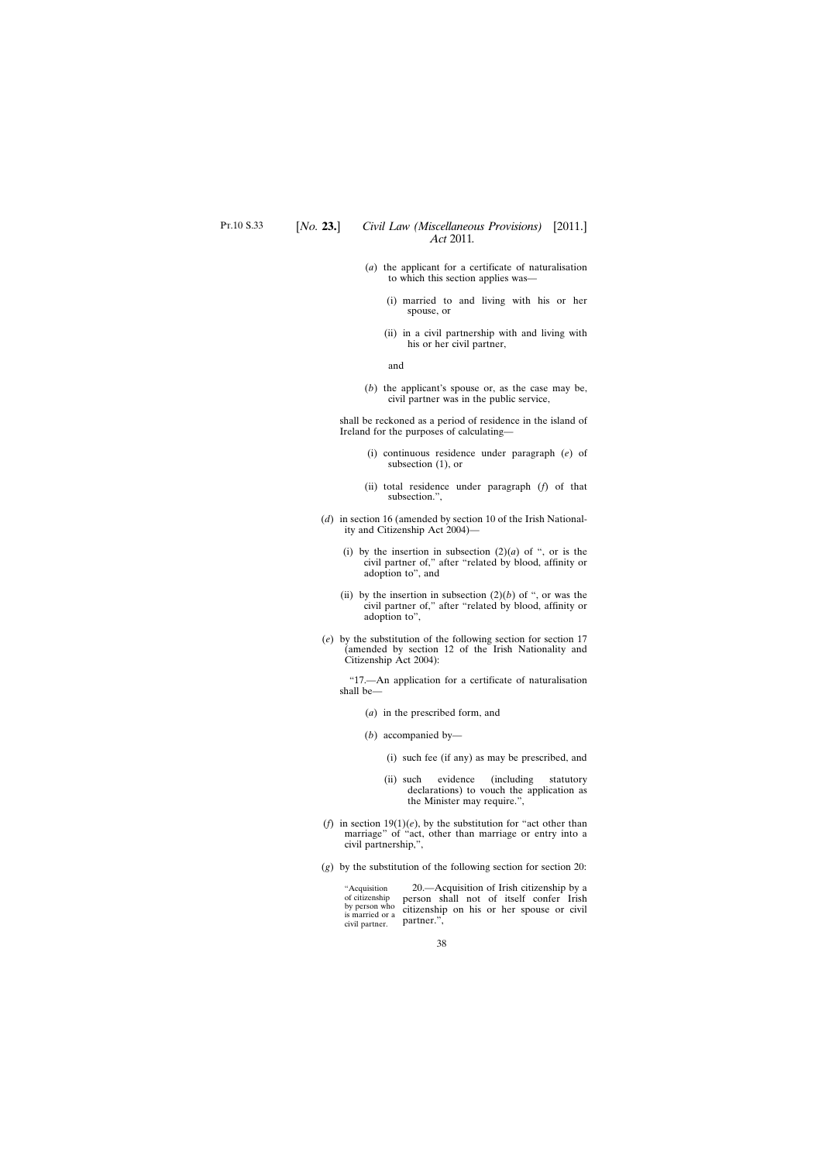- (*a*) the applicant for a certificate of naturalisation to which this section applies was—
	- (i) married to and living with his or her spouse, or
	- (ii) in a civil partnership with and living with his or her civil partner,

and

(*b*) the applicant's spouse or, as the case may be, civil partner was in the public service,

shall be reckoned as a period of residence in the island of Ireland for the purposes of calculating—

- (i) continuous residence under paragraph (*e*) of subsection (1), or
- (ii) total residence under paragraph (*f*) of that subsection.",
- (*d*) in section 16 (amended by section 10 of the Irish Nationality and Citizenship Act 2004)—
	- (i) by the insertion in subsection  $(2)(a)$  of ", or is the civil partner of," after "related by blood, affinity or adoption to", and
	- (ii) by the insertion in subsection  $(2)(b)$  of ", or was the civil partner of," after "related by blood, affinity or adoption to",
- (*e*) by the substitution of the following section for section 17 (amended by section 12 of the Irish Nationality and Citizenship Act 2004):

"17.—An application for a certificate of naturalisation shall be—

- (*a*) in the prescribed form, and
- (*b*) accompanied by—
	- (i) such fee (if any) as may be prescribed, and
	- (ii) such evidence (including statutory declarations) to vouch the application as the Minister may require.",
- (*f*) in section  $19(1)(e)$ , by the substitution for "act other than marriage" of "act, other than marriage or entry into a civil partnership,",
- (*g*) by the substitution of the following section for section 20:

"Acquisition of citizenship by person who is married or a civil partner.

20.—Acquisition of Irish citizenship by a person shall not of itself confer Irish citizenship on his or her spouse or civil partner.",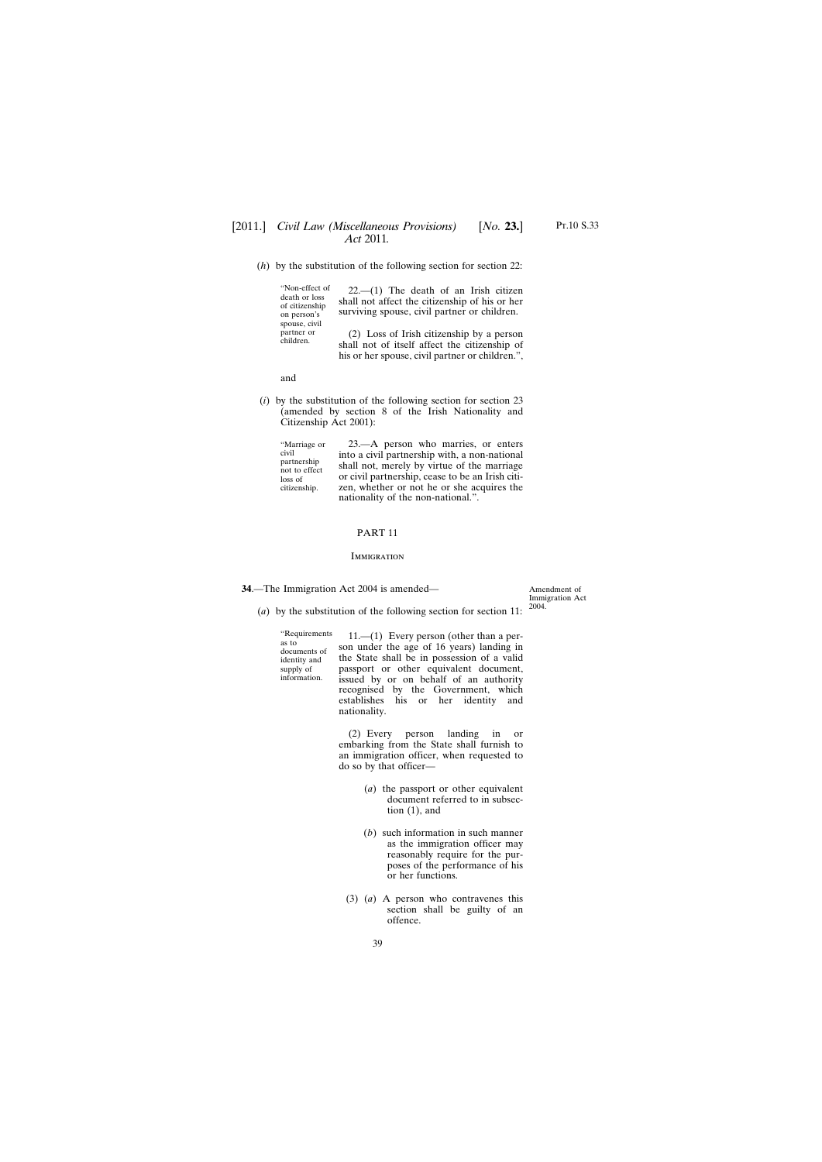<span id="page-38-0"></span>(*h*) by the substitution of the following section for section 22:

"Non-effect of death or loss of citizenship on person's spouse, civil partner or children.

22.—(1) The death of an Irish citizen shall not affect the citizenship of his or her surviving spouse, civil partner or children.

(2) Loss of Irish citizenship by a person shall not of itself affect the citizenship of his or her spouse, civil partner or children.",

and

(*i*) by the substitution of the following section for section 23 (amended by section 8 of the Irish Nationality and Citizenship Act 2001):

"Marriage or civil partnership not to effect loss of citizenship.

23.—A person who marries, or enters into a civil partnership with, a non-national shall not, merely by virtue of the marriage or civil partnership, cease to be an Irish citizen, whether or not he or she acquires the nationality of the non-national.".

### PART 11

#### **IMMIGRATION**

**34**.—The Immigration Act 2004 is amended—

Amendment of Immigration Act 2004.

(*a*) by the substitution of the following section for section 11:

"Requirements as to documents of identity and supply of information.

11.—(1) Every person (other than a person under the age of 16 years) landing in the State shall be in possession of a valid passport or other equivalent document, issued by or on behalf of an authority recognised by the Government, which establishes his or her identity and nationality.

 $(2)$  Every person landing in embarking from the State shall furnish to an immigration officer, when requested to do so by that officer—

- (*a*) the passport or other equivalent document referred to in subsection (1), and
- (*b*) such information in such manner as the immigration officer may reasonably require for the purposes of the performance of his or her functions.
- (3) (*a*) A person who contravenes this section shall be guilty of an offence.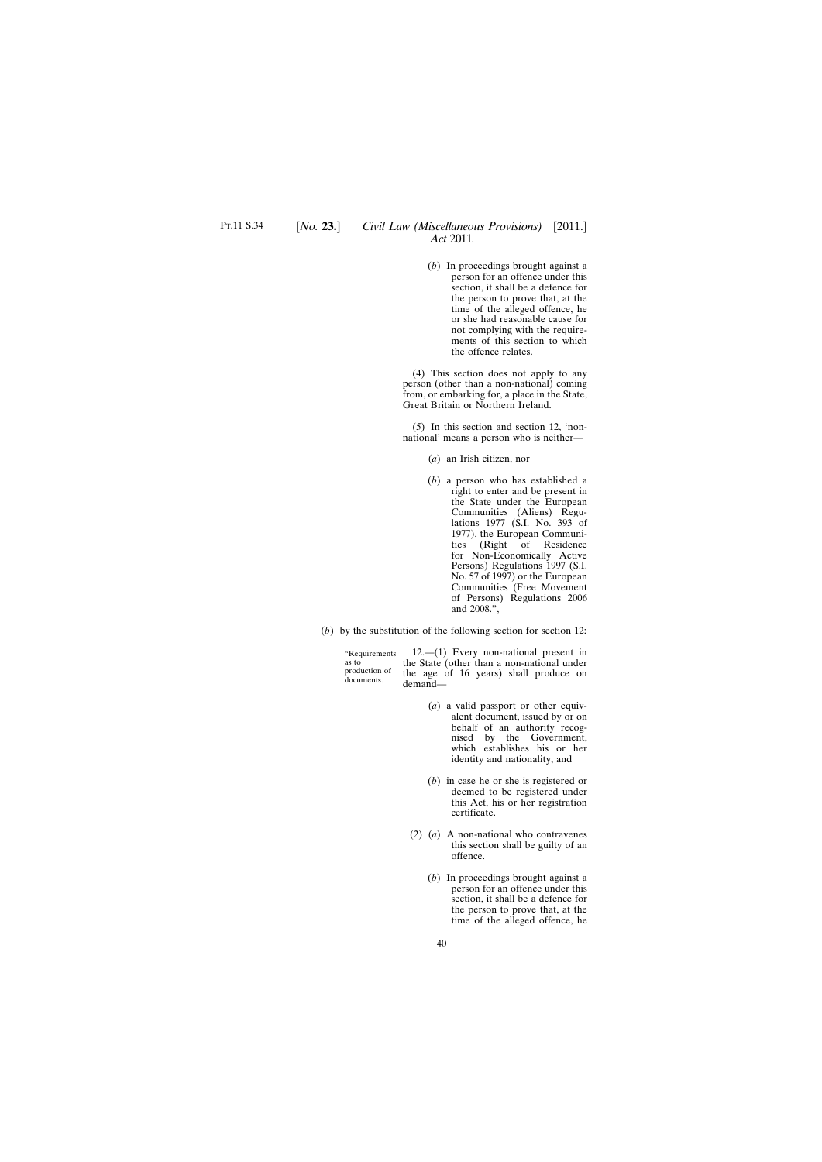(*b*) In proceedings brought against a person for an offence under this section, it shall be a defence for the person to prove that, at the time of the alleged offence, he or she had reasonable cause for not complying with the requirements of this section to which the offence relates.

(4) This section does not apply to any person (other than a non-national) coming from, or embarking for, a place in the State, Great Britain or Northern Ireland.

(5) In this section and section 12, 'nonnational' means a person who is neither—

- (*a*) an Irish citizen, nor
- (*b*) a person who has established a right to enter and be present in the State under the European Communities (Aliens) Regulations 1977 (S.I. No. 393 of 1977), the European Communities (Right of Residence for Non-Economically Active Persons) Regulations 1997 (S.I. No. 57 of 1997) or the European Communities (Free Movement of Persons) Regulations 2006 and 2008.",
- (*b*) by the substitution of the following section for section 12:

"Requirements as to production of documents.

12.—(1) Every non-national present in the State (other than a non-national under the age of 16 years) shall produce on demand—

- (*a*) a valid passport or other equivalent document, issued by or on behalf of an authority recognised by the Government, which establishes his or her identity and nationality, and
- (*b*) in case he or she is registered or deemed to be registered under this Act, his or her registration certificate.
- (2) (*a*) A non-national who contravenes this section shall be guilty of an offence.
	- (*b*) In proceedings brought against a person for an offence under this section, it shall be a defence for the person to prove that, at the time of the alleged offence, he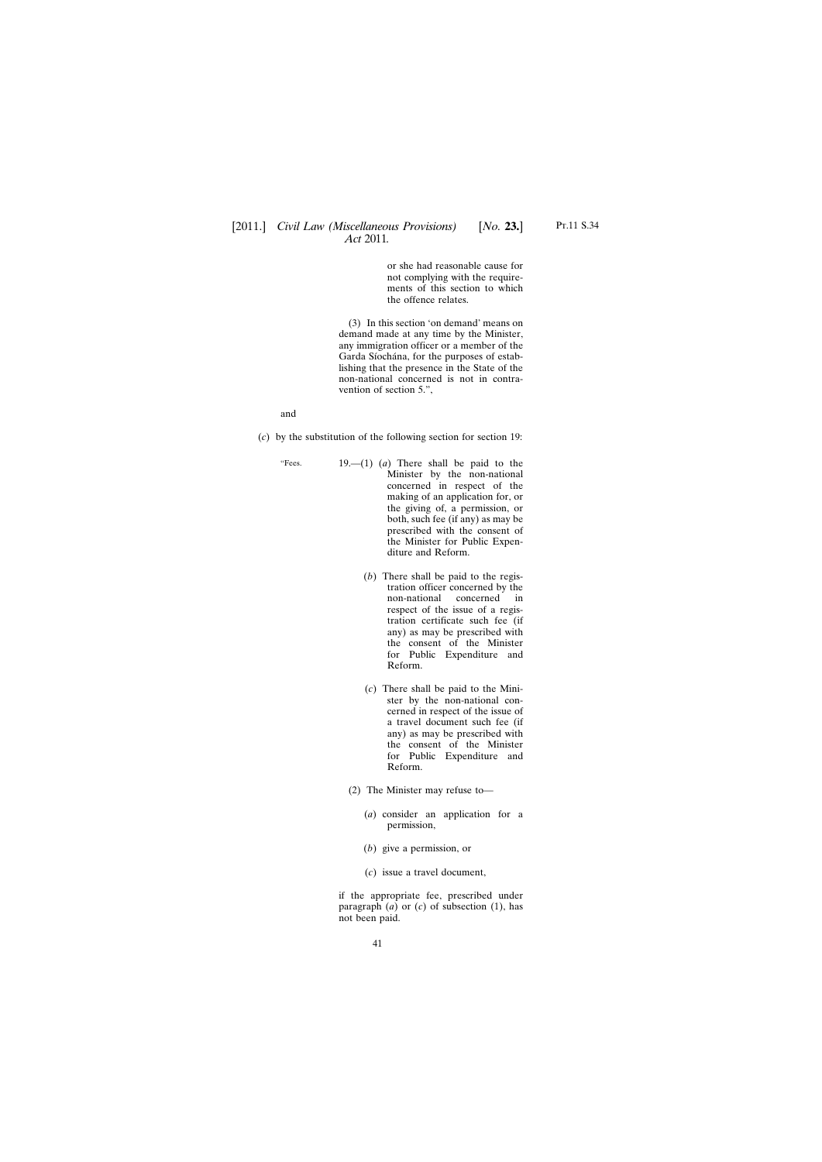or she had reasonable cause for not complying with the requirements of this section to which the offence relates.

(3) In this section 'on demand' means on demand made at any time by the Minister, any immigration officer or a member of the Garda Síochána, for the purposes of establishing that the presence in the State of the non-national concerned is not in contravention of section 5.",

and

(*c*) by the substitution of the following section for section 19:

- "Fees. 19.—(1) (*a*) There shall be paid to the Minister by the non-national concerned in respect of the making of an application for, or the giving of, a permission, or both, such fee (if any) as may be prescribed with the consent of the Minister for Public Expenditure and Reform.
	- (*b*) There shall be paid to the registration officer concerned by the non-national concerned in respect of the issue of a registration certificate such fee (if any) as may be prescribed with the consent of the Minister for Public Expenditure and Reform.
	- (*c*) There shall be paid to the Minister by the non-national concerned in respect of the issue of a travel document such fee (if any) as may be prescribed with the consent of the Minister for Public Expenditure and Reform.
	- (2) The Minister may refuse to—
		- (*a*) consider an application for a permission,
		- (*b*) give a permission, or
		- (*c*) issue a travel document,

if the appropriate fee, prescribed under paragraph  $(a)$  or  $(c)$  of subsection  $(1)$ , has not been paid.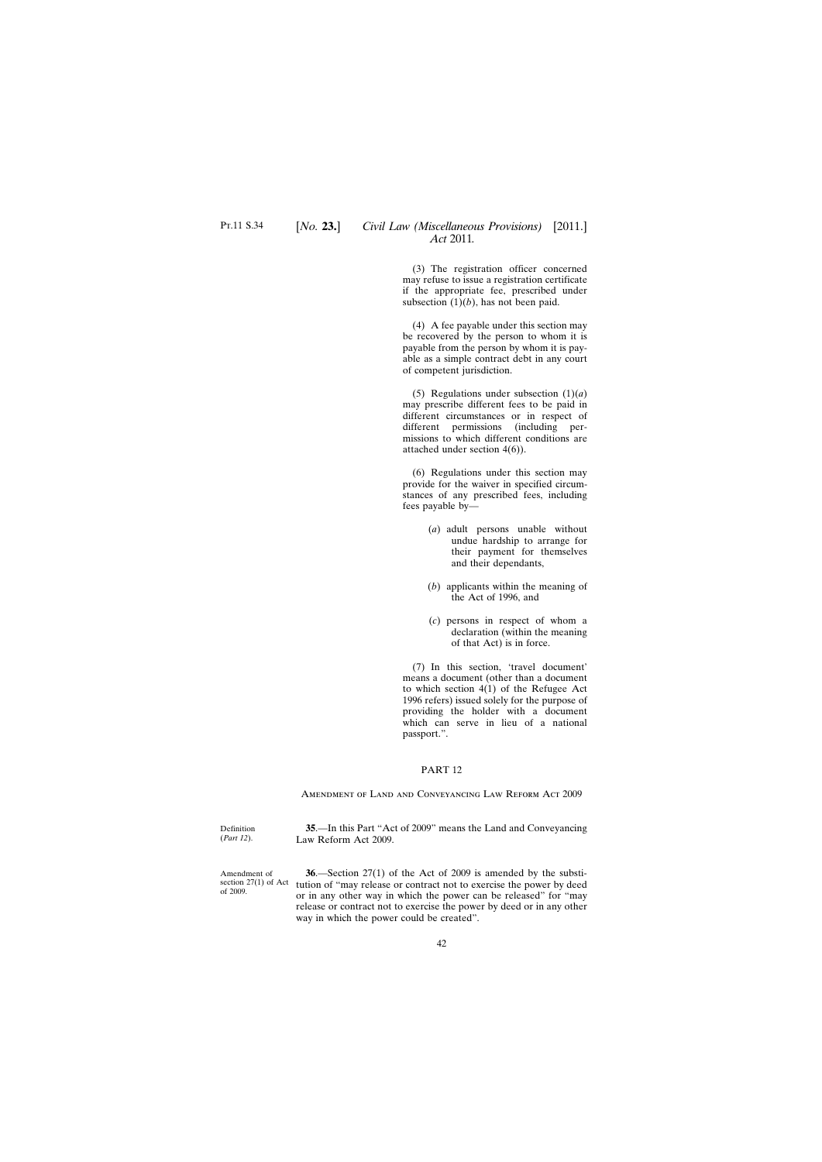<span id="page-41-0"></span>(3) The registration officer concerned may refuse to issue a registration certificate if the appropriate fee, prescribed under subsection  $(1)(b)$ , has not been paid.

(4) A fee payable under this section may be recovered by the person to whom it is payable from the person by whom it is payable as a simple contract debt in any court of competent jurisdiction.

(5) Regulations under subsection (1)(*a*) may prescribe different fees to be paid in different circumstances or in respect of different permissions (including permissions to which different conditions are attached under section 4(6)).

(6) Regulations under this section may provide for the waiver in specified circumstances of any prescribed fees, including fees payable by—

- (*a*) adult persons unable without undue hardship to arrange for their payment for themselves and their dependants,
- (*b*) applicants within the meaning of the Act of 1996, and
- (*c*) persons in respect of whom a declaration (within the meaning of that Act) is in force.

(7) In this section, 'travel document' means a document (other than a document to which section 4(1) of the Refugee Act 1996 refers) issued solely for the purpose of providing the holder with a document which can serve in lieu of a national passport.".

### PART 12

Amendment of Land and Conveyancing Law Reform Act 2009

Definition (*Part 12*). **35**.—In this Part "Act of 2009" means the Land and Conveyancing Law Reform Act 2009.

Amendment of section 27(1) of Act of 2009.

**36**.—Section 27(1) of the Act of 2009 is amended by the substitution of "may release or contract not to exercise the power by deed or in any other way in which the power can be released" for "may release or contract not to exercise the power by deed or in any other way in which the power could be created".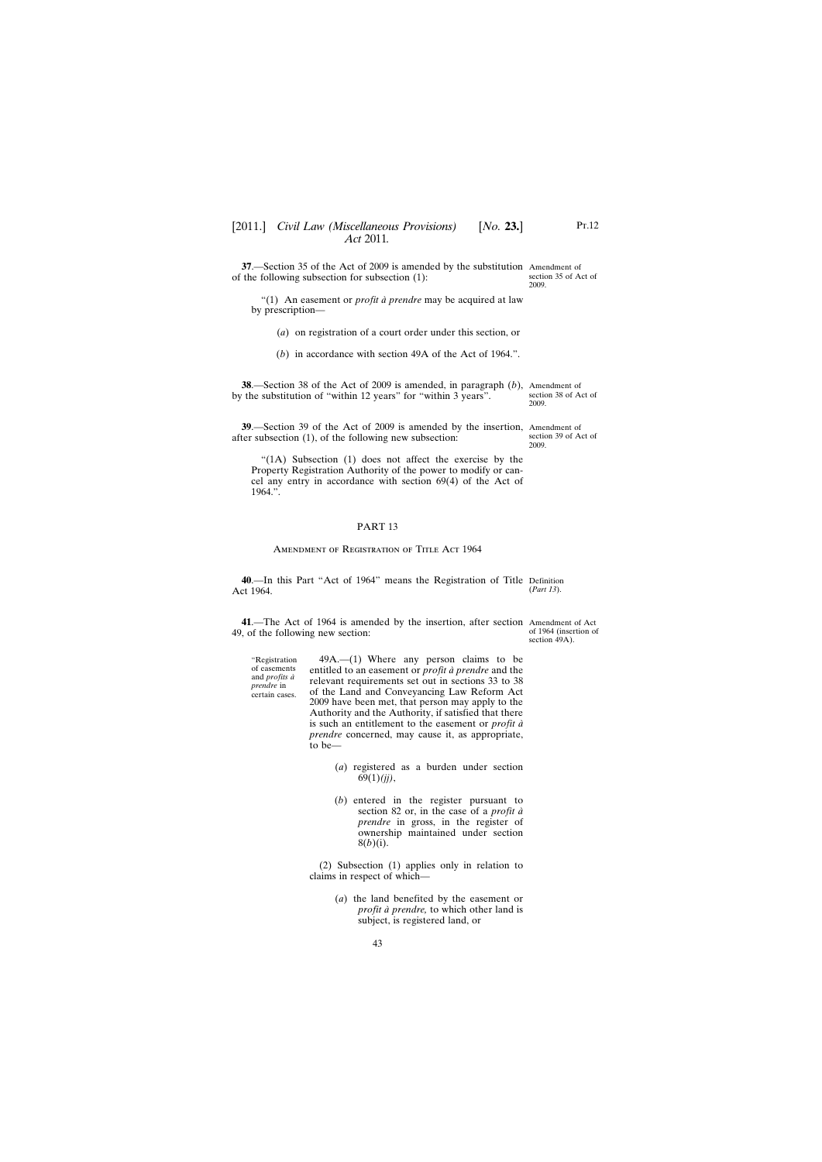<span id="page-42-0"></span>**37**.—Section 35 of the Act of 2009 is amended by the substitution Amendment of of the following subsection for subsection (1):

"(1) An easement or *profit à prendre* may be acquired at law by prescription—

(*a*) on registration of a court order under this section, or

(*b*) in accordance with section 49A of the Act of 1964.".

**38**.—Section 38 of the Act of 2009 is amended, in paragraph (*b*), Amendment of by the substitution of "within 12 years" for "within 3 years". section 38 of Act of

**39**.—Section 39 of the Act of 2009 is amended by the insertion, Amendment of after subsection (1), of the following new subsection: section 39 of Act of 2009.

"(1A) Subsection (1) does not affect the exercise by the Property Registration Authority of the power to modify or cancel any entry in accordance with section 69(4) of the Act of 1964.".

#### PART 13

#### AMENDMENT OF REGISTRATION OF TITLE ACT 1964

**40**.—In this Part "Act of 1964" means the Registration of Title Definition Act 1964. (*Part 13*).

**41**.—The Act of 1964 is amended by the insertion, after section Amendment of Act 49, of the following new section:

"Registration of easements and *profits à prendre* in certain cases.

of 1964 (insertion of section 49A).

49A.—(1) Where any person claims to be entitled to an easement or *profit à prendre* and the relevant requirements set out in sections 33 to 38 of the Land and Conveyancing Law Reform Act 2009 have been met, that person may apply to the Authority and the Authority, if satisfied that there is such an entitlement to the easement or *profit à prendre* concerned, may cause it, as appropriate, to be—

- (*a*) registered as a burden under section 69(1)*(jj)*,
- (*b*) entered in the register pursuant to section 82 or, in the case of a *profit à prendre* in gross, in the register of ownership maintained under section 8(*b*)(i).

(2) Subsection (1) applies only in relation to claims in respect of which—

> (*a*) the land benefited by the easement or *profit à prendre,* to which other land is subject, is registered land, or

section 35 of Act of 2009.

2009.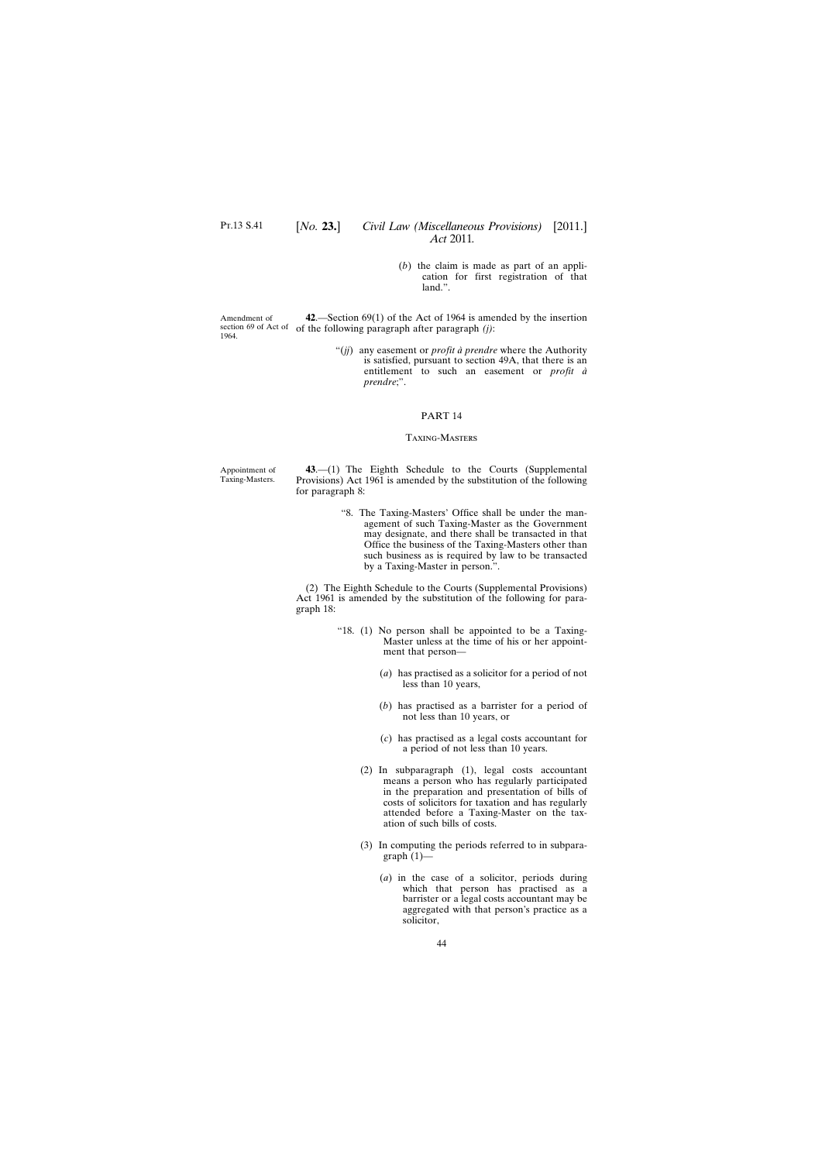# [*No.* **23.**] *Civil Law (Miscellaneous Provisions)* [2011.] *Act* 2011*.*

(*b*) the claim is made as part of an application for first registration of that land.".

<span id="page-43-0"></span>Amendment of section 69 of Act of of the following paragraph after paragraph *(j)*: 1964. **42**.—Section 69(1) of the Act of 1964 is amended by the insertion

> "(*jj*) any easement or *profit à prendre* where the Authority is satisfied, pursuant to section 49A, that there is an entitlement to such an easement or *profit à prendre*;".

#### PART 14

#### Taxing-Masters

Appointment of Taxing-Masters.

**43**.—(1) The Eighth Schedule to the Courts (Supplemental Provisions) Act 1961 is amended by the substitution of the following for paragraph 8:

> "8. The Taxing-Masters' Office shall be under the management of such Taxing-Master as the Government may designate, and there shall be transacted in that Office the business of the Taxing-Masters other than such business as is required by law to be transacted by a Taxing-Master in person.".

(2) The Eighth Schedule to the Courts (Supplemental Provisions) Act 1961 is amended by the substitution of the following for paragraph 18:

- "18. (1) No person shall be appointed to be a Taxing-Master unless at the time of his or her appointment that person—
	- (*a*) has practised as a solicitor for a period of not less than 10 years,
	- (*b*) has practised as a barrister for a period of not less than 10 years, or
	- (*c*) has practised as a legal costs accountant for a period of not less than 10 years.
	- (2) In subparagraph (1), legal costs accountant means a person who has regularly participated in the preparation and presentation of bills of costs of solicitors for taxation and has regularly attended before a Taxing-Master on the taxation of such bills of costs.
	- (3) In computing the periods referred to in subparagraph  $(1)$ —
		- (*a*) in the case of a solicitor, periods during which that person has practised as a barrister or a legal costs accountant may be aggregated with that person's practice as a solicitor,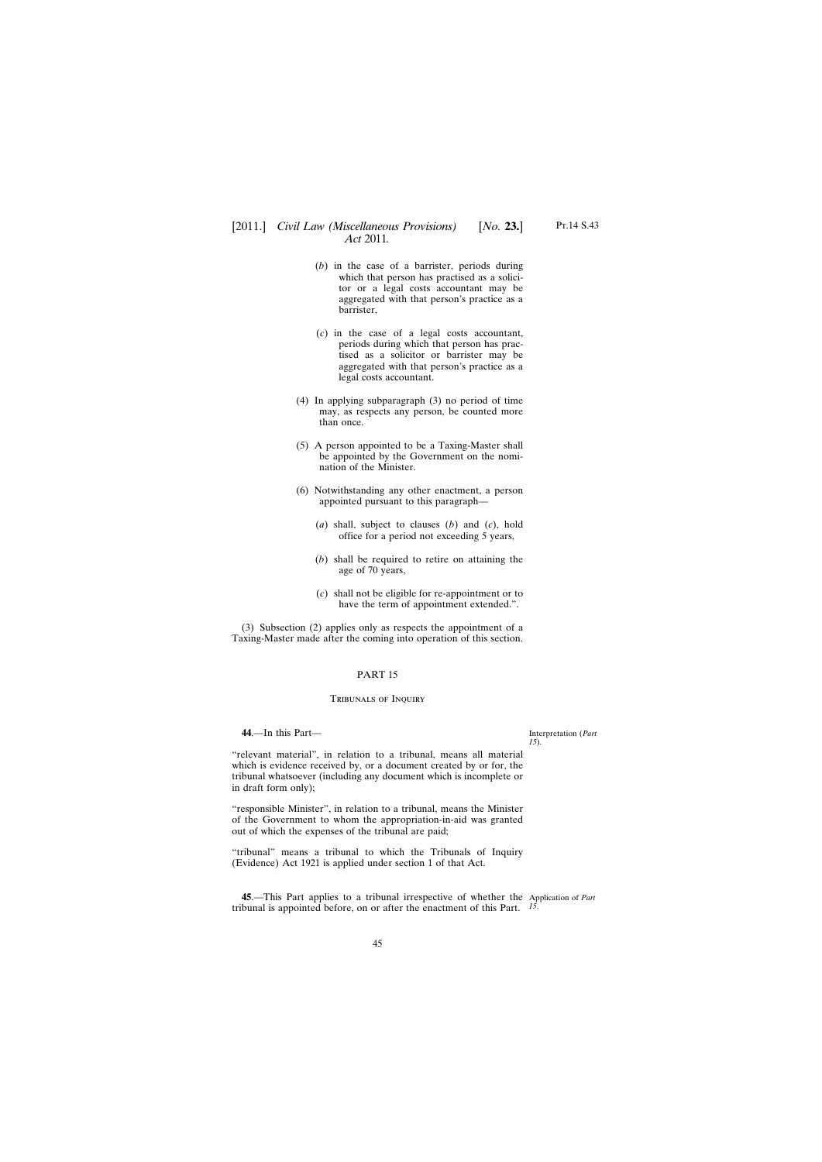# <span id="page-44-0"></span>[2011.] [ *Civil Law (Miscellaneous Provisions) No.* **23.**] *Act* 2011*.*

- (*b*) in the case of a barrister, periods during which that person has practised as a solicitor or a legal costs accountant may be aggregated with that person's practice as a barrister,
- (*c*) in the case of a legal costs accountant, periods during which that person has practised as a solicitor or barrister may be aggregated with that person's practice as a legal costs accountant.
- (4) In applying subparagraph (3) no period of time may, as respects any person, be counted more than once.
- (5) A person appointed to be a Taxing-Master shall be appointed by the Government on the nomination of the Minister.
- (6) Notwithstanding any other enactment, a person appointed pursuant to this paragraph—
	- (*a*) shall, subject to clauses (*b*) and (*c*), hold office for a period not exceeding 5 years,
	- (*b*) shall be required to retire on attaining the age of 70 years,
	- (*c*) shall not be eligible for re-appointment or to have the term of appointment extended.".

(3) Subsection (2) applies only as respects the appointment of a Taxing-Master made after the coming into operation of this section.

### PART 15

#### Tribunals of Inquiry

**44**.—In this Part—

Interpretation (*Part 15*).

"relevant material", in relation to a tribunal, means all material which is evidence received by, or a document created by or for, the tribunal whatsoever (including any document which is incomplete or in draft form only);

"responsible Minister", in relation to a tribunal, means the Minister of the Government to whom the appropriation-in-aid was granted out of which the expenses of the tribunal are paid;

"tribunal" means a tribunal to which the Tribunals of Inquiry (Evidence) Act 1921 is applied under section 1 of that Act.

**45**.—This Part applies to a tribunal irrespective of whether the Application of *Part* tribunal is appointed before, on or after the enactment of this Part. *15*.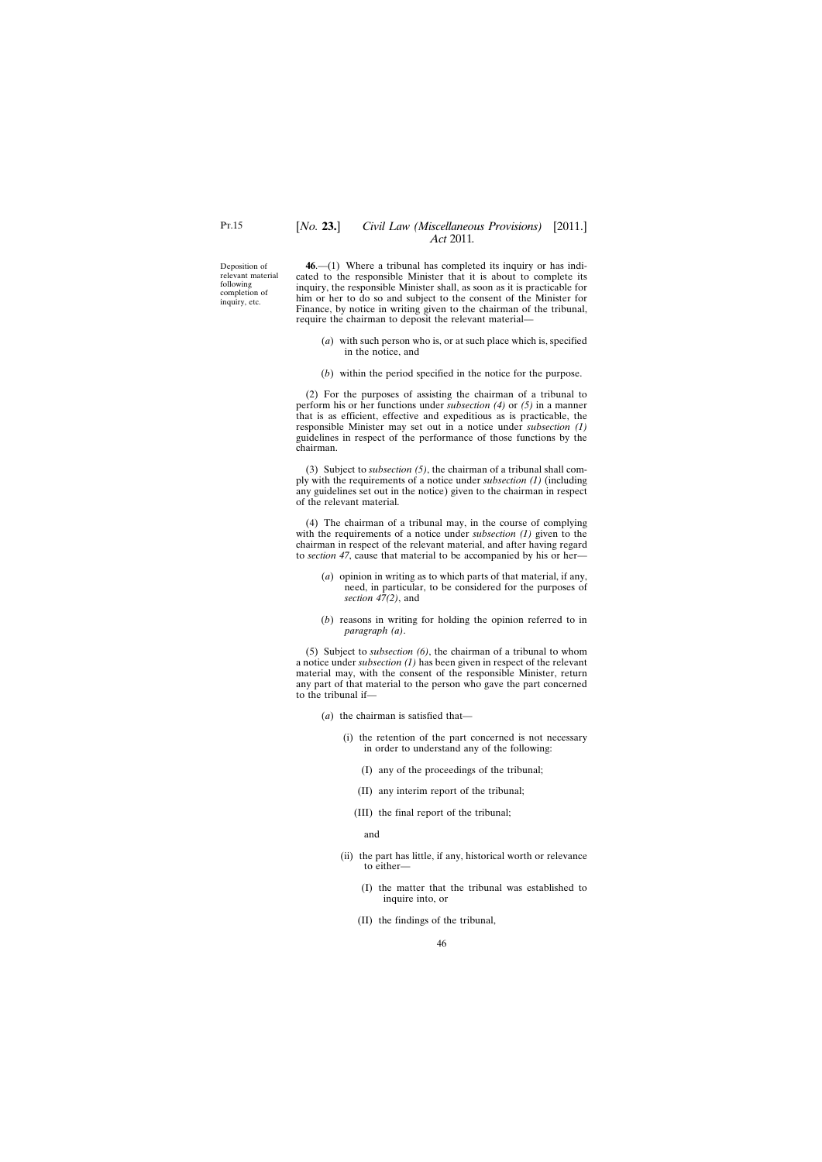<span id="page-45-0"></span>Deposition of relevant material following completion of inquiry, etc.

**46**.—(1) Where a tribunal has completed its inquiry or has indicated to the responsible Minister that it is about to complete its inquiry, the responsible Minister shall, as soon as it is practicable for him or her to do so and subject to the consent of the Minister for Finance, by notice in writing given to the chairman of the tribunal, require the chairman to deposit the relevant material—

- (*a*) with such person who is, or at such place which is, specified in the notice, and
- (*b*) within the period specified in the notice for the purpose.

(2) For the purposes of assisting the chairman of a tribunal to perform his or her functions under *subsection (4)* or *(5)* in a manner that is as efficient, effective and expeditious as is practicable, the responsible Minister may set out in a notice under *subsection (1)* guidelines in respect of the performance of those functions by the chairman.

(3) Subject to *subsection (5)*, the chairman of a tribunal shall comply with the requirements of a notice under *subsection (1)* (including any guidelines set out in the notice) given to the chairman in respect of the relevant material.

(4) The chairman of a tribunal may, in the course of complying with the requirements of a notice under *subsection (1)* given to the chairman in respect of the relevant material, and after having regard to *section 47*, cause that material to be accompanied by his or her—

- (*a*) opinion in writing as to which parts of that material, if any, need, in particular, to be considered for the purposes of *section 47(2)*, and
- (*b*) reasons in writing for holding the opinion referred to in *paragraph (a)*.

(5) Subject to *subsection (6)*, the chairman of a tribunal to whom a notice under *subsection (1)* has been given in respect of the relevant material may, with the consent of the responsible Minister, return any part of that material to the person who gave the part concerned to the tribunal if—

- (*a*) the chairman is satisfied that—
	- (i) the retention of the part concerned is not necessary in order to understand any of the following:
		- (I) any of the proceedings of the tribunal;
		- (II) any interim report of the tribunal;
		- (III) the final report of the tribunal;

and

- (ii) the part has little, if any, historical worth or relevance to either—
	- (I) the matter that the tribunal was established to inquire into, or
	- (II) the findings of the tribunal,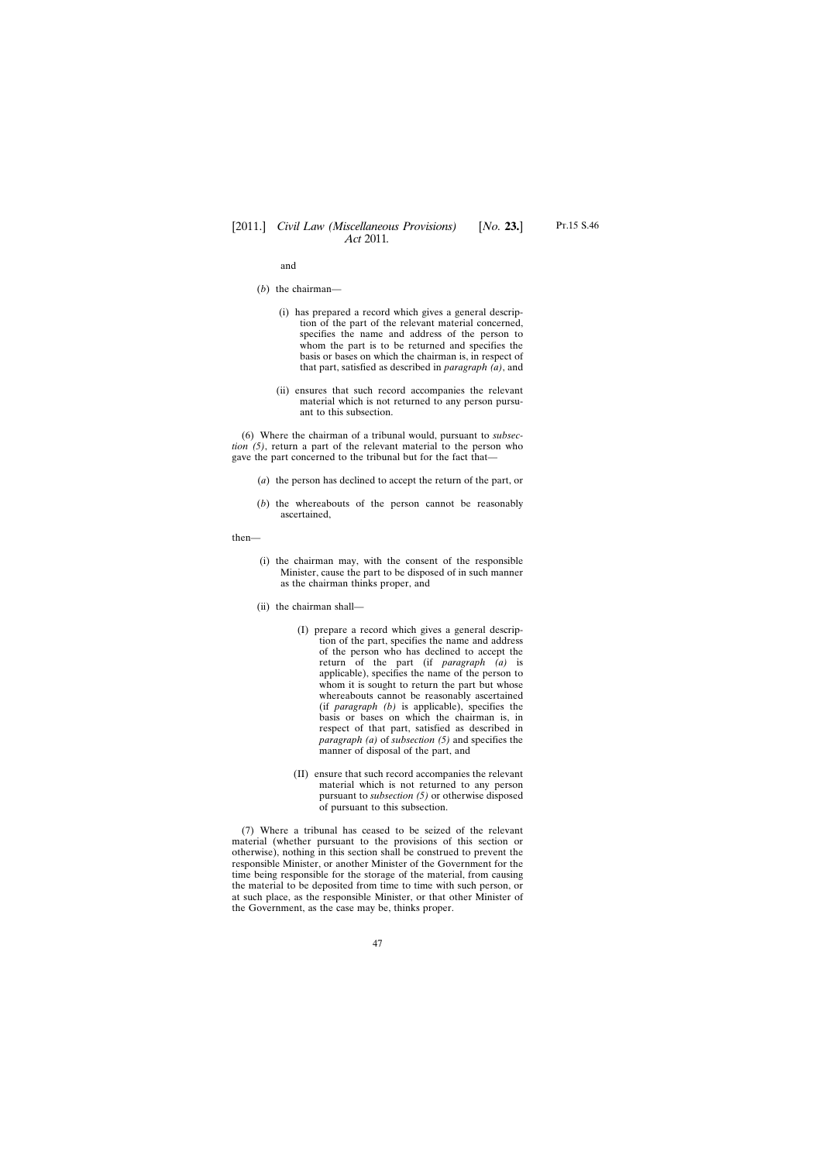and

- (*b*) the chairman—
	- (i) has prepared a record which gives a general description of the part of the relevant material concerned, specifies the name and address of the person to whom the part is to be returned and specifies the basis or bases on which the chairman is, in respect of that part, satisfied as described in *paragraph (a)*, and
	- (ii) ensures that such record accompanies the relevant material which is not returned to any person pursuant to this subsection.

(6) Where the chairman of a tribunal would, pursuant to *subsection (5)*, return a part of the relevant material to the person who gave the part concerned to the tribunal but for the fact that—

- (*a*) the person has declined to accept the return of the part, or
- (*b*) the whereabouts of the person cannot be reasonably ascertained,

then—

- (i) the chairman may, with the consent of the responsible Minister, cause the part to be disposed of in such manner as the chairman thinks proper, and
- (ii) the chairman shall—
	- (I) prepare a record which gives a general description of the part, specifies the name and address of the person who has declined to accept the return of the part (if *paragraph (a)* is applicable), specifies the name of the person to whom it is sought to return the part but whose whereabouts cannot be reasonably ascertained (if *paragraph (b)* is applicable), specifies the basis or bases on which the chairman is, in respect of that part, satisfied as described in *paragraph (a)* of *subsection (5)* and specifies the manner of disposal of the part, and
	- (II) ensure that such record accompanies the relevant material which is not returned to any person pursuant to *subsection (5)* or otherwise disposed of pursuant to this subsection.

(7) Where a tribunal has ceased to be seized of the relevant material (whether pursuant to the provisions of this section or otherwise), nothing in this section shall be construed to prevent the responsible Minister, or another Minister of the Government for the time being responsible for the storage of the material, from causing the material to be deposited from time to time with such person, or at such place, as the responsible Minister, or that other Minister of the Government, as the case may be, thinks proper.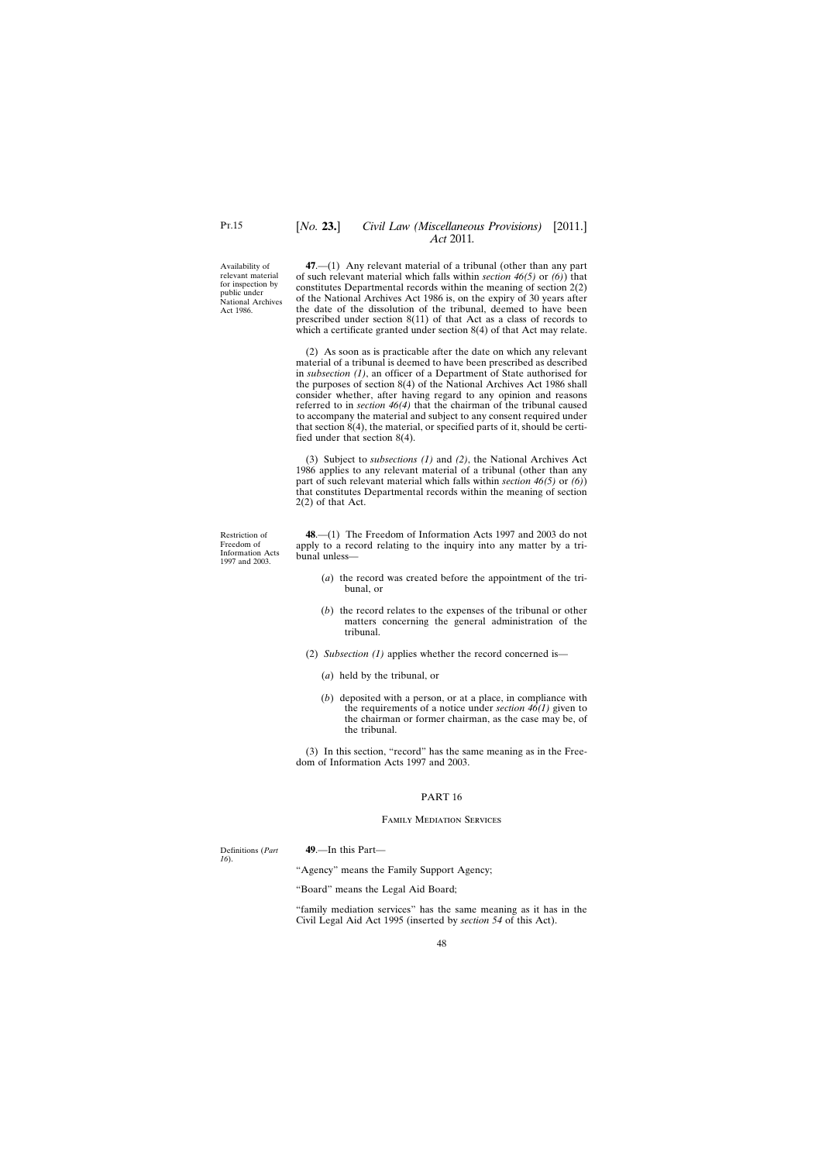# [*No.* **23.**] *Civil Law (Miscellaneous Provisions)* [2011.] *Act* 2011*.*

<span id="page-47-0"></span>Availability of relevant material for inspection by public under National Archives Act 1986.

**47**.—(1) Any relevant material of a tribunal (other than any part of such relevant material which falls within *section 46(5)* or *(6)*) that constitutes Departmental records within the meaning of section 2(2) of the National Archives Act 1986 is, on the expiry of 30 years after the date of the dissolution of the tribunal, deemed to have been prescribed under section 8(11) of that Act as a class of records to which a certificate granted under section 8(4) of that Act may relate.

(2) As soon as is practicable after the date on which any relevant material of a tribunal is deemed to have been prescribed as described in *subsection (1)*, an officer of a Department of State authorised for the purposes of section 8(4) of the National Archives Act 1986 shall consider whether, after having regard to any opinion and reasons referred to in *section 46(4)* that the chairman of the tribunal caused to accompany the material and subject to any consent required under that section 8(4), the material, or specified parts of it, should be certified under that section 8(4).

(3) Subject to *subsections (1)* and *(2)*, the National Archives Act 1986 applies to any relevant material of a tribunal (other than any part of such relevant material which falls within *section 46(5)* or *(6)*) that constitutes Departmental records within the meaning of section 2(2) of that Act.

Restriction of Freedom of Information Acts 1997 and 2003.

**48**.—(1) The Freedom of Information Acts 1997 and 2003 do not apply to a record relating to the inquiry into any matter by a tribunal unless—

- (*a*) the record was created before the appointment of the tribunal, or
- (*b*) the record relates to the expenses of the tribunal or other matters concerning the general administration of the tribunal.
- (2) *Subsection (1)* applies whether the record concerned is—
	- (*a*) held by the tribunal, or
	- (*b*) deposited with a person, or at a place, in compliance with the requirements of a notice under *section 46(1)* given to the chairman or former chairman, as the case may be, of the tribunal.

(3) In this section, "record" has the same meaning as in the Freedom of Information Acts 1997 and 2003.

### PART 16

#### Family Mediation Services

Definitions (*Part 16*).

**49**.—In this Part—

"Agency" means the Family Support Agency;

"Board" means the Legal Aid Board;

"family mediation services" has the same meaning as it has in the Civil Legal Aid Act 1995 (inserted by *section 54* of this Act).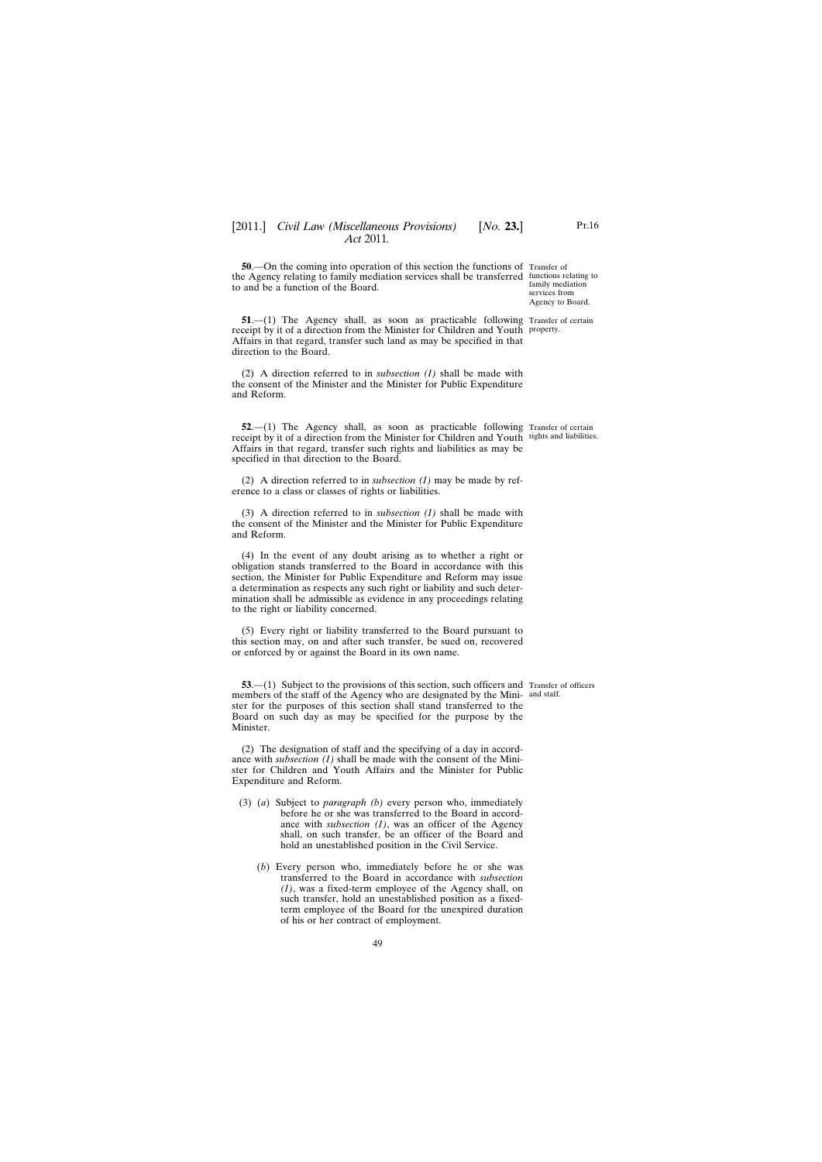<span id="page-48-0"></span>**50.**—On the coming into operation of this section the functions of Transfer of the Agency relating to family mediation services shall be transferred functions relating to to and be a function of the Board.

**51.**—(1) The Agency shall, as soon as practicable following Transfer of certain receipt by it of a direction from the Minister for Children and Youth property. Affairs in that regard, transfer such land as may be specified in that direction to the Board.

(2) A direction referred to in *subsection (1)* shall be made with the consent of the Minister and the Minister for Public Expenditure and Reform.

**52.**—(1) The Agency shall, as soon as practicable following Transfer of certain receipt by it of a direction from the Minister for Children and Youth rights and liabilities. Affairs in that regard, transfer such rights and liabilities as may be specified in that direction to the Board.

(2) A direction referred to in *subsection (1)* may be made by reference to a class or classes of rights or liabilities.

(3) A direction referred to in *subsection (1)* shall be made with the consent of the Minister and the Minister for Public Expenditure and Reform.

(4) In the event of any doubt arising as to whether a right or obligation stands transferred to the Board in accordance with this section, the Minister for Public Expenditure and Reform may issue a determination as respects any such right or liability and such determination shall be admissible as evidence in any proceedings relating to the right or liability concerned.

(5) Every right or liability transferred to the Board pursuant to this section may, on and after such transfer, be sued on, recovered or enforced by or against the Board in its own name.

**53.**—(1) Subject to the provisions of this section, such officers and Transfer of officers members of the staff of the Agency who are designated by the Mini- and staff. ster for the purposes of this section shall stand transferred to the Board on such day as may be specified for the purpose by the Minister.

(2) The designation of staff and the specifying of a day in accordance with *subsection (1)* shall be made with the consent of the Minister for Children and Youth Affairs and the Minister for Public Expenditure and Reform.

- (3) (*a*) Subject to *paragraph (b)* every person who, immediately before he or she was transferred to the Board in accordance with *subsection (1)*, was an officer of the Agency shall, on such transfer, be an officer of the Board and hold an unestablished position in the Civil Service.
	- (*b*) Every person who, immediately before he or she was transferred to the Board in accordance with *subsection (1)*, was a fixed-term employee of the Agency shall, on such transfer, hold an unestablished position as a fixedterm employee of the Board for the unexpired duration of his or her contract of employment.

family mediation services from Agency to Board.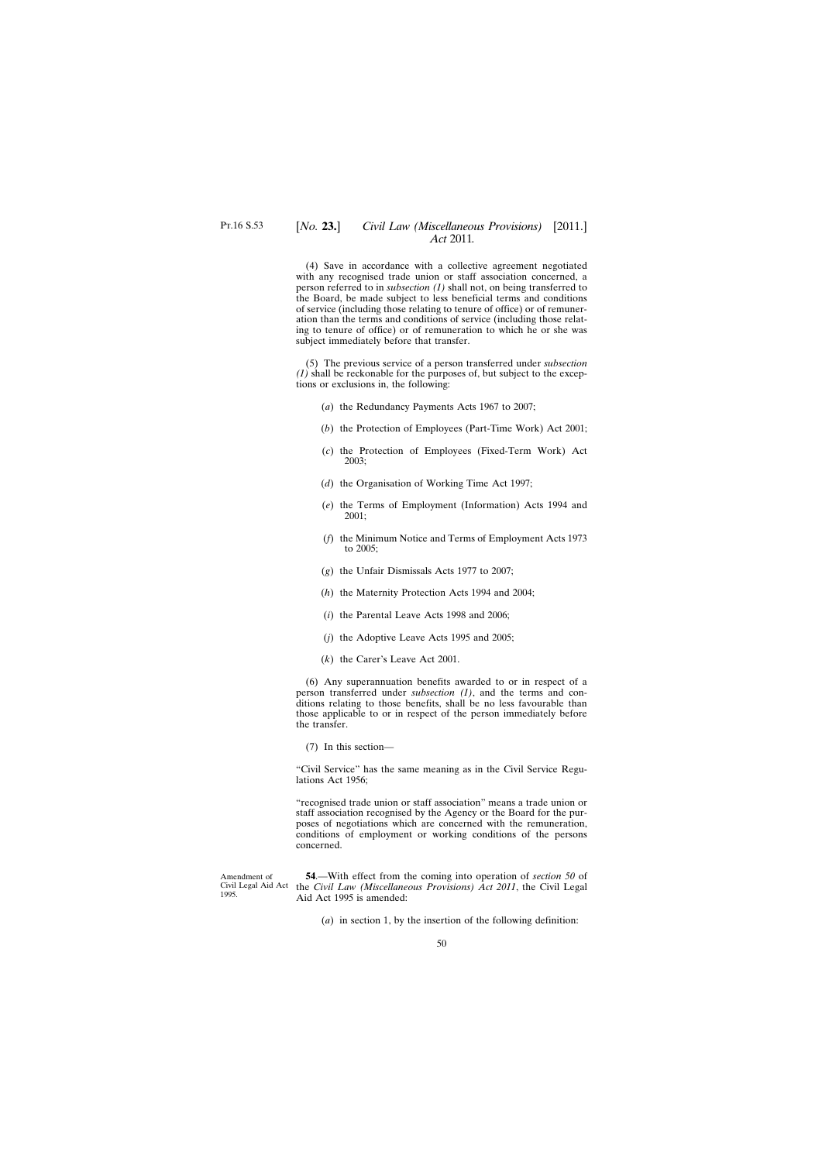# <span id="page-49-0"></span>[*No.* **23.**] *Civil Law (Miscellaneous Provisions)* [2011.] *Act* 2011*.*

(4) Save in accordance with a collective agreement negotiated with any recognised trade union or staff association concerned, a person referred to in *subsection (1)* shall not, on being transferred to the Board, be made subject to less beneficial terms and conditions of service (including those relating to tenure of office) or of remuneration than the terms and conditions of service (including those relating to tenure of office) or of remuneration to which he or she was subject immediately before that transfer.

(5) The previous service of a person transferred under *subsection (1)* shall be reckonable for the purposes of, but subject to the exceptions or exclusions in, the following:

- (*a*) the Redundancy Payments Acts 1967 to 2007;
- (*b*) the Protection of Employees (Part-Time Work) Act 2001;
- (*c*) the Protection of Employees (Fixed-Term Work) Act 2003;
- (*d*) the Organisation of Working Time Act 1997;
- (*e*) the Terms of Employment (Information) Acts 1994 and 2001;
- (*f*) the Minimum Notice and Terms of Employment Acts 1973 to 2005;
- (*g*) the Unfair Dismissals Acts 1977 to 2007;
- (*h*) the Maternity Protection Acts 1994 and 2004;
- (*i*) the Parental Leave Acts 1998 and 2006;
- (*j*) the Adoptive Leave Acts 1995 and 2005;
- (*k*) the Carer's Leave Act 2001.

(6) Any superannuation benefits awarded to or in respect of a person transferred under *subsection (1)*, and the terms and conditions relating to those benefits, shall be no less favourable than those applicable to or in respect of the person immediately before the transfer.

(7) In this section—

"Civil Service" has the same meaning as in the Civil Service Regulations Act 1956;

"recognised trade union or staff association" means a trade union or staff association recognised by the Agency or the Board for the purposes of negotiations which are concerned with the remuneration, conditions of employment or working conditions of the persons concerned.

Amendment of Civil Legal Aid Act 1995.

**54**.—With effect from the coming into operation of *section 50* of the *Civil Law (Miscellaneous Provisions) Act 2011*, the Civil Legal Aid Act 1995 is amended:

(*a*) in section 1, by the insertion of the following definition: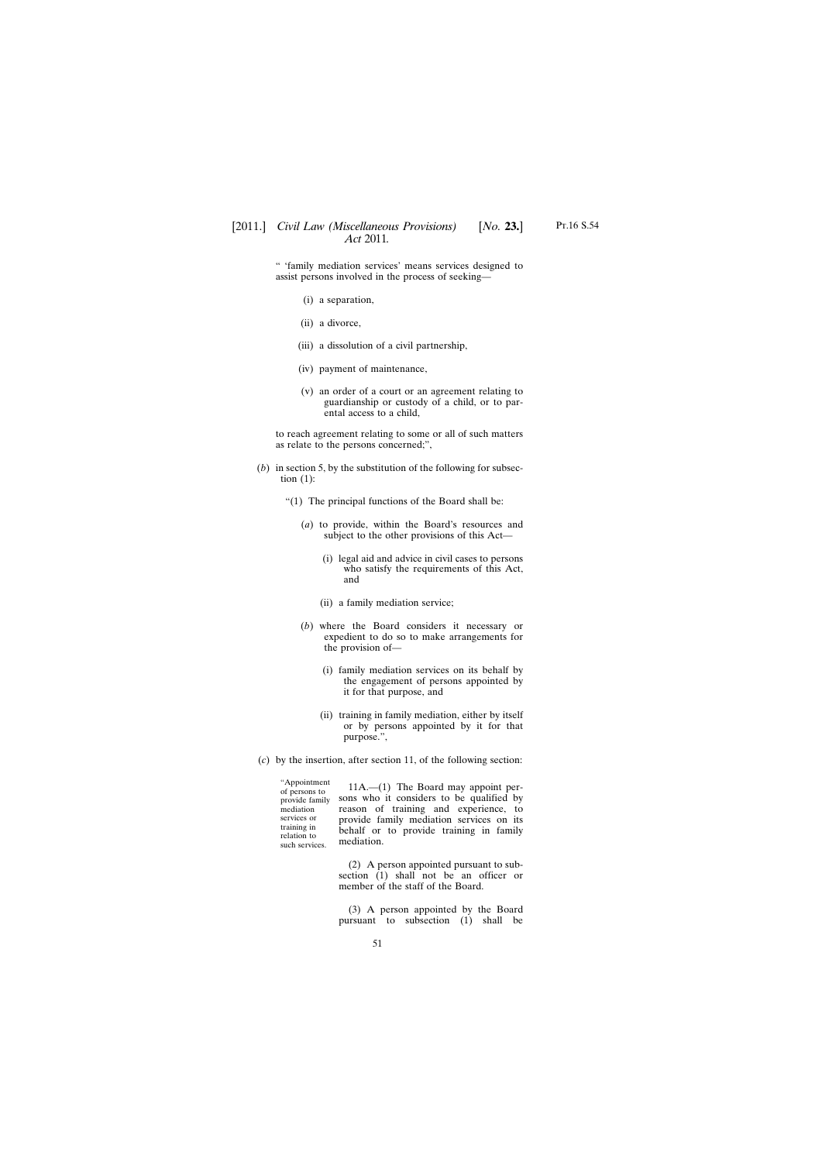" 'family mediation services' means services designed to assist persons involved in the process of seeking—

- (i) a separation,
- (ii) a divorce,
- (iii) a dissolution of a civil partnership,
- (iv) payment of maintenance,
- (v) an order of a court or an agreement relating to guardianship or custody of a child, or to parental access to a child,

to reach agreement relating to some or all of such matters as relate to the persons concerned;",

(*b*) in section 5, by the substitution of the following for subsection  $(1)$ :

"(1) The principal functions of the Board shall be:

- (*a*) to provide, within the Board's resources and subject to the other provisions of this Act—
	- (i) legal aid and advice in civil cases to persons who satisfy the requirements of this Act, and
	- (ii) a family mediation service;
- (*b*) where the Board considers it necessary or expedient to do so to make arrangements for the provision of—
	- (i) family mediation services on its behalf by the engagement of persons appointed by it for that purpose, and
	- (ii) training in family mediation, either by itself or by persons appointed by it for that purpose.",
- (*c*) by the insertion, after section 11, of the following section:

"Appointment of persons to provide family mediation services or training in relation to such services. 11A.—(1) The Board may appoint persons who it considers to be qualified by reason of training and experience, to provide family mediation services on its behalf or to provide training in family mediation.

> (2) A person appointed pursuant to subsection (1) shall not be an officer or member of the staff of the Board.

> (3) A person appointed by the Board pursuant to subsection (1) shall be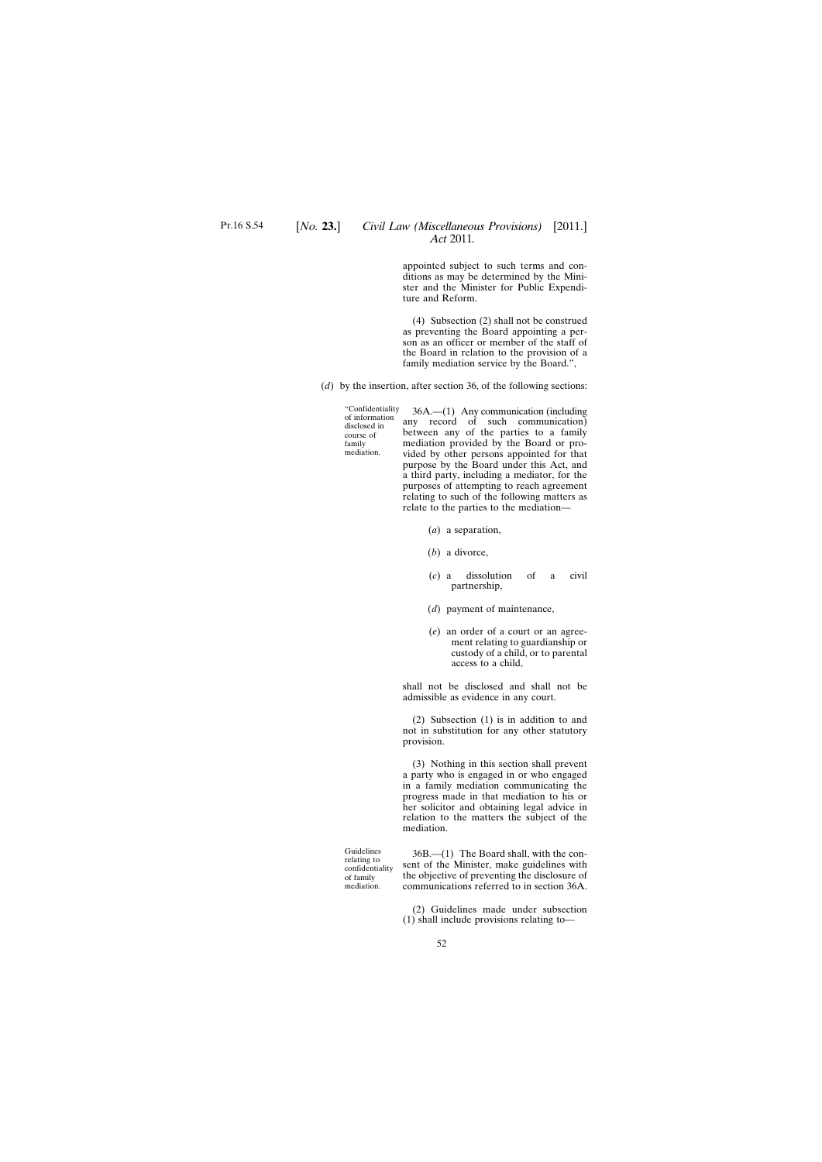appointed subject to such terms and conditions as may be determined by the Minister and the Minister for Public Expenditure and Reform.

(4) Subsection (2) shall not be construed as preventing the Board appointing a person as an officer or member of the staff of the Board in relation to the provision of a family mediation service by the Board.",

(*d*) by the insertion, after section 36, of the following sections:

"Confidentiality of information disclosed in course of family mediation.

36A.—(1) Any communication (including any record of such communication) between any of the parties to a family mediation provided by the Board or provided by other persons appointed for that purpose by the Board under this Act, and a third party, including a mediator, for the purposes of attempting to reach agreement relating to such of the following matters as relate to the parties to the mediation—

- (*a*) a separation,
- (*b*) a divorce,
- (*c*) a dissolution of a civil partnership,
- (*d*) payment of maintenance,
- (*e*) an order of a court or an agreement relating to guardianship or custody of a child, or to parental access to a child,

shall not be disclosed and shall not be admissible as evidence in any court.

(2) Subsection (1) is in addition to and not in substitution for any other statutory provision.

(3) Nothing in this section shall prevent a party who is engaged in or who engaged in a family mediation communicating the progress made in that mediation to his or her solicitor and obtaining legal advice in relation to the matters the subject of the mediation.

Guidelines relating to confidentiality of family mediation.

36B.—(1) The Board shall, with the consent of the Minister, make guidelines with the objective of preventing the disclosure of communications referred to in section 36A.

(2) Guidelines made under subsection (1) shall include provisions relating to—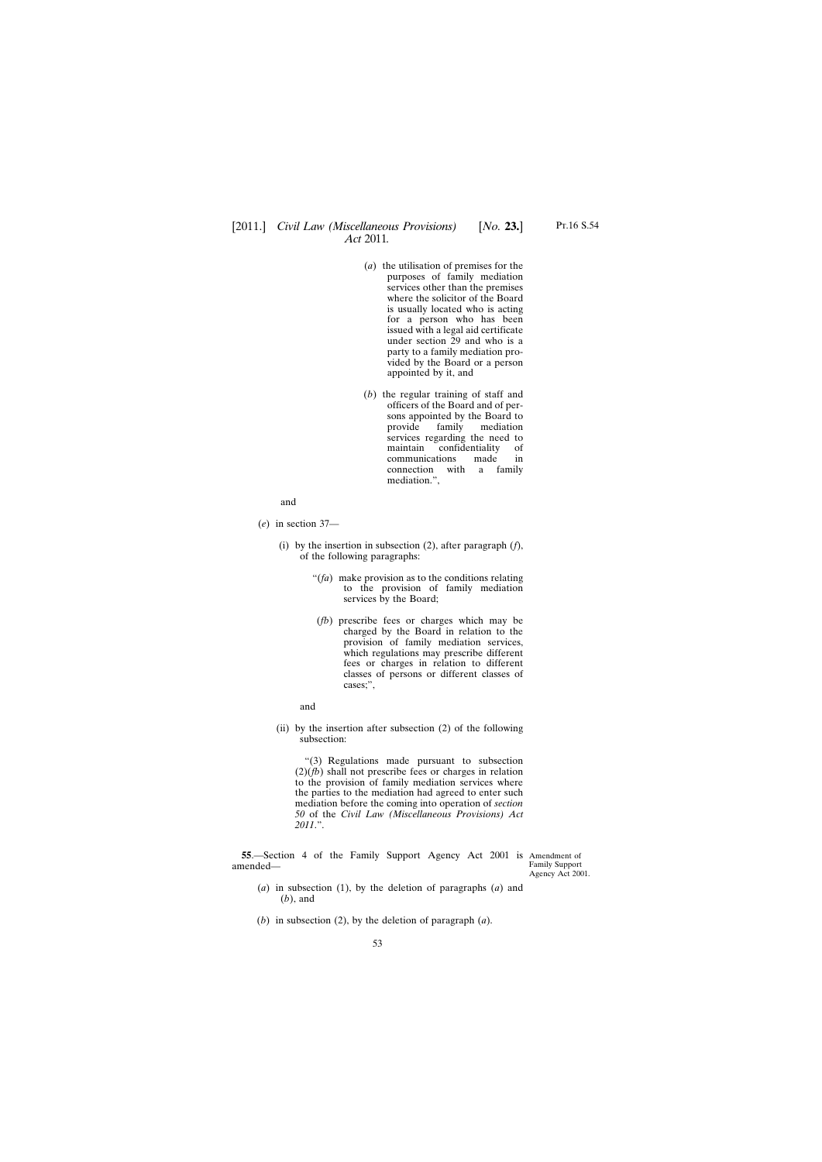- <span id="page-52-0"></span>(*a*) the utilisation of premises for the purposes of family mediation services other than the premises where the solicitor of the Board is usually located who is acting for a person who has been issued with a legal aid certificate under section 29 and who is a party to a family mediation provided by the Board or a person appointed by it, and
- (*b*) the regular training of staff and officers of the Board and of persons appointed by the Board to provide family mediation services regarding the need to maintain confidentiality of communications made in connection with a family mediation.",

and

- (*e*) in section 37—
	- (i) by the insertion in subsection (2), after paragraph (*f*), of the following paragraphs:
		- "(*fa*) make provision as to the conditions relating to the provision of family mediation services by the Board;
		- (*fb*) prescribe fees or charges which may be charged by the Board in relation to the provision of family mediation services, which regulations may prescribe different fees or charges in relation to different classes of persons or different classes of cases;",

and

(ii) by the insertion after subsection (2) of the following subsection:

"(3) Regulations made pursuant to subsection (2)(*fb*) shall not prescribe fees or charges in relation to the provision of family mediation services where the parties to the mediation had agreed to enter such mediation before the coming into operation of *section 50* of the *Civil Law (Miscellaneous Provisions) Act 2011*.".

**55.**—Section 4 of the Family Support Agency Act 2001 is Amendment of amended—

Family Support Agency Act 2001.

- (*a*) in subsection (1), by the deletion of paragraphs (*a*) and (*b*), and
- (*b*) in subsection (2), by the deletion of paragraph (*a*).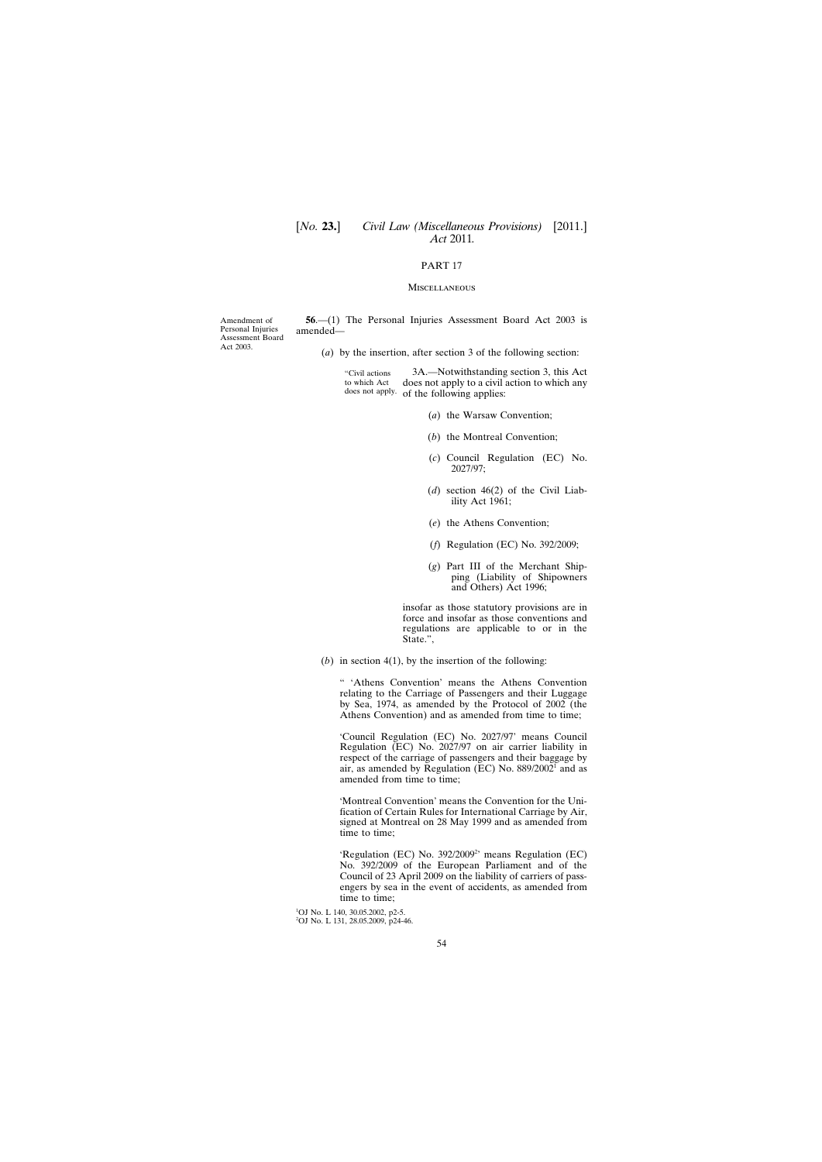# <span id="page-53-0"></span>[*No.* **23.**] *Civil Law (Miscellaneous Provisions)* [2011.] *Act* 2011*.*

### PART 17

#### **MISCELLANEOUS**

Amendment of Personal Injuries Assessment Board Act 2003.

**56**.—(1) The Personal Injuries Assessment Board Act 2003 is amended—

(*a*) by the insertion, after section 3 of the following section:

"Civil actions to which Act does not apply. of the following applies: 3A.—Notwithstanding section 3, this Act does not apply to a civil action to which any

- (*a*) the Warsaw Convention;
- (*b*) the Montreal Convention;
- (*c*) Council Regulation (EC) No. 2027/97;
- (*d*) section 46(2) of the Civil Liability Act 1961;
- (*e*) the Athens Convention;
- (*f*) Regulation (EC) No. 392/2009;
- (*g*) Part III of the Merchant Shipping (Liability of Shipowners and Others) Act 1996;

insofar as those statutory provisions are in force and insofar as those conventions and regulations are applicable to or in the State.",

(*b*) in section 4(1), by the insertion of the following:

" 'Athens Convention' means the Athens Convention relating to the Carriage of Passengers and their Luggage by Sea, 1974, as amended by the Protocol of 2002 (the Athens Convention) and as amended from time to time;

'Council Regulation (EC) No. 2027/97' means Council Regulation (EC) No. 2027/97 on air carrier liability in respect of the carriage of passengers and their baggage by air, as amended by Regulation (EC) No.  $889/2002^1$  and as amended from time to time;

'Montreal Convention' means the Convention for the Unification of Certain Rules for International Carriage by Air, signed at Montreal on 28 May 1999 and as amended from time to time;

'Regulation (EC) No. 392/2009<sup>2</sup>' means Regulation (EC) No. 392/2009 of the European Parliament and of the Council of 23 April 2009 on the liability of carriers of passengers by sea in the event of accidents, as amended from time to time;

<sup>1</sup>OJ No. L 140, 30.05.2002, p2-5. 2 OJ No. L 131, 28.05.2009, p24-46.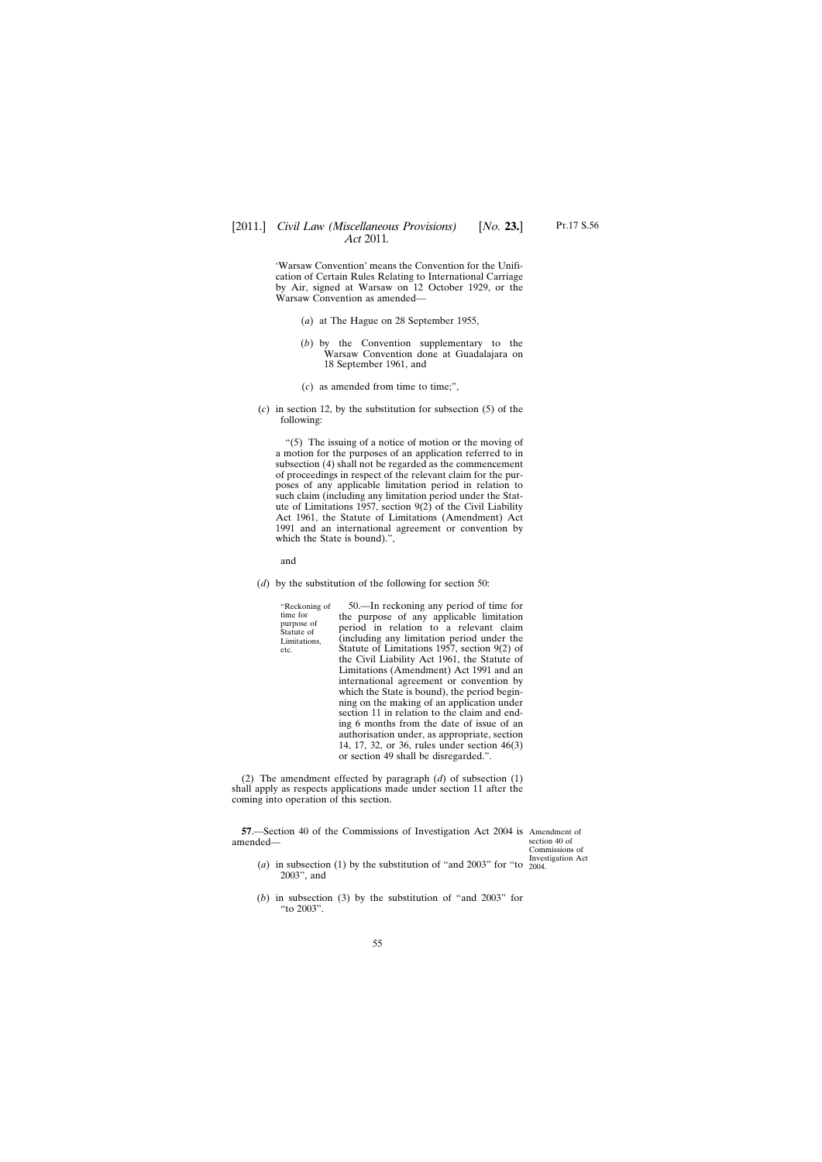<span id="page-54-0"></span>'Warsaw Convention' means the Convention for the Unification of Certain Rules Relating to International Carriage by Air, signed at Warsaw on 12 October 1929, or the Warsaw Convention as amended—

- (*a*) at The Hague on 28 September 1955,
- (*b*) by the Convention supplementary to the Warsaw Convention done at Guadalajara on 18 September 1961, and
- (*c*) as amended from time to time;",
- (*c*) in section 12, by the substitution for subsection (5) of the following:

"(5) The issuing of a notice of motion or the moving of a motion for the purposes of an application referred to in subsection (4) shall not be regarded as the commencement of proceedings in respect of the relevant claim for the purposes of any applicable limitation period in relation to such claim (including any limitation period under the Statute of Limitations 1957, section 9(2) of the Civil Liability Act 1961, the Statute of Limitations (Amendment) Act 1991 and an international agreement or convention by which the State is bound).",

and

(*d*) by the substitution of the following for section 50:

| "Reckoning of            | 50.—In reckoning any period of time for        |
|--------------------------|------------------------------------------------|
| time for                 | the purpose of any applicable limitation       |
| purpose of<br>Statute of | period in relation to a relevant claim         |
| Limitations,<br>etc.     | (including any limitation period under the     |
|                          | Statute of Limitations 1957, section $9(2)$ of |
|                          | the Civil Liability Act 1961, the Statute of   |
|                          | Limitations (Amendment) Act 1991 and an        |
|                          | international agreement or convention by       |
|                          | which the State is bound), the period begin-   |
|                          | ning on the making of an application under     |
|                          | section 11 in relation to the claim and end-   |
|                          | ing 6 months from the date of issue of an      |
|                          | authorisation under, as appropriate, section   |
|                          | 14, 17, 32, or 36, rules under section 46(3)   |
|                          | or section 49 shall be disregarded.".          |

(2) The amendment effected by paragraph (*d*) of subsection (1) shall apply as respects applications made under section 11 after the coming into operation of this section.

**57**.—Section 40 of the Commissions of Investigation Act 2004 is Amendment of amended—

section 40 of Commissions of Investigation Act

- (*a*) in subsection (1) by the substitution of "and 2003" for "to  $\frac{10000}{2004}$ . 2003", and
- (*b*) in subsection (3) by the substitution of "and 2003" for "to 2003".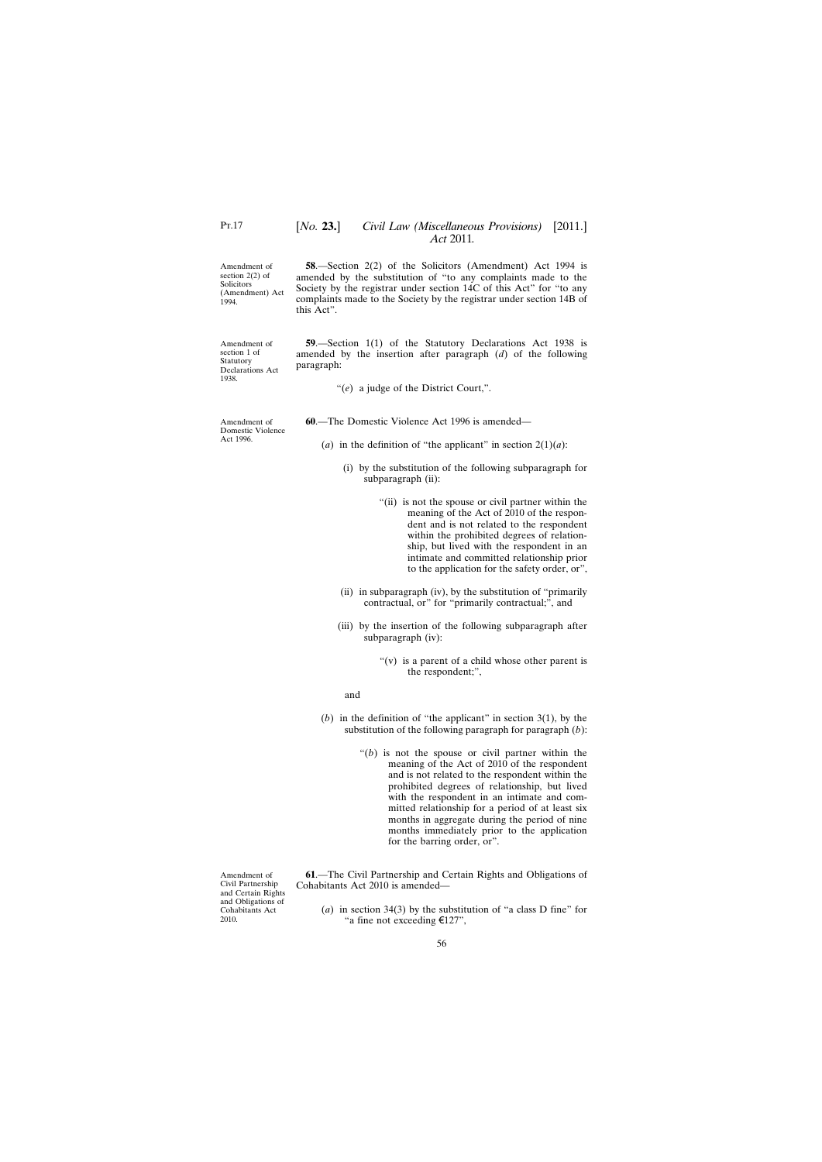<span id="page-55-0"></span>Amendment of section 2(2) of **Solicitors** (Amendment) Act 1994.

Amendment of section 1 of Statutory Declarations Act

Amendment of Domestic Violence Act 1996.

1938.

**58**.—Section 2(2) of the Solicitors (Amendment) Act 1994 is amended by the substitution of "to any complaints made to the Society by the registrar under section 14C of this Act" for "to any complaints made to the Society by the registrar under section 14B of this Act".

**59**.—Section 1(1) of the Statutory Declarations Act 1938 is amended by the insertion after paragraph (*d*) of the following paragraph:

"(*e*) a judge of the District Court,".

**60**.—The Domestic Violence Act 1996 is amended—

- (*a*) in the definition of "the applicant" in section  $2(1)(a)$ :
	- (i) by the substitution of the following subparagraph for subparagraph (ii):
		- "(ii) is not the spouse or civil partner within the meaning of the Act of 2010 of the respondent and is not related to the respondent within the prohibited degrees of relationship, but lived with the respondent in an intimate and committed relationship prior to the application for the safety order, or",
	- (ii) in subparagraph (iv), by the substitution of "primarily contractual, or" for "primarily contractual;", and
	- (iii) by the insertion of the following subparagraph after subparagraph (iv):
		- "(v) is a parent of a child whose other parent is the respondent;",
		- and
- (*b*) in the definition of "the applicant" in section 3(1), by the substitution of the following paragraph for paragraph (*b*):
	- "(*b*) is not the spouse or civil partner within the meaning of the Act of 2010 of the respondent and is not related to the respondent within the prohibited degrees of relationship, but lived with the respondent in an intimate and committed relationship for a period of at least six months in aggregate during the period of nine months immediately prior to the application for the barring order, or".

**61**.—The Civil Partnership and Certain Rights and Obligations of Cohabitants Act 2010 is amended—

(*a*) in section 34(3) by the substitution of "a class D fine" for "a fine not exceeding €127",

Amendment of Civil Partnership and Certain Rights and Obligations of Cohabitants Act 2010.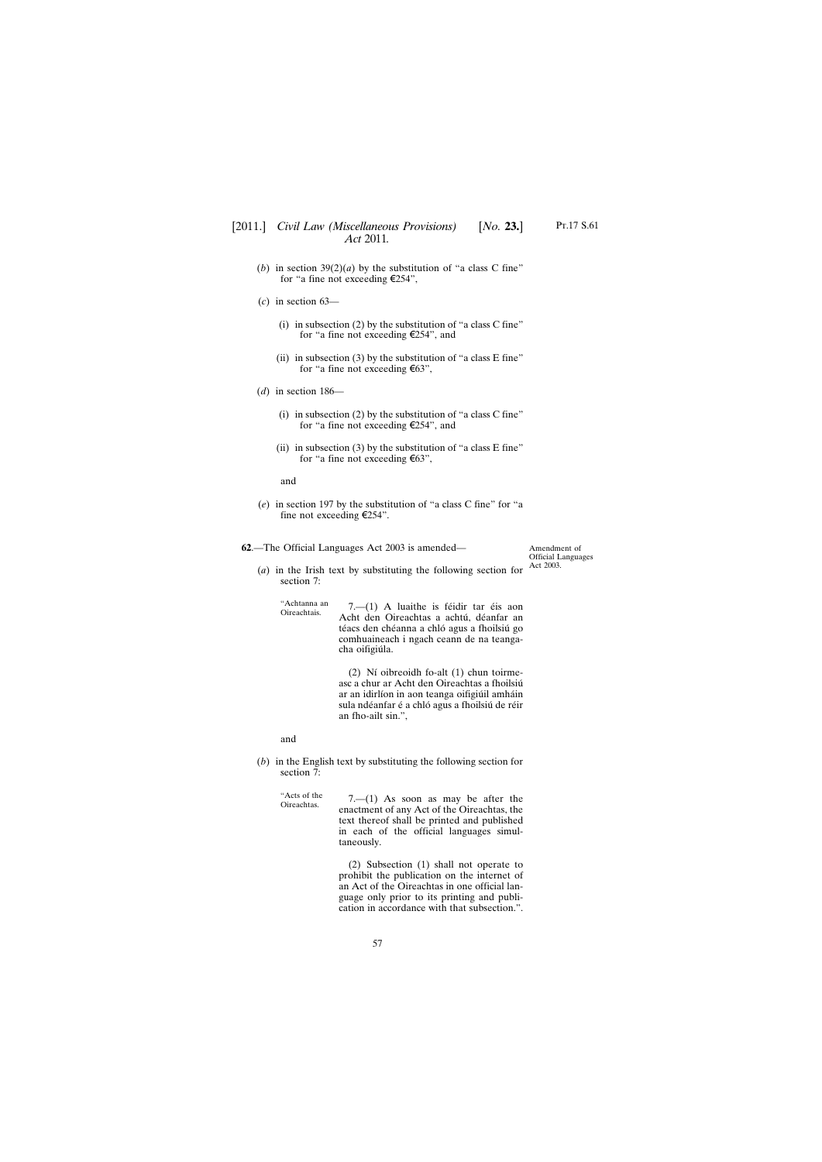- <span id="page-56-0"></span>(*b*) in section  $39(2)(a)$  by the substitution of "a class C fine" for "a fine not exceeding €254",
- (*c*) in section 63—
	- (i) in subsection (2) by the substitution of "a class C fine" for "a fine not exceeding €254", and
	- (ii) in subsection (3) by the substitution of "a class  $E$  fine" for "a fine not exceeding €63",
- (*d*) in section 186—
	- (i) in subsection  $(2)$  by the substitution of "a class C fine" for "a fine not exceeding €254", and
	- (ii) in subsection (3) by the substitution of "a class  $E$  fine" for "a fine not exceeding €63",

and

(*e*) in section 197 by the substitution of "a class C fine" for "a fine not exceeding  $E254$ ".

**62**.—The Official Languages Act 2003 is amended—

Amendment of Official Languages Act 2003.

(*a*) in the Irish text by substituting the following section for section 7:

"Achtanna an  $7.$ — $(1)$  A luaithe is féidir tar éis aon Acht den Oireachtas a achtú, déanfar an téacs den chéanna a chló agus a fhoilsiú go comhuaineach i ngach ceann de na teangacha oifigiúla.

> (2) Ní oibreoidh fo-alt (1) chun toirmeasc a chur ar Acht den Oireachtas a fhoilsiú ar an idirlíon in aon teanga oifigiúil amháin sula ndéanfar é a chló agus a fhoilsiú de réir an fho-ailt sin.",

and

"Acts of the

(*b*) in the English text by substituting the following section for section  $\overline{7}$ :

"Acts of the  $7-(1)$  As soon as may be after the Oireachtas. enactment of any Act of the Oireachtas, the text thereof shall be printed and published in each of the official languages simultaneously.

> (2) Subsection (1) shall not operate to prohibit the publication on the internet of an Act of the Oireachtas in one official language only prior to its printing and publication in accordance with that subsection.".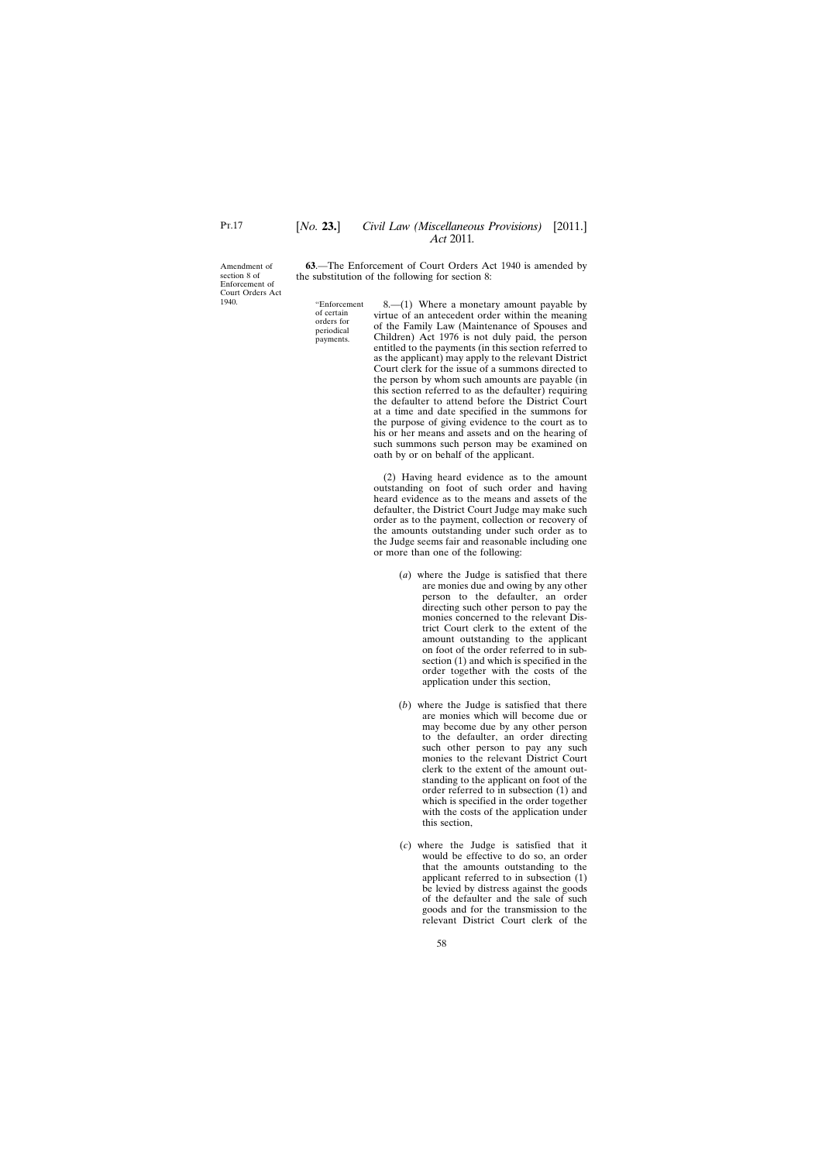<span id="page-57-0"></span>Amendment of section 8 of Enforcement of Court Orders Act 1940.

**63**.—The Enforcement of Court Orders Act 1940 is amended by the substitution of the following for section 8:

"Enforcement of certain orders for periodical payments.

8.—(1) Where a monetary amount payable by virtue of an antecedent order within the meaning of the Family Law (Maintenance of Spouses and Children) Act 1976 is not duly paid, the person entitled to the payments (in this section referred to as the applicant) may apply to the relevant District Court clerk for the issue of a summons directed to the person by whom such amounts are payable (in this section referred to as the defaulter) requiring the defaulter to attend before the District Court at a time and date specified in the summons for the purpose of giving evidence to the court as to his or her means and assets and on the hearing of such summons such person may be examined on oath by or on behalf of the applicant.

(2) Having heard evidence as to the amount outstanding on foot of such order and having heard evidence as to the means and assets of the defaulter, the District Court Judge may make such order as to the payment, collection or recovery of the amounts outstanding under such order as to the Judge seems fair and reasonable including one or more than one of the following:

- (*a*) where the Judge is satisfied that there are monies due and owing by any other person to the defaulter, an order directing such other person to pay the monies concerned to the relevant District Court clerk to the extent of the amount outstanding to the applicant on foot of the order referred to in subsection (1) and which is specified in the order together with the costs of the application under this section,
- (*b*) where the Judge is satisfied that there are monies which will become due or may become due by any other person to the defaulter, an order directing such other person to pay any such monies to the relevant District Court clerk to the extent of the amount outstanding to the applicant on foot of the order referred to in subsection (1) and which is specified in the order together with the costs of the application under this section,
- (*c*) where the Judge is satisfied that it would be effective to do so, an order that the amounts outstanding to the applicant referred to in subsection (1) be levied by distress against the goods of the defaulter and the sale of such goods and for the transmission to the relevant District Court clerk of the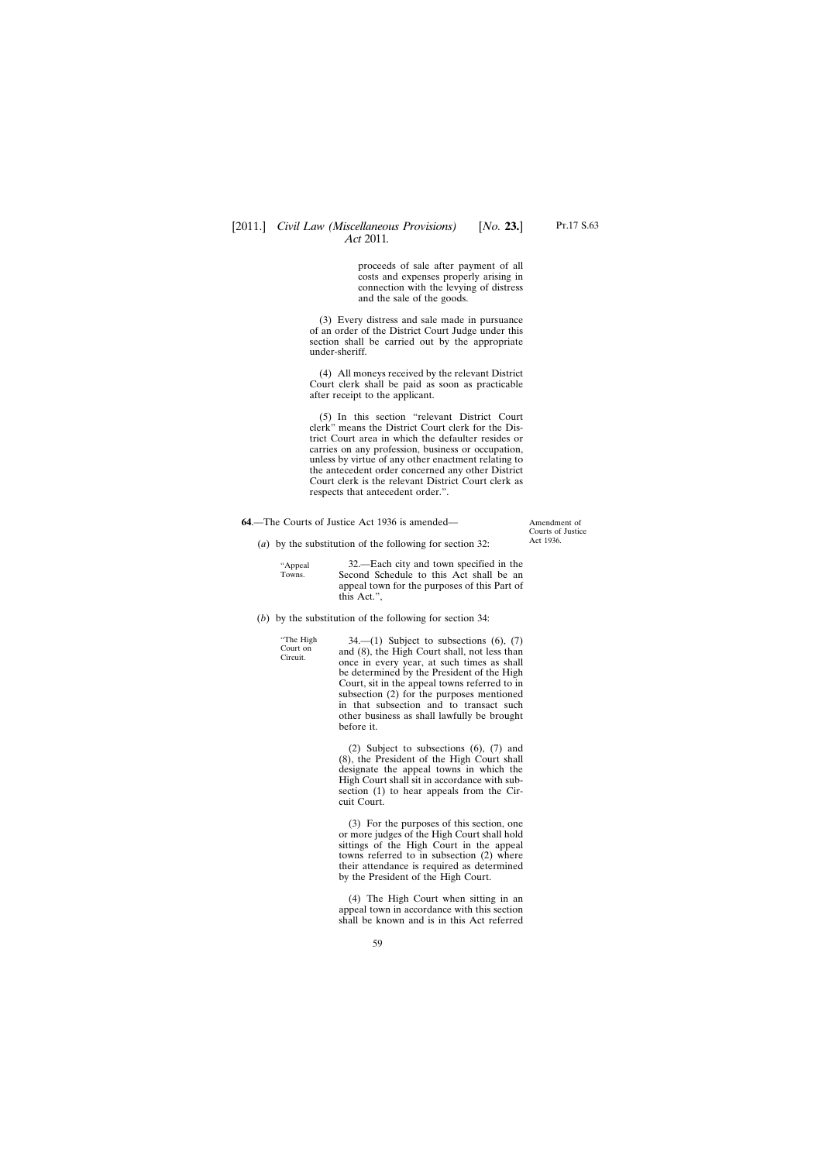proceeds of sale after payment of all costs and expenses properly arising in connection with the levying of distress and the sale of the goods.

<span id="page-58-0"></span>(3) Every distress and sale made in pursuance of an order of the District Court Judge under this section shall be carried out by the appropriate under-sheriff.

(4) All moneys received by the relevant District Court clerk shall be paid as soon as practicable after receipt to the applicant.

(5) In this section "relevant District Court clerk" means the District Court clerk for the District Court area in which the defaulter resides or carries on any profession, business or occupation, unless by virtue of any other enactment relating to the antecedent order concerned any other District Court clerk is the relevant District Court clerk as respects that antecedent order.".

**64**.—The Courts of Justice Act 1936 is amended—

Amendment of Courts of Justice Act 1936.

(*a*) by the substitution of the following for section 32:

"Appeal Towns.

32.—Each city and town specified in the Second Schedule to this Act shall be an appeal town for the purposes of this Part of this Act.",

(*b*) by the substitution of the following for section 34:

"The High Court on Circuit.

 $34$ —(1) Subject to subsections  $(6)$ ,  $(7)$ and (8), the High Court shall, not less than once in every year, at such times as shall be determined by the President of the High Court, sit in the appeal towns referred to in subsection (2) for the purposes mentioned in that subsection and to transact such other business as shall lawfully be brought before it.

(2) Subject to subsections (6), (7) and (8), the President of the High Court shall designate the appeal towns in which the High Court shall sit in accordance with subsection (1) to hear appeals from the Circuit Court.

(3) For the purposes of this section, one or more judges of the High Court shall hold sittings of the High Court in the appeal towns referred to in subsection (2) where their attendance is required as determined by the President of the High Court.

(4) The High Court when sitting in an appeal town in accordance with this section shall be known and is in this Act referred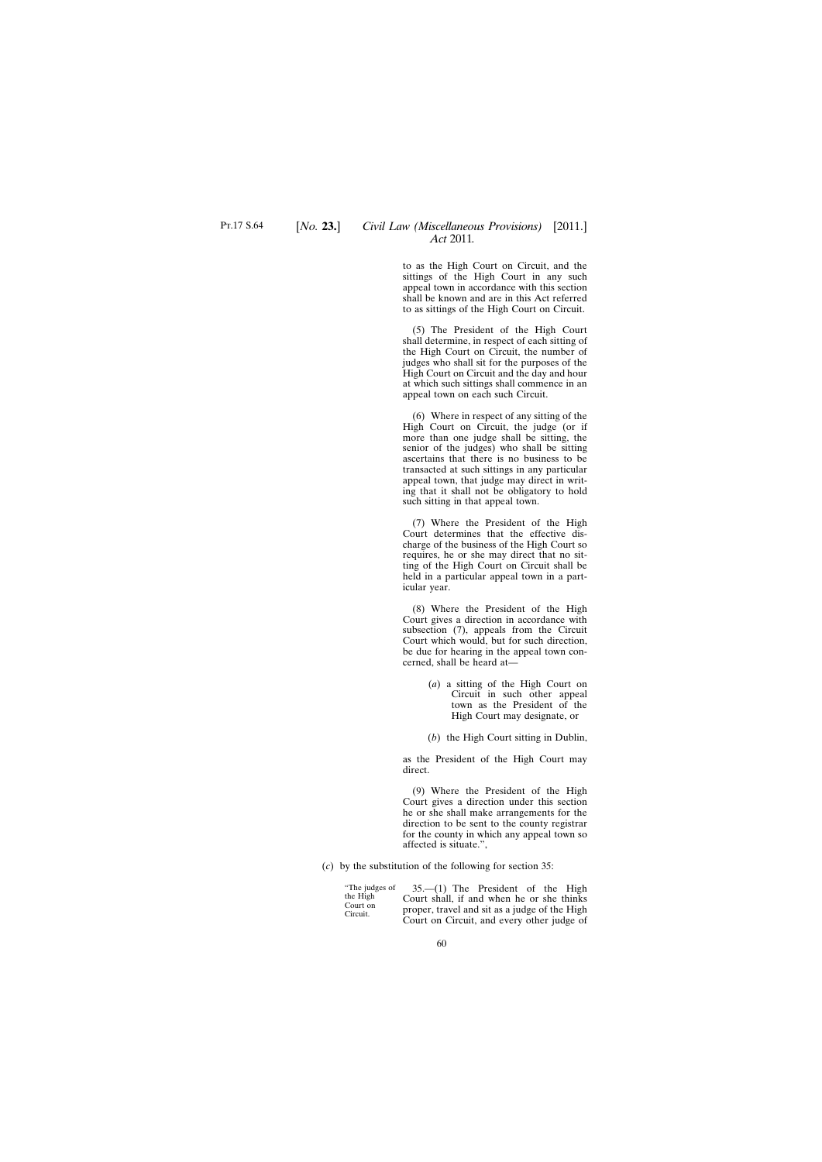to as the High Court on Circuit, and the sittings of the High Court in any such appeal town in accordance with this section shall be known and are in this Act referred to as sittings of the High Court on Circuit.

(5) The President of the High Court shall determine, in respect of each sitting of the High Court on Circuit, the number of judges who shall sit for the purposes of the High Court on Circuit and the day and hour at which such sittings shall commence in an appeal town on each such Circuit.

(6) Where in respect of any sitting of the High Court on Circuit, the judge (or if more than one judge shall be sitting, the senior of the judges) who shall be sitting ascertains that there is no business to be transacted at such sittings in any particular appeal town, that judge may direct in writing that it shall not be obligatory to hold such sitting in that appeal town.

(7) Where the President of the High Court determines that the effective discharge of the business of the High Court so requires, he or she may direct that no sitting of the High Court on Circuit shall be held in a particular appeal town in a particular year.

(8) Where the President of the High Court gives a direction in accordance with subsection (7), appeals from the Circuit Court which would, but for such direction, be due for hearing in the appeal town concerned, shall be heard at—

> (*a*) a sitting of the High Court on Circuit in such other appeal town as the President of the High Court may designate, or

(*b*) the High Court sitting in Dublin,

as the President of the High Court may direct.

(9) Where the President of the High Court gives a direction under this section he or she shall make arrangements for the direction to be sent to the county registrar for the county in which any appeal town so affected is situate.",

(*c*) by the substitution of the following for section 35:

"The judges of the High Court on Circuit.

35.—(1) The President of the High Court shall, if and when he or she thinks proper, travel and sit as a judge of the High Court on Circuit, and every other judge of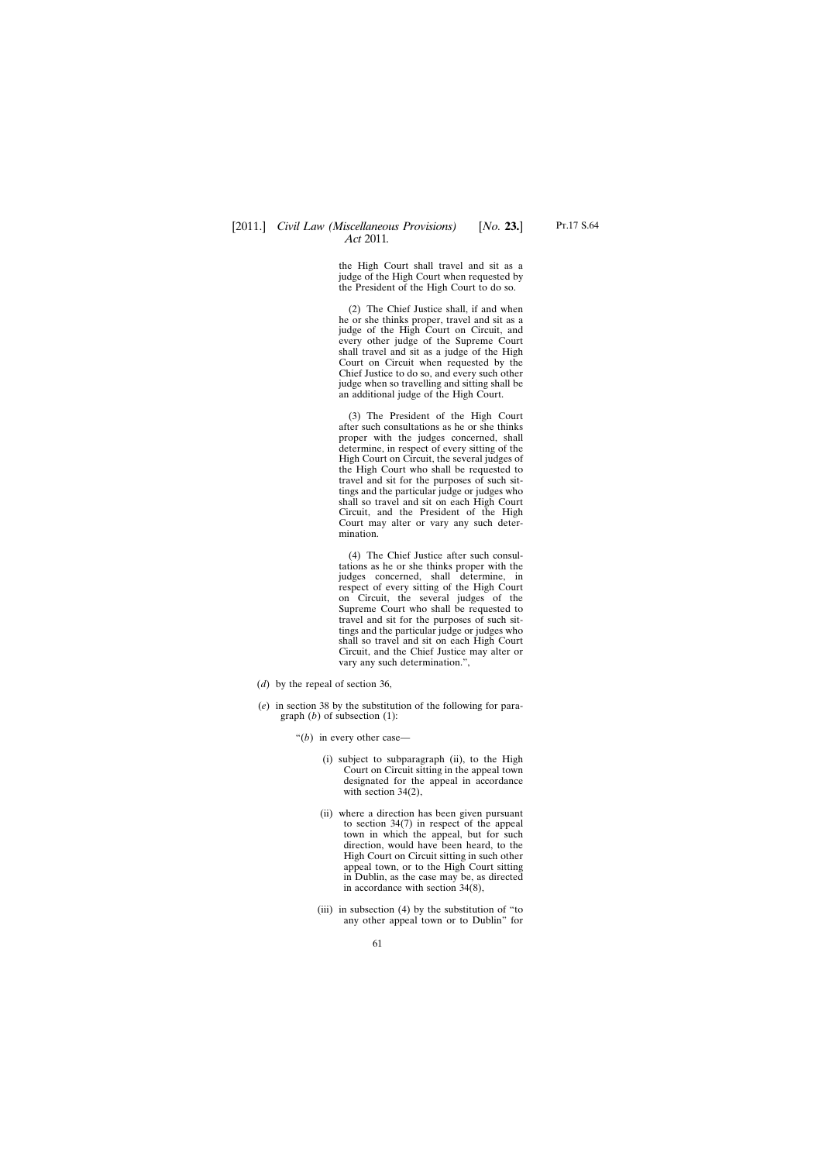the High Court shall travel and sit as a judge of the High Court when requested by the President of the High Court to do so.

(2) The Chief Justice shall, if and when he or she thinks proper, travel and sit as a judge of the High Court on Circuit, and every other judge of the Supreme Court shall travel and sit as a judge of the High Court on Circuit when requested by the Chief Justice to do so, and every such other judge when so travelling and sitting shall be an additional judge of the High Court.

(3) The President of the High Court after such consultations as he or she thinks proper with the judges concerned, shall determine, in respect of every sitting of the High Court on Circuit, the several judges of the High Court who shall be requested to travel and sit for the purposes of such sittings and the particular judge or judges who shall so travel and sit on each High Court Circuit, and the President of the High Court may alter or vary any such determination.

(4) The Chief Justice after such consultations as he or she thinks proper with the judges concerned, shall determine, in respect of every sitting of the High Court on Circuit, the several judges of the Supreme Court who shall be requested to travel and sit for the purposes of such sittings and the particular judge or judges who shall so travel and sit on each High Court Circuit, and the Chief Justice may alter or vary any such determination.",

- (*d*) by the repeal of section 36,
- (*e*) in section 38 by the substitution of the following for paragraph (*b*) of subsection (1):
	- "(*b*) in every other case—
		- (i) subject to subparagraph (ii), to the High Court on Circuit sitting in the appeal town designated for the appeal in accordance with section 34(2),
		- (ii) where a direction has been given pursuant to section 34(7) in respect of the appeal town in which the appeal, but for such direction, would have been heard, to the High Court on Circuit sitting in such other appeal town, or to the High Court sitting in Dublin, as the case may be, as directed in accordance with section 34(8),
		- (iii) in subsection (4) by the substitution of "to any other appeal town or to Dublin" for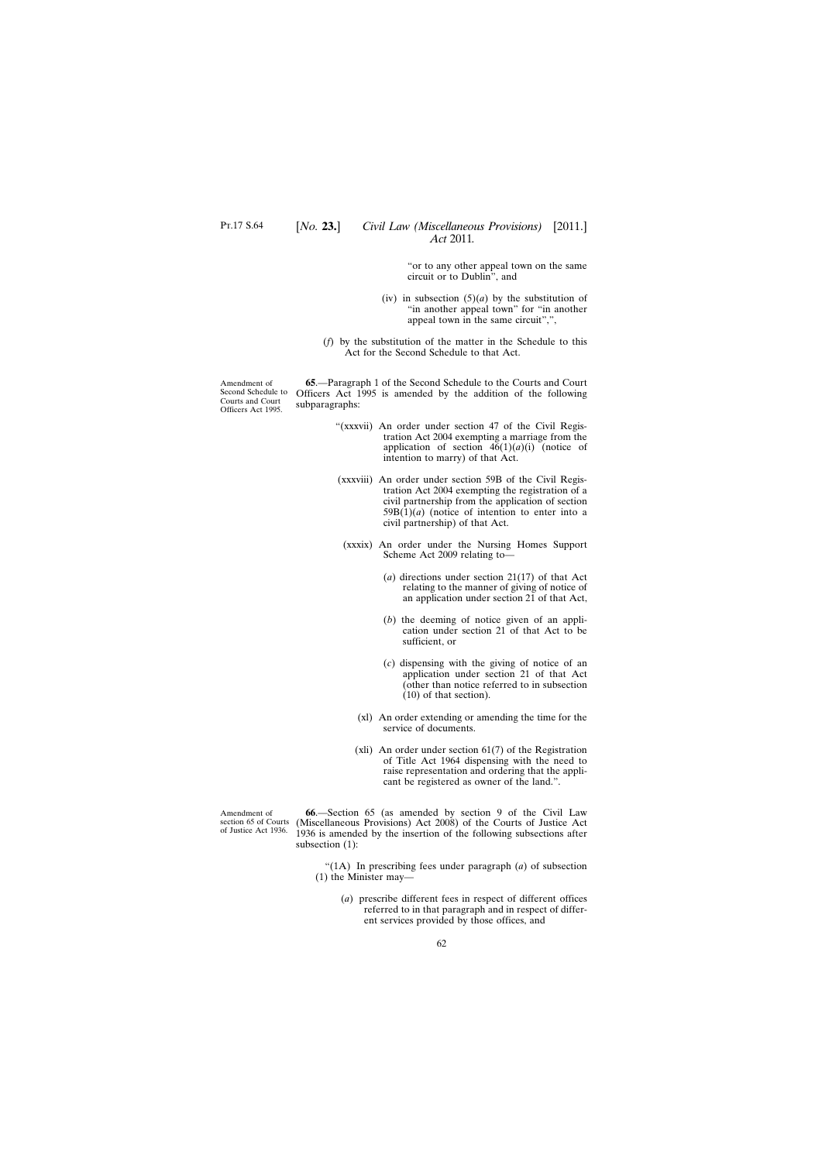"or to any other appeal town on the same circuit or to Dublin", and

- (iv) in subsection  $(5)(a)$  by the substitution of "in another appeal town" for "in another appeal town in the same circuit",",
- (*f*) by the substitution of the matter in the Schedule to this Act for the Second Schedule to that Act.

<span id="page-61-0"></span>Amendment of Second Schedule to Courts and Court Officers Act 1995.

**65**.—Paragraph 1 of the Second Schedule to the Courts and Court Officers Act 1995 is amended by the addition of the following subparagraphs:

- "(xxxvii) An order under section 47 of the Civil Registration Act 2004 exempting a marriage from the application of section  $46(1)(a)(i)$  (notice of intention to marry) of that Act.
- (xxxviii) An order under section 59B of the Civil Registration Act 2004 exempting the registration of a civil partnership from the application of section  $59B(1)(a)$  (notice of intention to enter into a civil partnership) of that Act.
- (xxxix) An order under the Nursing Homes Support Scheme Act 2009 relating to—
	- (*a*) directions under section 21(17) of that Act relating to the manner of giving of notice of an application under section 21 of that Act,
	- (*b*) the deeming of notice given of an application under section 21 of that Act to be sufficient, or
	- (*c*) dispensing with the giving of notice of an application under section 21 of that Act (other than notice referred to in subsection (10) of that section).
	- (xl) An order extending or amending the time for the service of documents.
	- (xli) An order under section  $61(7)$  of the Registration of Title Act 1964 dispensing with the need to raise representation and ordering that the applicant be registered as owner of the land.".

Amendment of section 65 of Courts of Justice Act 1936.

**66**.—Section 65 (as amended by section 9 of the Civil Law (Miscellaneous Provisions) Act 2008) of the Courts of Justice Act 1936 is amended by the insertion of the following subsections after subsection (1):

"(1A) In prescribing fees under paragraph (*a*) of subsection (1) the Minister may—

> (*a*) prescribe different fees in respect of different offices referred to in that paragraph and in respect of different services provided by those offices, and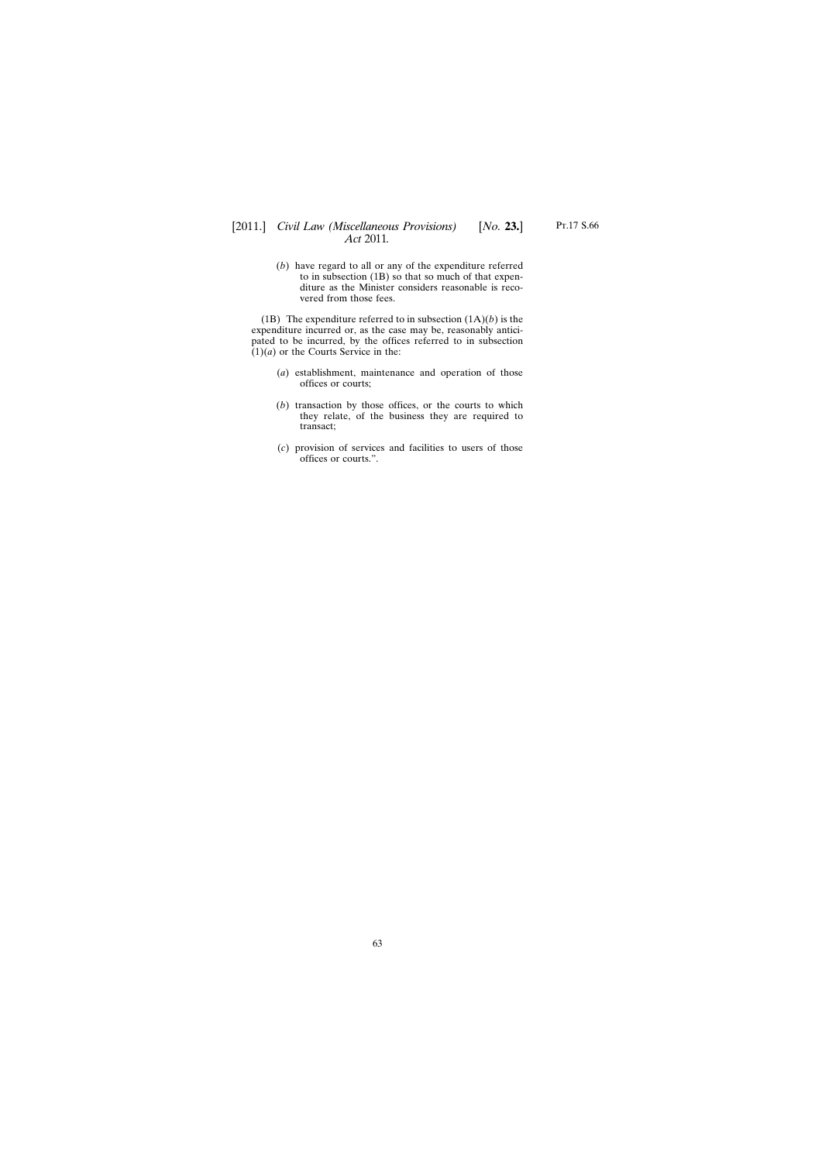# [2011.] [ *Civil Law (Miscellaneous Provisions) No.* **23.**] *Act* 2011*.*

(*b*) have regard to all or any of the expenditure referred to in subsection (1B) so that so much of that expenditure as the Minister considers reasonable is recovered from those fees.

(1B) The expenditure referred to in subsection (1A)(*b*) is the expenditure incurred or, as the case may be, reasonably anticipated to be incurred, by the offices referred to in subsection  $(1)(a)$  or the Courts Service in the:

- (*a*) establishment, maintenance and operation of those offices or courts;
- (*b*) transaction by those offices, or the courts to which they relate, of the business they are required to transact;
- (*c*) provision of services and facilities to users of those offices or courts.".